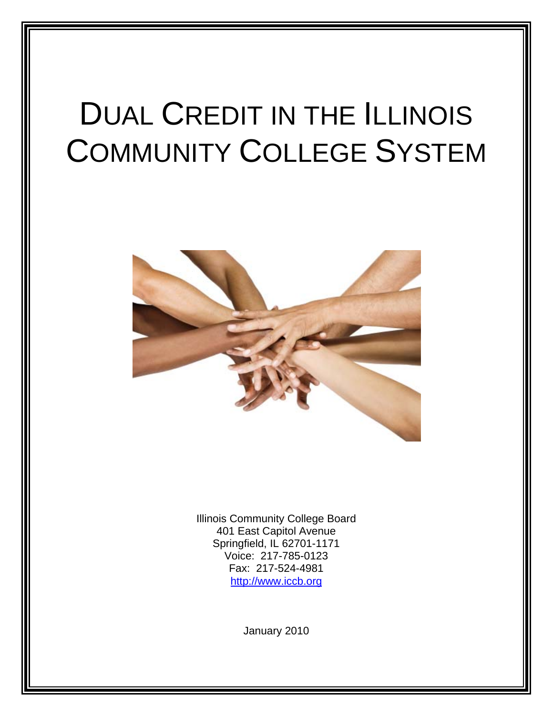# DUAL CREDIT IN THE ILLINOIS COMMUNITY COLLEGE SYSTEM



Illinois Community College Board 401 East Capitol Avenue Springfield, IL 62701-1171 Voice: 217-785-0123 Fax: 217-524-4981 http://www.iccb.org

January 2010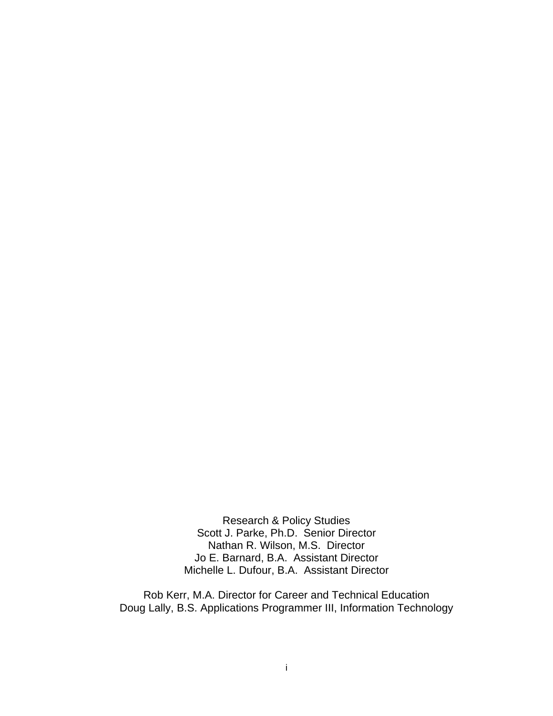Research & Policy Studies Scott J. Parke, Ph.D. Senior Director Nathan R. Wilson, M.S. Director Jo E. Barnard, B.A. Assistant Director Michelle L. Dufour, B.A. Assistant Director

Rob Kerr, M.A. Director for Career and Technical Education Doug Lally, B.S. Applications Programmer III, Information Technology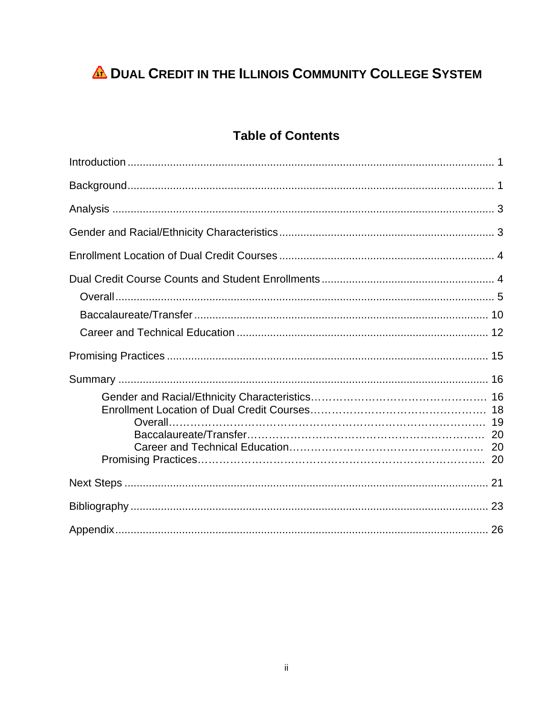## **A DUAL CREDIT IN THE ILLINOIS COMMUNITY COLLEGE SYSTEM**

## **Table of Contents**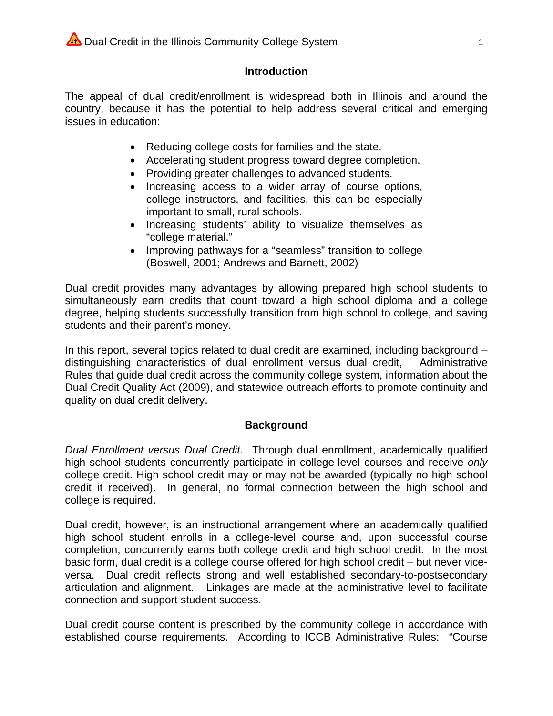### **Introduction**

The appeal of dual credit/enrollment is widespread both in Illinois and around the country, because it has the potential to help address several critical and emerging issues in education:

- Reducing college costs for families and the state.
- Accelerating student progress toward degree completion.
- Providing greater challenges to advanced students.
- Increasing access to a wider array of course options, college instructors, and facilities, this can be especially important to small, rural schools.
- Increasing students' ability to visualize themselves as "college material."
- Improving pathways for a "seamless" transition to college  $\bullet$ (Boswell, 2001; Andrews and Barnett, 2002)

Dual credit provides many advantages by allowing prepared high school students to simultaneously earn credits that count toward a high school diploma and a college degree, helping students successfully transition from high school to college, and saving students and their parent's money.

In this report, several topics related to dual credit are examined, including background distinguishing characteristics of dual enrollment versus dual credit, Administrative Rules that quide dual credit across the community college system, information about the Dual Credit Quality Act (2009), and statewide outreach efforts to promote continuity and quality on dual credit delivery.

## **Background**

Dual Enrollment versus Dual Credit. Through dual enrollment, academically qualified high school students concurrently participate in college-level courses and receive only college credit. High school credit may or may not be awarded (typically no high school credit it received). In general, no formal connection between the high school and college is required.

Dual credit, however, is an instructional arrangement where an academically qualified high school student enrolls in a college-level course and, upon successful course completion, concurrently earns both college credit and high school credit. In the most basic form, dual credit is a college course offered for high school credit – but never viceversa. Dual credit reflects strong and well established secondary-to-postsecondary articulation and alignment. Linkages are made at the administrative level to facilitate connection and support student success.

Dual credit course content is prescribed by the community college in accordance with established course requirements. According to ICCB Administrative Rules: "Course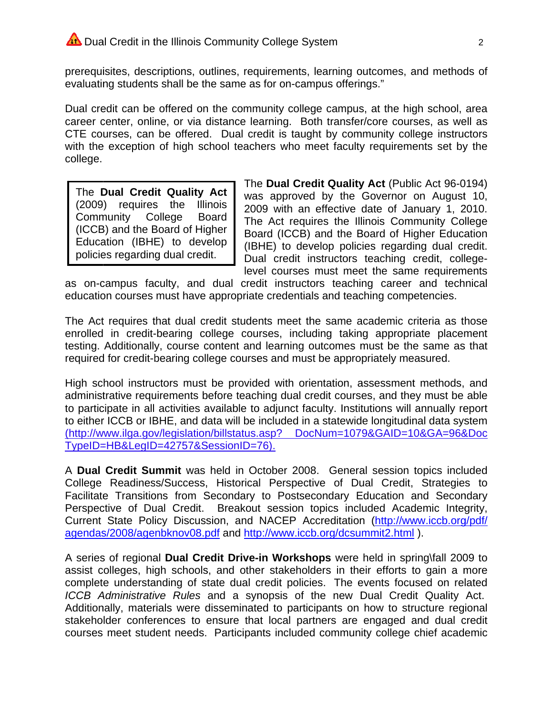prerequisites, descriptions, outlines, requirements, learning outcomes, and methods of evaluating students shall be the same as for on-campus offerings."

Dual credit can be offered on the community college campus, at the high school, area career center, online, or via distance learning. Both transfer/core courses, as well as CTE courses, can be offered. Dual credit is taught by community college instructors with the exception of high school teachers who meet faculty requirements set by the college.

The Dual Credit Quality Act **Illinois** (2009) requires the Community College **Board** (ICCB) and the Board of Higher Education (IBHE) to develop policies regarding dual credit.

The Dual Credit Quality Act (Public Act 96-0194) was approved by the Governor on August 10, 2009 with an effective date of January 1, 2010. The Act requires the Illinois Community College Board (ICCB) and the Board of Higher Education (IBHE) to develop policies regarding dual credit. Dual credit instructors teaching credit, collegelevel courses must meet the same requirements

as on-campus faculty, and dual credit instructors teaching career and technical education courses must have appropriate credentials and teaching competencies.

The Act requires that dual credit students meet the same academic criteria as those enrolled in credit-bearing college courses, including taking appropriate placement testing. Additionally, course content and learning outcomes must be the same as that required for credit-bearing college courses and must be appropriately measured.

High school instructors must be provided with orientation, assessment methods, and administrative requirements before teaching dual credit courses, and they must be able to participate in all activities available to adjunct faculty. Institutions will annually report to either ICCB or IBHE, and data will be included in a statewide longitudinal data system (http://www.ilga.gov/legislation/billstatus.asp? DocNum=1079&GAID=10&GA=96&Doc TypeID=HB&LeaID=42757&SessionID=76).

A Dual Credit Summit was held in October 2008. General session topics included College Readiness/Success, Historical Perspective of Dual Credit, Strategies to Facilitate Transitions from Secondary to Postsecondary Education and Secondary Perspective of Dual Credit. Breakout session topics included Academic Integrity. Current State Policy Discussion, and NACEP Accreditation (http://www.iccb.org/pdf/ agendas/2008/agenbknov08.pdf and http://www.iccb.org/dcsummit2.html).

A series of regional Dual Credit Drive-in Workshops were held in spring\fall 2009 to assist colleges, high schools, and other stakeholders in their efforts to gain a more complete understanding of state dual credit policies. The events focused on related ICCB Administrative Rules and a synopsis of the new Dual Credit Quality Act. Additionally, materials were disseminated to participants on how to structure regional stakeholder conferences to ensure that local partners are engaged and dual credit courses meet student needs. Participants included community college chief academic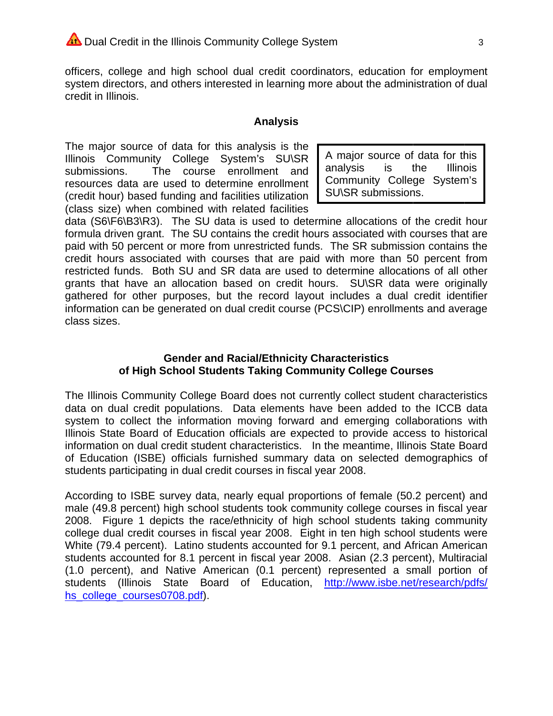officers, college and high school dual credit coordinators, education for employment system directors, and others interested in learning more about the administration of dual credit in Illinois.

#### **Analysis**

The major source of data for this analysis is the Illinois Community College System's SU\SR The course enrollment and submissions. resources data are used to determine enrollment (credit hour) based funding and facilities utilization (class size) when combined with related facilities

A major source of data for this analysis is the **Illinois** Community College System's SU\SR submissions.

data (S6\F6\B3\R3). The SU data is used to determine allocations of the credit hour formula driven grant. The SU contains the credit hours associated with courses that are paid with 50 percent or more from unrestricted funds. The SR submission contains the credit hours associated with courses that are paid with more than 50 percent from restricted funds. Both SU and SR data are used to determine allocations of all other grants that have an allocation based on credit hours. SU\SR data were originally gathered for other purposes, but the record layout includes a dual credit identifier information can be generated on dual credit course (PCS\CIP) enrollments and average class sizes.

## **Gender and Racial/Ethnicity Characteristics** of High School Students Taking Community College Courses

The Illinois Community College Board does not currently collect student characteristics data on dual credit populations. Data elements have been added to the ICCB data system to collect the information moving forward and emerging collaborations with Illinois State Board of Education officials are expected to provide access to historical information on dual credit student characteristics. In the meantime, Illinois State Board of Education (ISBE) officials furnished summary data on selected demographics of students participating in dual credit courses in fiscal year 2008.

According to ISBE survey data, nearly equal proportions of female (50.2 percent) and male (49.8 percent) high school students took community college courses in fiscal year 2008. Figure 1 depicts the race/ethnicity of high school students taking community college dual credit courses in fiscal year 2008. Eight in ten high school students were White (79.4 percent). Latino students accounted for 9.1 percent, and African American students accounted for 8.1 percent in fiscal year 2008. Asian (2.3 percent), Multiracial (1.0 percent), and Native American (0.1 percent) represented a small portion of students (Illinois State Board of Education, http://www.isbe.net/research/pdfs/ hs\_college\_courses0708.pdf).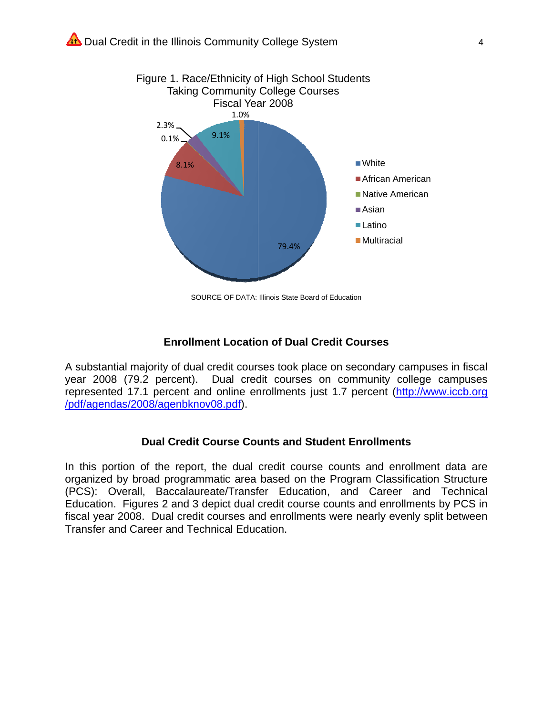

SOURCE OF DATA: Illinois State Board of Education

#### **Enrollment Location of Dual Credit Courses**

A substantial majority of dual credit courses took place on secondary campuses in fiscal year 2008 (79.2 percent). Dual credit courses on community college campuses represented 17.1 percent and online enrollments just 1.7 percent (http://www.iccb.org /pdf/agendas/2008/agenbknov08.pdf).

#### **Dual Credit Course Counts and Student Enrollments**

In this portion of the report, the dual credit course counts and enrollment data are organized by broad programmatic area based on the Program Classification Structure (PCS): Overall, Baccalaureate/Transfer Education, and Career and Technical Education. Figures 2 and 3 depict dual credit course counts and enrollments by PCS in fiscal year 2008. Dual credit courses and enrollments were nearly evenly split between Transfer and Career and Technical Education.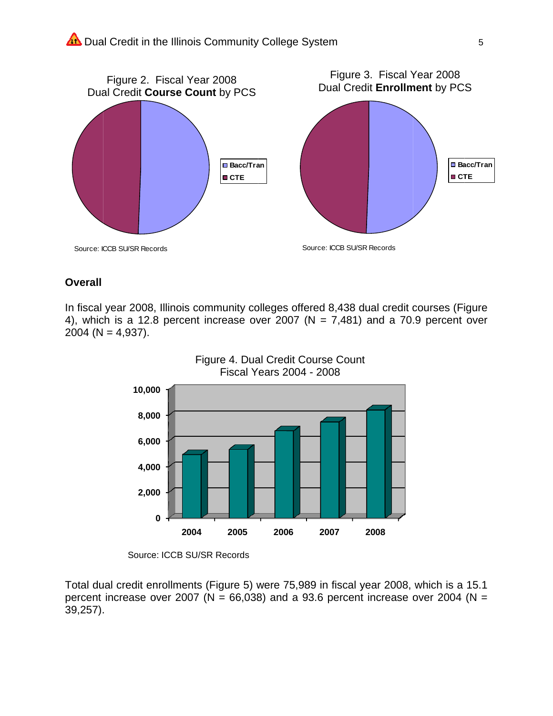

## **Overall**

In fiscal year 2008, Illinois community colleges offered 8,438 dual credit courses (Figure 4), which is a 12.8 percent increase over 2007 ( $N = 7,481$ ) and a 70.9 percent over 2004 ( $N = 4,937$ ).



Source: ICCB SU/SR Records

Total dual credit enrollments (Figure 5) were 75,989 in fiscal year 2008, which is a 15.1 percent increase over 2007 ( $N = 66,038$ ) and a 93.6 percent increase over 2004 ( $N =$  $39,257$ ).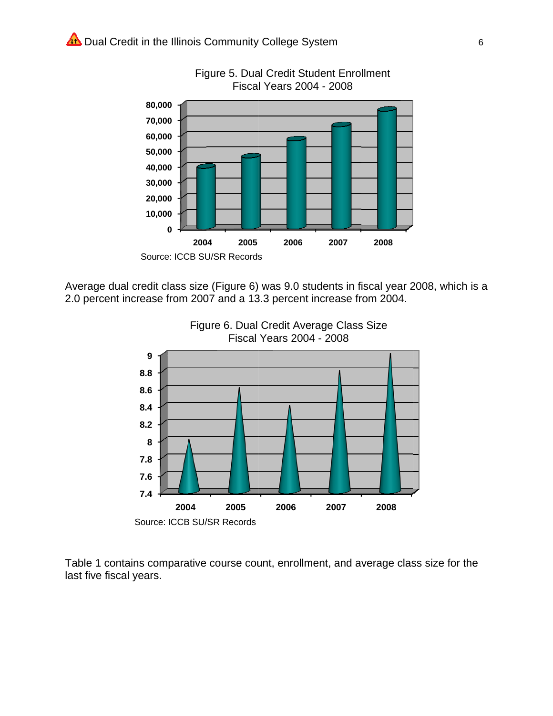



Average dual credit class size (Figure 6) was 9.0 students in fiscal year 2008, which is a 2.0 percent increase from 2007 and a 13.3 percent increase from 2004.





Table 1 contains comparative course count, enrollment, and average class size for the last five fiscal years.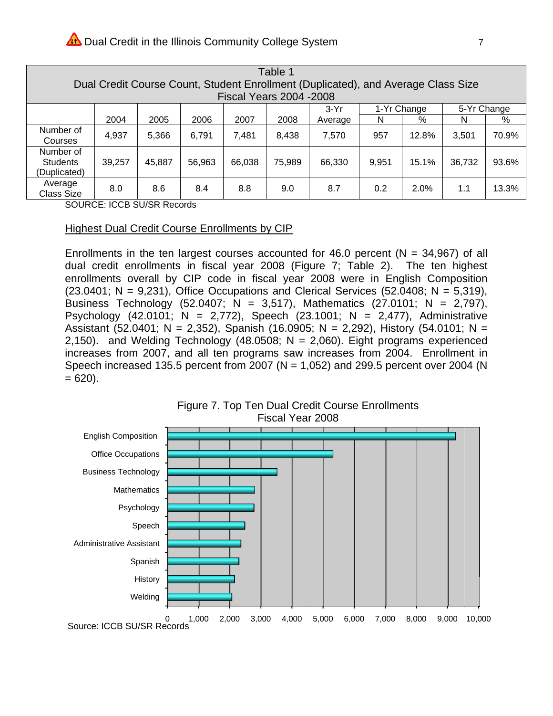|                                                                                              | Table 1                                                                           |                                      |        |        |        |        |         |       |       |        |       |  |  |  |  |
|----------------------------------------------------------------------------------------------|-----------------------------------------------------------------------------------|--------------------------------------|--------|--------|--------|--------|---------|-------|-------|--------|-------|--|--|--|--|
|                                                                                              | Dual Credit Course Count, Student Enrollment (Duplicated), and Average Class Size |                                      |        |        |        |        |         |       |       |        |       |  |  |  |  |
|                                                                                              | <b>Fiscal Years 2004 -2008</b>                                                    |                                      |        |        |        |        |         |       |       |        |       |  |  |  |  |
|                                                                                              |                                                                                   | 1-Yr Change<br>5-Yr Change<br>$3-Yr$ |        |        |        |        |         |       |       |        |       |  |  |  |  |
|                                                                                              |                                                                                   | 2004                                 | 2005   | 2006   | 2007   | 2008   | Average | N     | %     | N      | %     |  |  |  |  |
|                                                                                              | Number of<br>Courses                                                              | 4,937                                | 5,366  | 6,791  | 7,481  | 8,438  | 7,570   | 957   | 12.8% | 3,501  | 70.9% |  |  |  |  |
|                                                                                              | Number of<br><b>Students</b><br>(Duplicated)                                      | 39,257                               | 45,887 | 56,963 | 66,038 | 75,989 | 66,330  | 9,951 | 15.1% | 36,732 | 93.6% |  |  |  |  |
| Average<br>8.0<br>8.6<br>8.4<br>9.0<br>2.0%<br>1.1<br>8.8<br>0.2<br>8.7<br><b>Class Size</b> |                                                                                   |                                      |        |        |        |        |         |       |       |        |       |  |  |  |  |

**SOURCE: ICCB SU/SR Records** 

#### **Highest Dual Credit Course Enrollments by CIP**

Enrollments in the ten largest courses accounted for 46.0 percent ( $N = 34,967$ ) of all dual credit enrollments in fiscal year 2008 (Figure 7; Table 2). The ten highest enrollments overall by CIP code in fiscal year 2008 were in English Composition  $(23.0401; N = 9,231)$ , Office Occupations and Clerical Services (52.0408; N = 5,319), Business Technology (52.0407; N = 3,517), Mathematics (27.0101; N = 2,797), Psychology (42.0101;  $N = 2,772$ ), Speech (23.1001;  $N = 2,477$ ), Administrative Assistant (52.0401; N = 2,352), Spanish (16.0905; N = 2,292), History (54.0101; N = 2,150). and Welding Technology (48.0508;  $N = 2,060$ ). Eight programs experienced increases from 2007, and all ten programs saw increases from 2004. Enrollment in Speech increased 135.5 percent from 2007 ( $N = 1,052$ ) and 299.5 percent over 2004 (N  $= 620$ ).

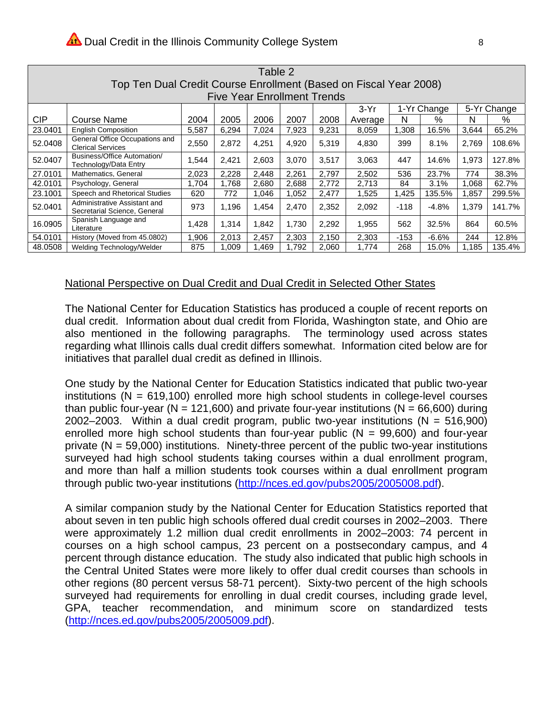|            | Table 2                                                                                                                  |       |       |       |       |       |         |        |          |       |        |  |  |  |
|------------|--------------------------------------------------------------------------------------------------------------------------|-------|-------|-------|-------|-------|---------|--------|----------|-------|--------|--|--|--|
|            | Top Ten Dual Credit Course Enrollment (Based on Fiscal Year 2008)                                                        |       |       |       |       |       |         |        |          |       |        |  |  |  |
|            | <b>Five Year Enrollment Trends</b>                                                                                       |       |       |       |       |       |         |        |          |       |        |  |  |  |
|            | 5-Yr Change<br>1-Yr Change<br>$3-Yr$                                                                                     |       |       |       |       |       |         |        |          |       |        |  |  |  |
| <b>CIP</b> | Course Name                                                                                                              | 2004  | 2005  | 2006  | 2007  | 2008  | Average | N      | $\%$     | N     | %      |  |  |  |
| 23.0401    | <b>English Composition</b>                                                                                               | 5,587 | 6,294 | 7,024 | 7,923 | 9,231 | 8,059   | 1,308  | 16.5%    | 3,644 | 65.2%  |  |  |  |
| 52.0408    | General Office Occupations and<br><b>Clerical Services</b>                                                               | 2,550 | 2,872 | 4,251 | 4,920 | 5,319 | 4,830   | 399    | 8.1%     | 2,769 | 108.6% |  |  |  |
| 52.0407    | Business/Office Automation/<br>Technology/Data Entry                                                                     | 1,544 | 2,421 | 2.603 | 3.070 | 3,517 | 3,063   | 447    | 14.6%    | 1,973 | 127.8% |  |  |  |
| 27.0101    | Mathematics, General                                                                                                     | 2,023 | 2,228 | 2.448 | 2,261 | 2.797 | 2,502   | 536    | 23.7%    | 774   | 38.3%  |  |  |  |
| 42.0101    | Psychology, General                                                                                                      | 1.704 | 1.768 | 2,680 | 2,688 | 2,772 | 2,713   | 84     | 3.1%     | 1,068 | 62.7%  |  |  |  |
| 23.1001    | Speech and Rhetorical Studies                                                                                            | 620   | 772   | 1,046 | 1,052 | 2,477 | 1,525   | 1,425  | 135.5%   | 1,857 | 299.5% |  |  |  |
| 52.0401    | Administrative Assistant and<br>Secretarial Science, General                                                             | 973   | 1,196 | 1,454 | 2,470 | 2,352 | 2,092   | $-118$ | $-4.8%$  | 1,379 | 141.7% |  |  |  |
| 16.0905    | Spanish Language and<br>60.5%<br>1,428<br>1,314<br>1,842<br>1,730<br>2,292<br>1,955<br>562<br>864<br>32.5%<br>Literature |       |       |       |       |       |         |        |          |       |        |  |  |  |
| 54.0101    | History (Moved from 45.0802)                                                                                             | 1.906 | 2,013 | 2,457 | 2,303 | 2,150 | 2,303   | $-153$ | $-6.6\%$ | 244   | 12.8%  |  |  |  |
| 48.0508    | Welding Technology/Welder                                                                                                | 875   | 1,009 | 1,469 | 1,792 | 2,060 | 1,774   | 268    | 15.0%    | 1,185 | 135.4% |  |  |  |

#### National Perspective on Dual Credit and Dual Credit in Selected Other States

The National Center for Education Statistics has produced a couple of recent reports on dual credit. Information about dual credit from Florida, Washington state, and Ohio are also mentioned in the following paragraphs. The terminology used across states regarding what Illinois calls dual credit differs somewhat. Information cited below are for initiatives that parallel dual credit as defined in Illinois.

One study by the National Center for Education Statistics indicated that public two-year institutions ( $N = 619,100$ ) enrolled more high school students in college-level courses than public four-year ( $N = 121,600$ ) and private four-year institutions ( $N = 66,600$ ) during 2002-2003. Within a dual credit program, public two-year institutions ( $N = 516,900$ ) enrolled more high school students than four-year public ( $N = 99,600$ ) and four-year private ( $N = 59,000$ ) institutions. Ninety-three percent of the public two-year institutions surveyed had high school students taking courses within a dual enrollment program. and more than half a million students took courses within a dual enrollment program through public two-year institutions (http://nces.ed.gov/pubs2005/2005008.pdf).

A similar companion study by the National Center for Education Statistics reported that about seven in ten public high schools offered dual credit courses in 2002-2003. There were approximately 1.2 million dual credit enrollments in 2002-2003: 74 percent in courses on a high school campus, 23 percent on a postsecondary campus, and 4 percent through distance education. The study also indicated that public high schools in the Central United States were more likely to offer dual credit courses than schools in other regions (80 percent versus 58-71 percent). Sixty-two percent of the high schools surveyed had requirements for enrolling in dual credit courses, including grade level, GPA, teacher recommendation, and minimum score on standardized tests (http://nces.ed.gov/pubs2005/2005009.pdf).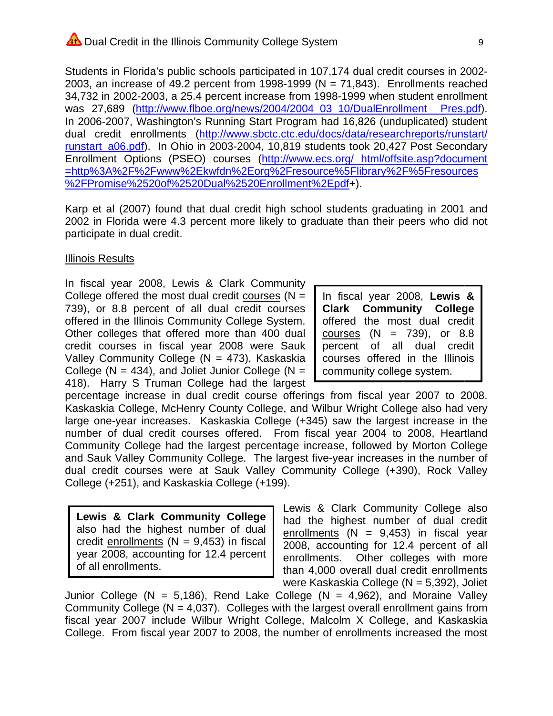Students in Florida's public schools participated in 107,174 dual credit courses in 2002-2003, an increase of 49.2 percent from 1998-1999 ( $N = 71,843$ ). Enrollments reached 34,732 in 2002-2003, a 25.4 percent increase from 1998-1999 when student enrollment was 27,689 (http://www.flboe.org/news/2004/2004 03 10/DualEnrollment Pres.pdf). In 2006-2007, Washington's Running Start Program had 16,826 (unduplicated) student dual credit enrollments (http://www.sbctc.ctc.edu/docs/data/researchreports/runstart/ runstart a06.pdf). In Ohio in 2003-2004, 10.819 students took 20,427 Post Secondary Enrollment Options (PSEO) courses (http://www.ecs.org/ html/offsite.asp?document =http%3A%2F%2Fwww%2Ekwfdn%2Eorg%2Fresource%5Flibrary%2F%5Fresources %2FPromise%2520of%2520Dual%2520Enrollment%2Epdf+).

Karp et al (2007) found that dual credit high school students graduating in 2001 and 2002 in Florida were 4.3 percent more likely to graduate than their peers who did not participate in dual credit.

#### **Illinois Results**

In fiscal year 2008, Lewis & Clark Community College offered the most dual credit courses ( $N =$ 739), or 8.8 percent of all dual credit courses offered in the Illinois Community College System. Other colleges that offered more than 400 dual credit courses in fiscal year 2008 were Sauk Valley Community College ( $N = 473$ ), Kaskaskia College ( $N = 434$ ), and Joliet Junior College ( $N =$ 418). Harry S Truman College had the largest

In fiscal year 2008, Lewis & **Clark Community College** offered the most dual credit courses  $(N = 739)$ , or 8.8 percent of all dual credit courses offered in the Illinois community college system.

percentage increase in dual credit course offerings from fiscal year 2007 to 2008. Kaskaskia College, McHenry County College, and Wilbur Wright College also had very large one-year increases. Kaskaskia College (+345) saw the largest increase in the number of dual credit courses offered. From fiscal year 2004 to 2008, Heartland Community College had the largest percentage increase, followed by Morton College and Sauk Valley Community College. The largest five-year increases in the number of dual credit courses were at Sauk Valley Community College (+390), Rock Valley College (+251), and Kaskaskia College (+199).

Lewis & Clark Community College also had the highest number of dual credit enrollments ( $N = 9,453$ ) in fiscal year 2008, accounting for 12.4 percent of all enrollments.

Lewis & Clark Community College also had the highest number of dual credit enrollments  $(N = 9,453)$  in fiscal year 2008, accounting for 12.4 percent of all enrollments. Other colleges with more than 4,000 overall dual credit enrollments were Kaskaskia College ( $N = 5,392$ ), Joliet

Junior College (N = 5,186), Rend Lake College (N = 4,962), and Moraine Valley Community College ( $N = 4.037$ ). Colleges with the largest overall enrollment gains from fiscal year 2007 include Wilbur Wright College, Malcolm X College, and Kaskaskia College. From fiscal year 2007 to 2008, the number of enrollments increased the most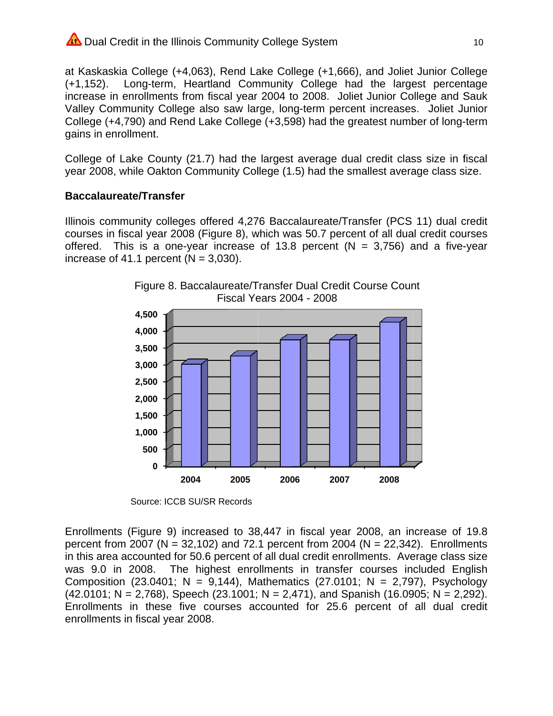## Dual Credit in the Illinois Community College System

at Kaskaskia College (+4,063), Rend Lake College (+1,666), and Joliet Junior College  $(+1, 152)$ . Long-term, Heartland Community College had the largest percentage increase in enrollments from fiscal year 2004 to 2008. Joliet Junior College and Sauk Valley Community College also saw large, long-term percent increases. Joliet Junior College (+4,790) and Rend Lake College (+3,598) had the greatest number of long-term gains in enrollment.

College of Lake County (21.7) had the largest average dual credit class size in fiscal year 2008, while Oakton Community College (1.5) had the smallest average class size.

#### **Baccalaureate/Transfer**

Illinois community colleges offered 4,276 Baccalaureate/Transfer (PCS 11) dual credit courses in fiscal year 2008 (Figure 8), which was 50.7 percent of all dual credit courses offered. This is a one-year increase of 13.8 percent ( $N = 3,756$ ) and a five-year increase of 41.1 percent ( $N = 3,030$ ).





Source: ICCB SU/SR Records

Enrollments (Figure 9) increased to 38,447 in fiscal year 2008, an increase of 19.8 percent from 2007 ( $N = 32,102$ ) and 72.1 percent from 2004 ( $N = 22,342$ ). Enrollments in this area accounted for 50.6 percent of all dual credit enrollments. Average class size was 9.0 in 2008. The highest enrollments in transfer courses included English Composition (23.0401; N = 9,144), Mathematics (27.0101; N = 2,797), Psychology  $(42.0101; N = 2,768)$ , Speech  $(23.1001; N = 2,471)$ , and Spanish  $(16.0905; N = 2,292)$ . Enrollments in these five courses accounted for 25.6 percent of all dual credit enrollments in fiscal year 2008.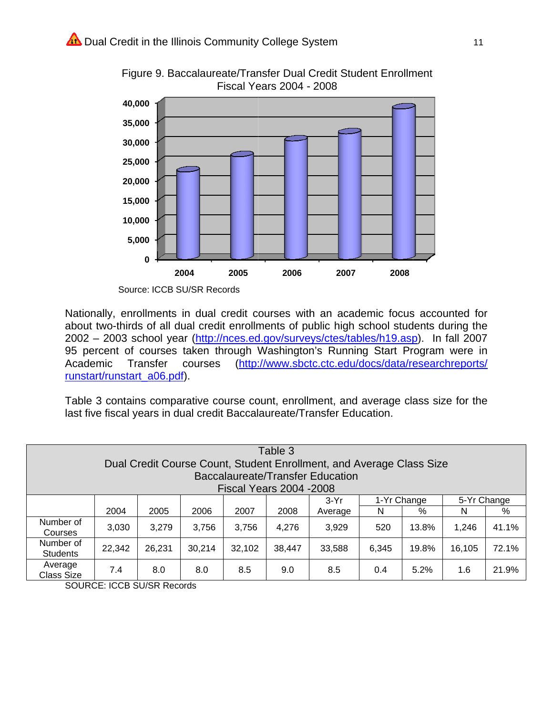

Figure 9. Baccalaureate/Transfer Dual Credit Student Enrollment **Fiscal Years 2004 - 2008** 

Source: ICCB SU/SR Records

Nationally, enrollments in dual credit courses with an academic focus accounted for about two-thirds of all dual credit enrollments of public high school students during the 2002 - 2003 school year (http://nces.ed.gov/surveys/ctes/tables/h19.asp). In fall 2007 95 percent of courses taken through Washington's Running Start Program were in (http://www.sbctc.ctc.edu/docs/data/researchreports/ Academic Transfer courses runstart/runstart a06.pdf).

Table 3 contains comparative course count, enrollment, and average class size for the last five fiscal years in dual credit Baccalaureate/Transfer Education.

|                                                                                                       | Table 3<br>Dual Credit Course Count, Student Enrollment, and Average Class Size<br>Baccalaureate/Transfer Education<br><b>Fiscal Years 2004 -2008</b> |        |        |        |        |         |       |       |        |       |  |  |  |  |
|-------------------------------------------------------------------------------------------------------|-------------------------------------------------------------------------------------------------------------------------------------------------------|--------|--------|--------|--------|---------|-------|-------|--------|-------|--|--|--|--|
| 5-Yr Change<br>1-Yr Change<br>$3-Yr$                                                                  |                                                                                                                                                       |        |        |        |        |         |       |       |        |       |  |  |  |  |
|                                                                                                       | 2004                                                                                                                                                  | 2005   | 2006   | 2007   | 2008   | Average | N     | $\%$  | N      | %     |  |  |  |  |
| Number of<br>Courses                                                                                  | 3,030                                                                                                                                                 | 3,279  | 3,756  | 3,756  | 4,276  | 3,929   | 520   | 13.8% | 1,246  | 41.1% |  |  |  |  |
| Number of<br><b>Students</b>                                                                          | 22,342                                                                                                                                                | 26,231 | 30,214 | 32,102 | 38,447 | 33,588  | 6,345 | 19.8% | 16,105 | 72.1% |  |  |  |  |
| Average<br>21.9%<br>7.4<br>5.2%<br>1.6<br>8.0<br>8.0<br>8.5<br>9.0<br>8.5<br>0.4<br><b>Class Size</b> |                                                                                                                                                       |        |        |        |        |         |       |       |        |       |  |  |  |  |

**SOURCE: ICCB SU/SR Records**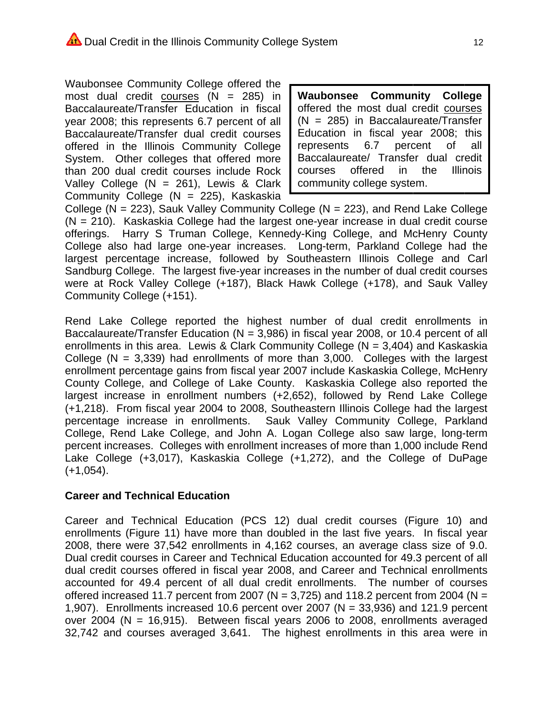Waubonsee Community College offered the most dual credit courses  $(N = 285)$  in Baccalaureate/Transfer Education in fiscal year 2008; this represents 6.7 percent of all Baccalaureate/Transfer dual credit courses offered in the Illinois Community College System. Other colleges that offered more than 200 dual credit courses include Rock Valley College ( $N = 261$ ), Lewis & Clark Community College (N = 225), Kaskaskia

Waubonsee **Community College** offered the most dual credit courses  $(N = 285)$  in Baccalaureate/Transfer Education in fiscal year 2008; this represents 6.7 percent 0f all Baccalaureate/ Transfer dual credit courses offered  $in$ the **Illinois** community college system.

College ( $N = 223$ ), Sauk Valley Community College ( $N = 223$ ), and Rend Lake College  $(N = 210)$ . Kaskaskia College had the largest one-year increase in dual credit course offerings. Harry S Truman College, Kennedy-King College, and McHenry County College also had large one-year increases. Long-term, Parkland College had the largest percentage increase, followed by Southeastern Illinois College and Carl Sandburg College. The largest five-year increases in the number of dual credit courses were at Rock Valley College (+187), Black Hawk College (+178), and Sauk Valley Community College (+151).

Rend Lake College reported the highest number of dual credit enrollments in Baccalaureate/Transfer Education ( $N = 3,986$ ) in fiscal year 2008, or 10.4 percent of all enrollments in this area. Lewis & Clark Community College ( $N = 3,404$ ) and Kaskaskia College ( $N = 3,339$ ) had enrollments of more than 3,000. Colleges with the largest enrollment percentage gains from fiscal year 2007 include Kaskaskia College, McHenry County College, and College of Lake County. Kaskaskia College also reported the largest increase in enrollment numbers (+2,652), followed by Rend Lake College (+1,218). From fiscal year 2004 to 2008, Southeastern Illinois College had the largest percentage increase in enrollments. Sauk Valley Community College, Parkland College, Rend Lake College, and John A. Logan College also saw large, long-term percent increases. Colleges with enrollment increases of more than 1,000 include Rend Lake College (+3,017), Kaskaskia College (+1,272), and the College of DuPage  $(+1,054)$ .

## **Career and Technical Education**

Career and Technical Education (PCS 12) dual credit courses (Figure 10) and enrollments (Figure 11) have more than doubled in the last five years. In fiscal year 2008, there were 37,542 enrollments in 4,162 courses, an average class size of 9.0. Dual credit courses in Career and Technical Education accounted for 49.3 percent of all dual credit courses offered in fiscal year 2008, and Career and Technical enrollments accounted for 49.4 percent of all dual credit enrollments. The number of courses offered increased 11.7 percent from 2007 ( $N = 3,725$ ) and 118.2 percent from 2004 ( $N =$ 1,907). Enrollments increased 10.6 percent over 2007 ( $N = 33,936$ ) and 121.9 percent over 2004 (N = 16,915). Between fiscal years 2006 to 2008, enrollments averaged 32,742 and courses averaged 3,641. The highest enrollments in this area were in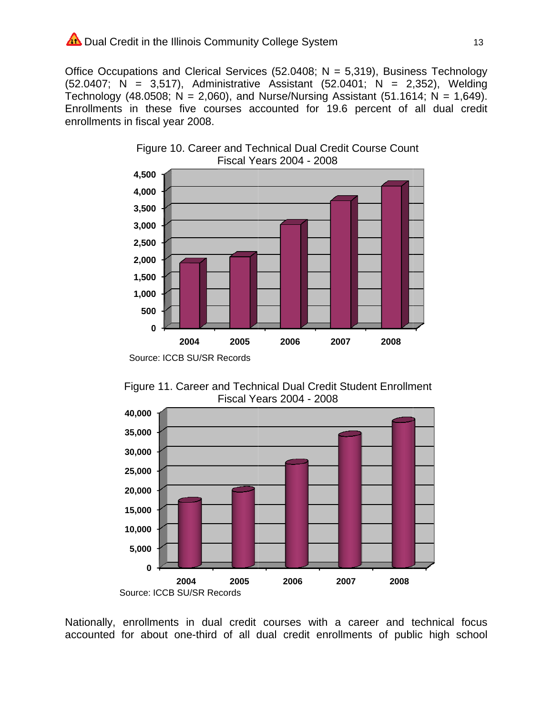## Dual Credit in the Illinois Community College System

Office Occupations and Clerical Services (52.0408;  $N = 5,319$ ), Business Technology  $(52.0407; N = 3.517)$ , Administrative Assistant  $(52.0401; N = 2.352)$ , Welding Technology (48.0508; N = 2,060), and Nurse/Nursing Assistant (51.1614; N = 1,649). Enrollments in these five courses accounted for 19.6 percent of all dual credit enrollments in fiscal year 2008.





Figure 11. Career and Technical Dual Credit Student Enrollment **Fiscal Years 2004 - 2008** 



Nationally, enrollments in dual credit courses with a career and technical focus accounted for about one-third of all dual credit enrollments of public high school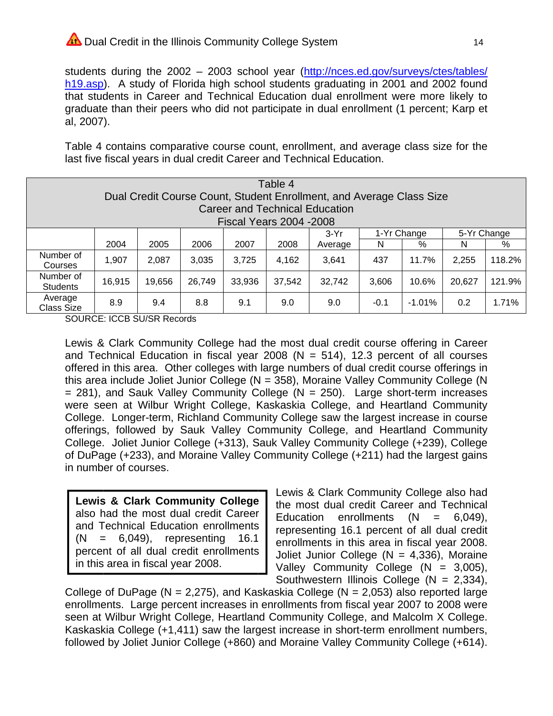## Dual Credit in the Illinois Community College System

students during the 2002 - 2003 school year (http://nces.ed.gov/surveys/ctes/tables/ h<sub>19.asp</sub>). A study of Florida high school students graduating in 2001 and 2002 found that students in Career and Technical Education dual enrollment were more likely to graduate than their peers who did not participate in dual enrollment (1 percent; Karp et al, 2007).

Table 4 contains comparative course count, enrollment, and average class size for the last five fiscal years in dual credit Career and Technical Education.

|                                                                                                              | Table 4<br>Dual Credit Course Count, Student Enrollment, and Average Class Size |        |        |        |        |         |       |       |        |        |  |  |  |  |
|--------------------------------------------------------------------------------------------------------------|---------------------------------------------------------------------------------|--------|--------|--------|--------|---------|-------|-------|--------|--------|--|--|--|--|
|                                                                                                              | <b>Career and Technical Education</b>                                           |        |        |        |        |         |       |       |        |        |  |  |  |  |
|                                                                                                              | <b>Fiscal Years 2004 -2008</b>                                                  |        |        |        |        |         |       |       |        |        |  |  |  |  |
| 1-Yr Change<br>5-Yr Change<br>$3-Yr$                                                                         |                                                                                 |        |        |        |        |         |       |       |        |        |  |  |  |  |
|                                                                                                              | 2004                                                                            | 2005   | 2006   | 2007   | 2008   | Average | N     | %     | N      | %      |  |  |  |  |
| Number of<br>Courses                                                                                         | 1,907                                                                           | 2,087  | 3,035  | 3,725  | 4,162  | 3,641   | 437   | 11.7% | 2,255  | 118.2% |  |  |  |  |
| Number of<br><b>Students</b>                                                                                 | 16,915                                                                          | 19,656 | 26,749 | 33,936 | 37,542 | 32,742  | 3,606 | 10.6% | 20,627 | 121.9% |  |  |  |  |
| Average<br>0.2<br>1.71%<br>8.9<br>8.8<br>$-1.01%$<br>9.4<br>9.1<br>9.0<br>9.0<br>$-0.1$<br><b>Class Size</b> |                                                                                 |        |        |        |        |         |       |       |        |        |  |  |  |  |

**SOURCE: ICCB SU/SR Records** 

Lewis & Clark Community College had the most dual credit course offering in Career and Technical Education in fiscal year 2008 ( $N = 514$ ), 12.3 percent of all courses offered in this area. Other colleges with large numbers of dual credit course offerings in this area include Joliet Junior College ( $N = 358$ ), Moraine Valley Community College (N  $=$  281), and Sauk Valley Community College (N = 250). Large short-term increases were seen at Wilbur Wright College, Kaskaskia College, and Heartland Community College. Longer-term, Richland Community College saw the largest increase in course offerings, followed by Sauk Valley Community College, and Heartland Community College. Joliet Junior College (+313), Sauk Valley Community College (+239), College of DuPage (+233), and Moraine Valley Community College (+211) had the largest gains in number of courses.

**Lewis & Clark Community College** also had the most dual credit Career and Technical Education enrollments  $(N = 6.049)$ representing  $16.1$ percent of all dual credit enrollments in this area in fiscal year 2008.

Lewis & Clark Community College also had the most dual credit Career and Technical Education enrollments  $(N =$  $6,049,$ representing 16.1 percent of all dual credit enrollments in this area in fiscal year 2008. Joliet Junior College ( $N = 4,336$ ), Moraine Valley Community College  $(N = 3.005)$ , Southwestern Illinois College ( $N = 2,334$ ),

College of DuPage ( $N = 2,275$ ), and Kaskaskia College ( $N = 2,053$ ) also reported large enrollments. Large percent increases in enrollments from fiscal year 2007 to 2008 were seen at Wilbur Wright College, Heartland Community College, and Malcolm X College. Kaskaskia College (+1,411) saw the largest increase in short-term enrollment numbers, followed by Joliet Junior College (+860) and Moraine Valley Community College (+614).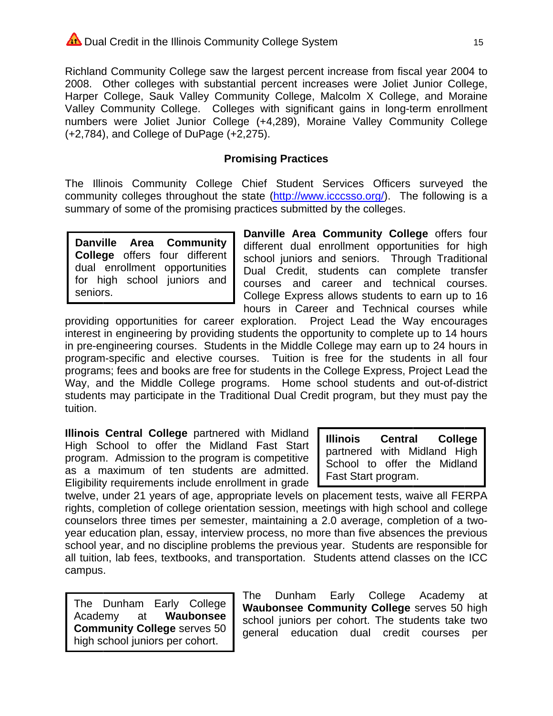Richland Community College saw the largest percent increase from fiscal year 2004 to 2008. Other colleges with substantial percent increases were Joliet Junior College, Harper College, Sauk Valley Community College, Malcolm X College, and Moraine Valley Community College. Colleges with significant gains in long-term enrollment numbers were Joliet Junior College (+4,289), Moraine Valley Community College (+2,784), and College of DuPage (+2,275).

## **Promising Practices**

The Illinois Community College Chief Student Services Officers surveyed the community colleges throughout the state (http://www.icccsso.org/). The following is a summary of some of the promising practices submitted by the colleges.

**Danville** Area Community **College** offers four different dual enrollment opportunities for high school juniors and seniors.

Danville Area Community College offers four different dual enrollment opportunities for high school juniors and seniors. Through Traditional Dual Credit, students can complete transfer courses and career and technical courses. College Express allows students to earn up to 16 hours in Career and Technical courses while

providing opportunities for career exploration. Project Lead the Way encourages interest in engineering by providing students the opportunity to complete up to 14 hours in pre-engineering courses. Students in the Middle College may earn up to 24 hours in program-specific and elective courses. Tuition is free for the students in all four programs; fees and books are free for students in the College Express, Project Lead the Way, and the Middle College programs. Home school students and out-of-district students may participate in the Traditional Dual Credit program, but they must pay the tuition.

Illinois Central College partnered with Midland High School to offer the Midland Fast Start program. Admission to the program is competitive as a maximum of ten students are admitted. Eligibility requirements include enrollment in grade

**Illinois** Central **College** partnered with Midland High School to offer the Midland Fast Start program.

twelve, under 21 years of age, appropriate levels on placement tests, waive all FERPA rights, completion of college orientation session, meetings with high school and college counselors three times per semester, maintaining a 2.0 average, completion of a twoyear education plan, essay, interview process, no more than five absences the previous school year, and no discipline problems the previous year. Students are responsible for all tuition, lab fees, textbooks, and transportation. Students attend classes on the ICC campus.

The Dunham Early College Academy Waubonsee at **Community College serves 50** high school juniors per cohort.

The Dunham Early College Academy at Waubonsee Community College serves 50 high school juniors per cohort. The students take two general education dual credit courses per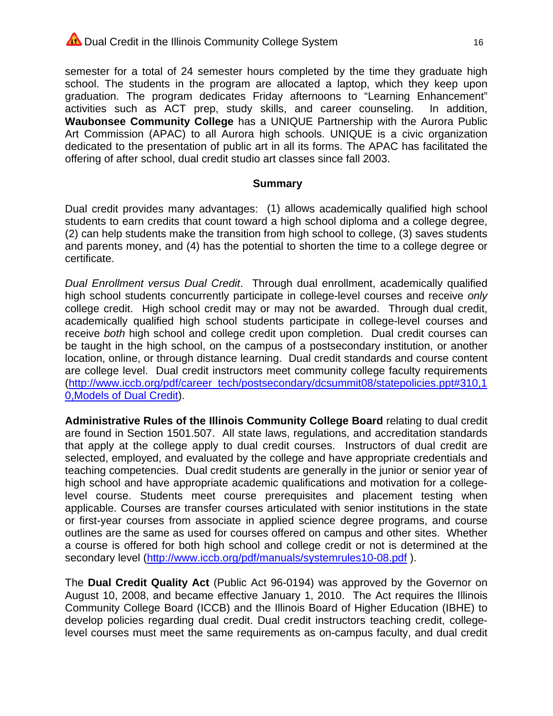## Dual Credit in the Illinois Community College System

semester for a total of 24 semester hours completed by the time they graduate high school. The students in the program are allocated a laptop, which they keep upon graduation. The program dedicates Friday afternoons to "Learning Enhancement" activities such as ACT prep, study skills, and career counseling. In addition. Waubonsee Community College has a UNIQUE Partnership with the Aurora Public Art Commission (APAC) to all Aurora high schools. UNIQUE is a civic organization dedicated to the presentation of public art in all its forms. The APAC has facilitated the offering of after school, dual credit studio art classes since fall 2003.

#### **Summary**

Dual credit provides many advantages: (1) allows academically qualified high school students to earn credits that count toward a high school diploma and a college degree, (2) can help students make the transition from high school to college, (3) saves students and parents money, and (4) has the potential to shorten the time to a college degree or certificate.

Dual Enrollment versus Dual Credit. Through dual enrollment, academically qualified high school students concurrently participate in college-level courses and receive only college credit. High school credit may or may not be awarded. Through dual credit, academically qualified high school students participate in college-level courses and receive both high school and college credit upon completion. Dual credit courses can be taught in the high school, on the campus of a postsecondary institution, or another location, online, or through distance learning. Dual credit standards and course content are college level. Dual credit instructors meet community college faculty requirements (http://www.iccb.org/pdf/career\_tech/postsecondary/dcsummit08/statepolicies.ppt#310,1 **0, Models of Dual Credit).** 

Administrative Rules of the Illinois Community College Board relating to dual credit are found in Section 1501.507. All state laws, regulations, and accreditation standards that apply at the college apply to dual credit courses. Instructors of dual credit are selected, employed, and evaluated by the college and have appropriate credentials and teaching competencies. Dual credit students are generally in the junior or senior year of high school and have appropriate academic qualifications and motivation for a collegelevel course. Students meet course prerequisites and placement testing when applicable. Courses are transfer courses articulated with senior institutions in the state or first-year courses from associate in applied science degree programs, and course outlines are the same as used for courses offered on campus and other sites. Whether a course is offered for both high school and college credit or not is determined at the secondary level (http://www.iccb.org/pdf/manuals/systemrules10-08.pdf).

The Dual Credit Quality Act (Public Act 96-0194) was approved by the Governor on August 10, 2008, and became effective January 1, 2010. The Act requires the Illinois Community College Board (ICCB) and the Illinois Board of Higher Education (IBHE) to develop policies regarding dual credit. Dual credit instructors teaching credit, collegelevel courses must meet the same requirements as on-campus faculty, and dual credit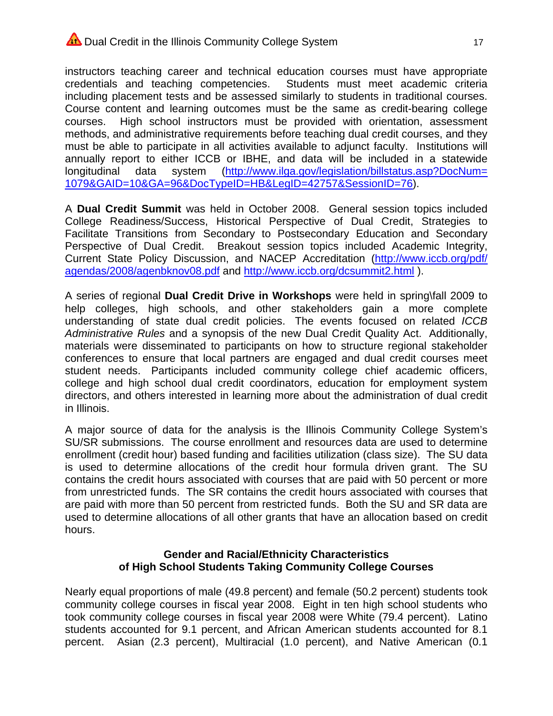## Dual Credit in the Illinois Community College System

instructors teaching career and technical education courses must have appropriate credentials and teaching competencies. Students must meet academic criteria including placement tests and be assessed similarly to students in traditional courses. Course content and learning outcomes must be the same as credit-bearing college High school instructors must be provided with orientation, assessment courses. methods, and administrative requirements before teaching dual credit courses, and they must be able to participate in all activities available to adjunct faculty. Institutions will annually report to either ICCB or IBHE, and data will be included in a statewide (http://www.ilga.gov/legislation/billstatus.asp?DocNum= longitudinal data svstem 1079&GAID=10&GA=96&DocTypeID=HB&LegID=42757&SessionID=76).

A Dual Credit Summit was held in October 2008. General session topics included College Readiness/Success, Historical Perspective of Dual Credit, Strategies to Facilitate Transitions from Secondary to Postsecondary Education and Secondary Perspective of Dual Credit. Breakout session topics included Academic Integrity, Current State Policy Discussion, and NACEP Accreditation (http://www.iccb.org/pdf/ agendas/2008/agenbknov08.pdf and http://www.iccb.org/dcsummit2.html).

A series of regional Dual Credit Drive in Workshops were held in spring\fall 2009 to help colleges, high schools, and other stakeholders gain a more complete understanding of state dual credit policies. The events focused on related ICCB Administrative Rules and a synopsis of the new Dual Credit Quality Act. Additionally, materials were disseminated to participants on how to structure regional stakeholder conferences to ensure that local partners are engaged and dual credit courses meet student needs. Participants included community college chief academic officers, college and high school dual credit coordinators, education for employment system directors, and others interested in learning more about the administration of dual credit in Illinois.

A major source of data for the analysis is the Illinois Community College System's SU/SR submissions. The course enrollment and resources data are used to determine enrollment (credit hour) based funding and facilities utilization (class size). The SU data is used to determine allocations of the credit hour formula driven grant. The SU contains the credit hours associated with courses that are paid with 50 percent or more from unrestricted funds. The SR contains the credit hours associated with courses that are paid with more than 50 percent from restricted funds. Both the SU and SR data are used to determine allocations of all other grants that have an allocation based on credit hours.

#### **Gender and Racial/Ethnicity Characteristics** of High School Students Taking Community College Courses

Nearly equal proportions of male (49.8 percent) and female (50.2 percent) students took community college courses in fiscal year 2008. Eight in ten high school students who took community college courses in fiscal year 2008 were White (79.4 percent). Latino students accounted for 9.1 percent, and African American students accounted for 8.1 percent. Asian (2.3 percent), Multiracial (1.0 percent), and Native American (0.1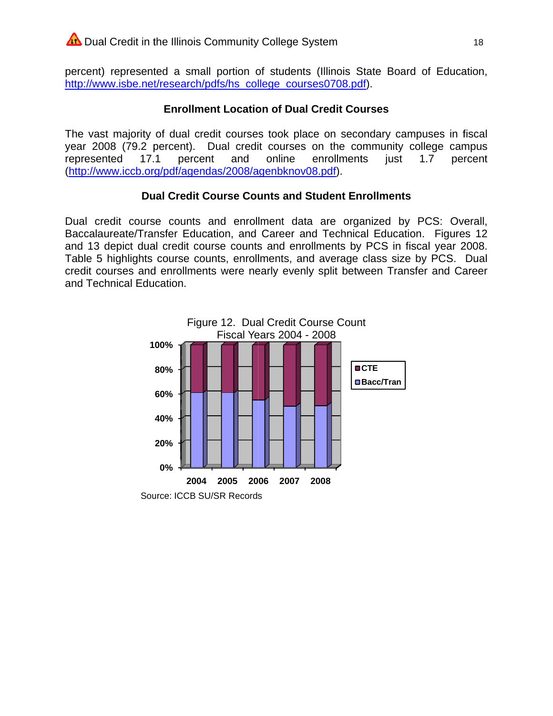percent) represented a small portion of students (Illinois State Board of Education, http://www.isbe.net/research/pdfs/hs college courses0708.pdf).

## **Enrollment Location of Dual Credit Courses**

The vast majority of dual credit courses took place on secondary campuses in fiscal year 2008 (79.2 percent). Dual credit courses on the community college campus represented  $17.1$ percent and online enrollments just  $1.7$ percent (http://www.iccb.org/pdf/agendas/2008/agenbknov08.pdf).

## **Dual Credit Course Counts and Student Enrollments**

Dual credit course counts and enrollment data are organized by PCS: Overall, Baccalaureate/Transfer Education, and Career and Technical Education. Figures 12 and 13 depict dual credit course counts and enrollments by PCS in fiscal year 2008. Table 5 highlights course counts, enrollments, and average class size by PCS. Dual credit courses and enrollments were nearly evenly split between Transfer and Career and Technical Education.

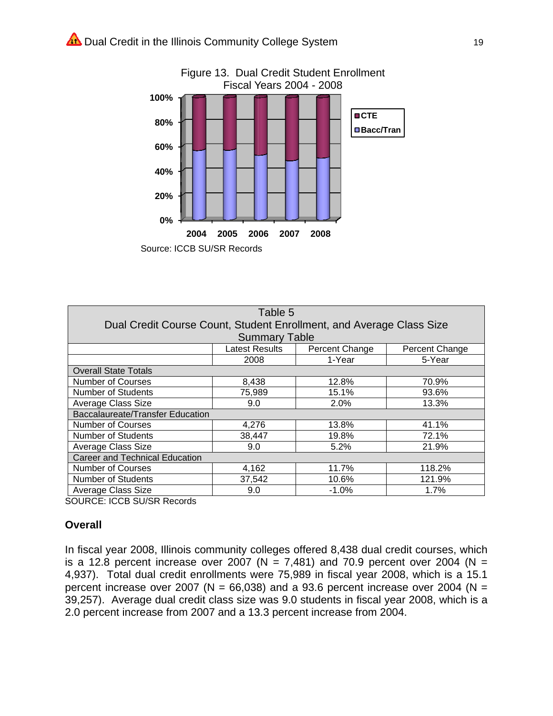

| Table 5                                                              |                      |                |                |  |  |  |  |  |  |  |  |
|----------------------------------------------------------------------|----------------------|----------------|----------------|--|--|--|--|--|--|--|--|
| Dual Credit Course Count, Student Enrollment, and Average Class Size |                      |                |                |  |  |  |  |  |  |  |  |
|                                                                      | <b>Summary Table</b> |                |                |  |  |  |  |  |  |  |  |
|                                                                      | Latest Results       | Percent Change | Percent Change |  |  |  |  |  |  |  |  |
|                                                                      | 2008                 | 1-Year         | 5-Year         |  |  |  |  |  |  |  |  |
| <b>Overall State Totals</b>                                          |                      |                |                |  |  |  |  |  |  |  |  |
| <b>Number of Courses</b>                                             | 8,438                | 12.8%          | 70.9%          |  |  |  |  |  |  |  |  |
| <b>Number of Students</b>                                            | 75,989               | 15.1%          | 93.6%          |  |  |  |  |  |  |  |  |
| Average Class Size                                                   | 9.0                  | 2.0%           | 13.3%          |  |  |  |  |  |  |  |  |
| <b>Baccalaureate/Transfer Education</b>                              |                      |                |                |  |  |  |  |  |  |  |  |
| <b>Number of Courses</b>                                             | 4,276                | 13.8%          | 41.1%          |  |  |  |  |  |  |  |  |
| <b>Number of Students</b>                                            | 38,447               | 19.8%          | 72.1%          |  |  |  |  |  |  |  |  |
| Average Class Size                                                   | 9.0                  | 5.2%           | 21.9%          |  |  |  |  |  |  |  |  |
| <b>Career and Technical Education</b>                                |                      |                |                |  |  |  |  |  |  |  |  |
| <b>Number of Courses</b>                                             | 4,162                | 11.7%          | 118.2%         |  |  |  |  |  |  |  |  |
| <b>Number of Students</b>                                            | 37,542               | 10.6%          | 121.9%         |  |  |  |  |  |  |  |  |
| Average Class Size                                                   | 9.0                  | $-1.0%$        | 1.7%           |  |  |  |  |  |  |  |  |

**SOURCE: ICCB SU/SR Records** 

#### Overall

In fiscal year 2008, Illinois community colleges offered 8,438 dual credit courses, which is a 12.8 percent increase over 2007 (N = 7,481) and 70.9 percent over 2004 (N = 4,937). Total dual credit enrollments were 75,989 in fiscal year 2008, which is a 15.1 percent increase over 2007 ( $N = 66,038$ ) and a 93.6 percent increase over 2004 ( $N =$ 39,257). Average dual credit class size was 9.0 students in fiscal year 2008, which is a 2.0 percent increase from 2007 and a 13.3 percent increase from 2004.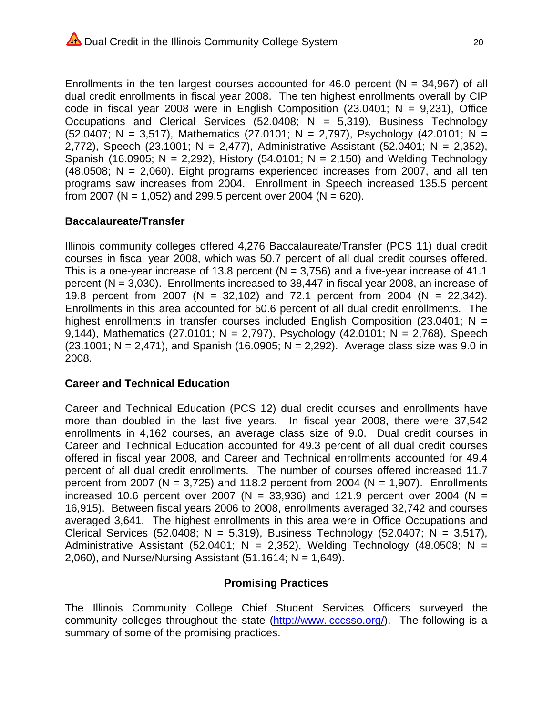Enrollments in the ten largest courses accounted for 46.0 percent ( $N = 34,967$ ) of all dual credit enrollments in fiscal year 2008. The ten highest enrollments overall by CIP code in fiscal year 2008 were in English Composition (23.0401;  $N = 9,231$ ), Office Occupations and Clerical Services (52.0408;  $N = 5,319$ ), Business Technology (52.0407; N = 3,517), Mathematics (27.0101; N = 2,797), Psychology (42.0101; N = 2.772), Speech (23.1001; N = 2.477), Administrative Assistant (52.0401; N = 2.352), Spanish (16.0905; N = 2,292), History (54.0101; N = 2,150) and Welding Technology  $(48.0508; N = 2,060)$ . Eight programs experienced increases from 2007, and all ten programs saw increases from 2004. Enrollment in Speech increased 135.5 percent from 2007 (N = 1,052) and 299.5 percent over 2004 (N = 620).

## **Baccalaureate/Transfer**

Illinois community colleges offered 4.276 Baccalaureate/Transfer (PCS 11) dual credit courses in fiscal year 2008, which was 50.7 percent of all dual credit courses offered. This is a one-year increase of 13.8 percent ( $N = 3.756$ ) and a five-year increase of 41.1 percent ( $N = 3,030$ ). Enrollments increased to 38,447 in fiscal year 2008, an increase of 19.8 percent from 2007 (N = 32,102) and 72.1 percent from 2004 (N = 22,342). Enrollments in this area accounted for 50.6 percent of all dual credit enrollments. The highest enrollments in transfer courses included English Composition (23.0401;  $N =$ 9.144), Mathematics (27.0101; N = 2.797), Psychology (42.0101; N = 2.768), Speech  $(23.1001; N = 2,471)$ , and Spanish  $(16.0905; N = 2,292)$ . Average class size was 9.0 in 2008.

## **Career and Technical Education**

Career and Technical Education (PCS 12) dual credit courses and enrollments have more than doubled in the last five years. In fiscal year 2008, there were 37,542 enrollments in 4,162 courses, an average class size of 9.0. Dual credit courses in Career and Technical Education accounted for 49.3 percent of all dual credit courses offered in fiscal year 2008, and Career and Technical enrollments accounted for 49.4 percent of all dual credit enrollments. The number of courses offered increased 11.7 percent from 2007 (N = 3,725) and 118.2 percent from 2004 (N = 1,907). Enrollments increased 10.6 percent over 2007 (N = 33,936) and 121.9 percent over 2004 (N = 16.915). Between fiscal vears 2006 to 2008, enrollments averaged 32.742 and courses averaged 3,641. The highest enrollments in this area were in Office Occupations and Clerical Services (52.0408; N = 5,319), Business Technology (52.0407; N = 3,517), Administrative Assistant (52.0401;  $N = 2,352$ ), Welding Technology (48.0508; N = 2,060), and Nurse/Nursing Assistant (51.1614;  $N = 1.649$ ).

## **Promising Practices**

The Illinois Community College Chief Student Services Officers surveyed the community colleges throughout the state (http://www.icccsso.org/). The following is a summary of some of the promising practices.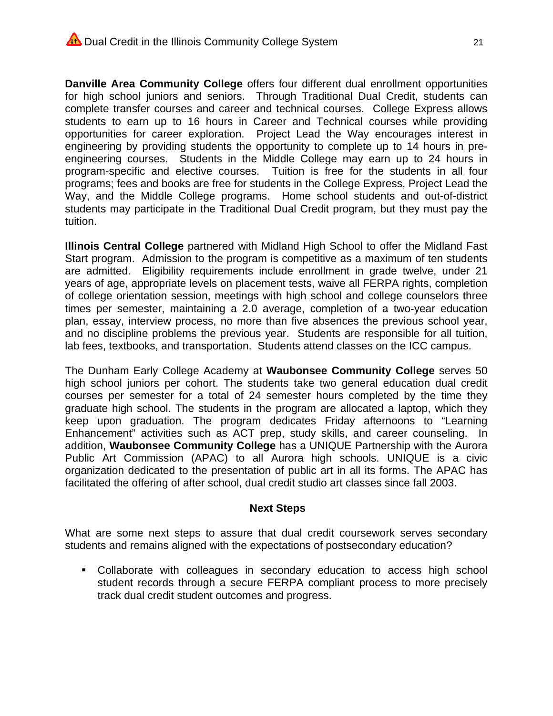Danville Area Community College offers four different dual enrollment opportunities for high school juniors and seniors. Through Traditional Dual Credit, students can complete transfer courses and career and technical courses. College Express allows students to earn up to 16 hours in Career and Technical courses while providing opportunities for career exploration. Project Lead the Way encourages interest in engineering by providing students the opportunity to complete up to 14 hours in preengineering courses. Students in the Middle College may earn up to 24 hours in program-specific and elective courses. Tuition is free for the students in all four programs; fees and books are free for students in the College Express, Project Lead the Way, and the Middle College programs. Home school students and out-of-district students may participate in the Traditional Dual Credit program, but they must pay the tuition.

Illinois Central College partnered with Midland High School to offer the Midland Fast Start program. Admission to the program is competitive as a maximum of ten students are admitted. Eligibility requirements include enrollment in grade twelve, under 21 years of age, appropriate levels on placement tests, waive all FERPA rights, completion of college orientation session, meetings with high school and college counselors three times per semester, maintaining a 2.0 average, completion of a two-year education plan, essay, interview process, no more than five absences the previous school year, and no discipline problems the previous year. Students are responsible for all tuition, lab fees, textbooks, and transportation. Students attend classes on the ICC campus.

The Dunham Early College Academy at Waubonsee Community College serves 50 high school juniors per cohort. The students take two general education dual credit courses per semester for a total of 24 semester hours completed by the time they graduate high school. The students in the program are allocated a laptop, which they keep upon graduation. The program dedicates Friday afternoons to "Learning Enhancement" activities such as ACT prep, study skills, and career counseling. In addition, Waubonsee Community College has a UNIQUE Partnership with the Aurora Public Art Commission (APAC) to all Aurora high schools. UNIQUE is a civic organization dedicated to the presentation of public art in all its forms. The APAC has facilitated the offering of after school, dual credit studio art classes since fall 2003.

#### **Next Steps**

What are some next steps to assure that dual credit coursework serves secondary students and remains aligned with the expectations of postsecondary education?

• Collaborate with colleagues in secondary education to access high school student records through a secure FERPA compliant process to more precisely track dual credit student outcomes and progress.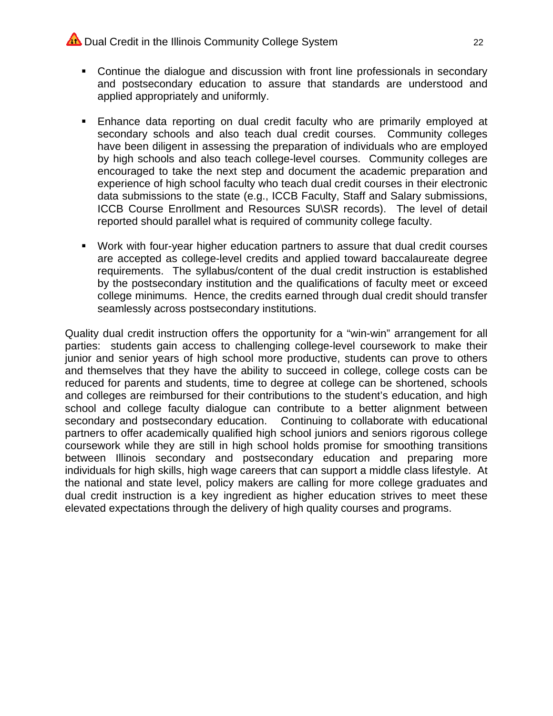## Dual Credit in the Illinois Community College System

- Continue the dialoque and discussion with front line professionals in secondary and postsecondary education to assure that standards are understood and applied appropriately and uniformly.
- . Enhance data reporting on dual credit faculty who are primarily employed at secondary schools and also teach dual credit courses. Community colleges have been diligent in assessing the preparation of individuals who are employed by high schools and also teach college-level courses. Community colleges are encouraged to take the next step and document the academic preparation and experience of high school faculty who teach dual credit courses in their electronic data submissions to the state (e.g., ICCB Faculty, Staff and Salary submissions, ICCB Course Enrollment and Resources SU\SR records). The level of detail reported should parallel what is required of community college faculty.
- Work with four-year higher education partners to assure that dual credit courses are accepted as college-level credits and applied toward baccalaureate degree requirements. The syllabus/content of the dual credit instruction is established by the postsecondary institution and the qualifications of faculty meet or exceed college minimums. Hence, the credits earned through dual credit should transfer seamlessly across postsecondary institutions.

Quality dual credit instruction offers the opportunity for a "win-win" arrangement for all parties: students gain access to challenging college-level coursework to make their junior and senior years of high school more productive, students can prove to others and themselves that they have the ability to succeed in college, college costs can be reduced for parents and students, time to degree at college can be shortened, schools and colleges are reimbursed for their contributions to the student's education, and high school and college faculty dialogue can contribute to a better alignment between secondary and postsecondary education. Continuing to collaborate with educational partners to offer academically qualified high school juniors and seniors rigorous college coursework while they are still in high school holds promise for smoothing transitions between Illinois secondary and postsecondary education and preparing more individuals for high skills, high wage careers that can support a middle class lifestyle. At the national and state level, policy makers are calling for more college graduates and dual credit instruction is a key ingredient as higher education strives to meet these elevated expectations through the delivery of high quality courses and programs.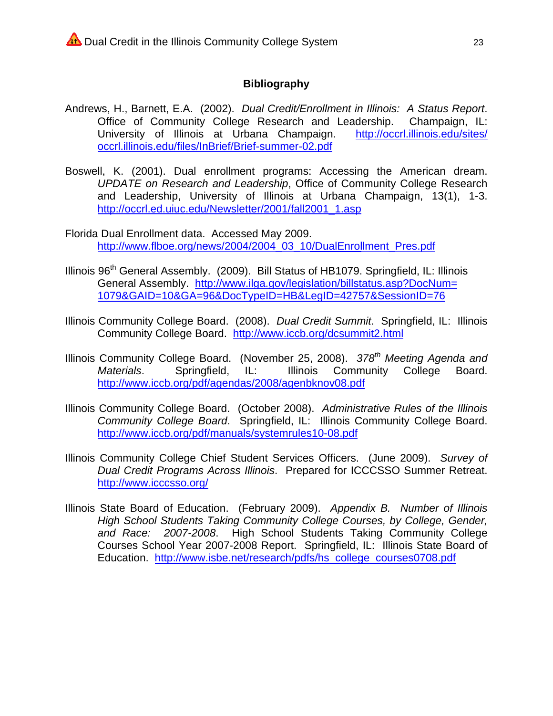#### **Bibliography**

- Andrews, H., Barnett, E.A. (2002). Dual Credit/Enrollment in Illinois: A Status Report. Office of Community College Research and Leadership. Champaign, IL: University of Illinois at Urbana Champaign. http://occrl.illinois.edu/sites/ occrl.illinois.edu/files/InBrief/Brief-summer-02.pdf
- Boswell, K. (2001). Dual enrollment programs: Accessing the American dream. UPDATE on Research and Leadership, Office of Community College Research and Leadership, University of Illinois at Urbana Champaign, 13(1), 1-3. http://occrl.ed.uiuc.edu/Newsletter/2001/fall2001\_1.asp
- Florida Dual Enrollment data. Accessed May 2009. http://www.flboe.org/news/2004/2004 03 10/DualEnrollment Pres.pdf
- Illinois 96<sup>th</sup> General Assembly. (2009). Bill Status of HB1079. Springfield, IL: Illinois General Assembly. http://www.ilga.gov/legislation/billstatus.asp?DocNum= 1079&GAID=10&GA=96&DocTypeID=HB&LegID=42757&SessionID=76
- Illinois Community College Board. (2008). Dual Credit Summit. Springfield, IL: Illinois Community College Board. http://www.iccb.org/dcsummit2.html
- Illinois Community College Board. (November 25, 2008). 378<sup>th</sup> Meeting Agenda and Illinois Community College Board. Materials. Springfield, IL: http://www.iccb.org/pdf/agendas/2008/agenbknov08.pdf
- Illinois Community College Board. (October 2008). Administrative Rules of the Illinois Community College Board. Springfield, IL: Illinois Community College Board. http://www.iccb.org/pdf/manuals/systemrules10-08.pdf
- Illinois Community College Chief Student Services Officers. (June 2009). Survey of Dual Credit Programs Across Illinois. Prepared for ICCCSSO Summer Retreat. http://www.icccsso.org/
- Illinois State Board of Education. (February 2009). Appendix B. Number of Illinois High School Students Taking Community College Courses, by College, Gender, and Race: 2007-2008. High School Students Taking Community College Courses School Year 2007-2008 Report. Springfield, IL: Illinois State Board of Education. http://www.isbe.net/research/pdfs/hs college courses0708.pdf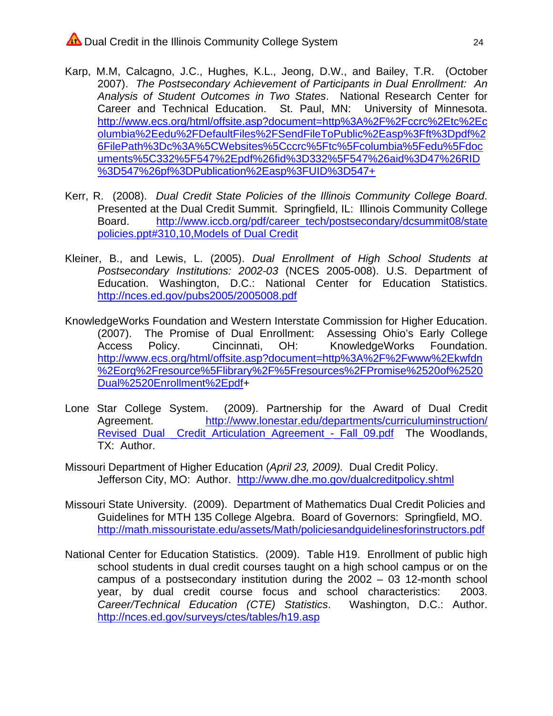- Karp, M.M, Calcagno, J.C., Hughes, K.L., Jeong, D.W., and Bailey, T.R. (October 2007). The Postsecondary Achievement of Participants in Dual Enrollment: An Analysis of Student Outcomes in Two States. National Research Center for Career and Technical Education. St. Paul, MN: University of Minnesota. http://www.ecs.org/html/offsite.asp?document=http%3A%2F%2Fccrc%2Etc%2Ec olumbia%2Eedu%2FDefaultFiles%2FSendFileToPublic%2Easp%3Fft%3Dpdf%2 6FilePath%3Dc%3A%5CWebsites%5Cccrc%5Ftc%5Fcolumbia%5Fedu%5Fdoc uments%5C332%5F547%2Epdf%26fid%3D332%5F547%26aid%3D47%26RID %3D547%26pf%3DPublication%2Easp%3FUID%3D547+
- Kerr, R. (2008). Dual Credit State Policies of the Illinois Community College Board. Presented at the Dual Credit Summit. Springfield, IL: Illinois Community College http://www.iccb.org/pdf/career\_tech/postsecondary/dcsummit08/state Board. policies.ppt#310,10, Models of Dual Credit
- Kleiner, B., and Lewis, L. (2005). Dual Enrollment of High School Students at Postsecondary Institutions: 2002-03 (NCES 2005-008). U.S. Department of Education. Washington, D.C.: National Center for Education Statistics. http://nces.ed.gov/pubs2005/2005008.pdf
- KnowledgeWorks Foundation and Western Interstate Commission for Higher Education. (2007). The Promise of Dual Enrollment: Assessing Ohio's Early College Access Policy. Cincinnati, OH: KnowledgeWorks Foundation. http://www.ecs.org/html/offsite.asp?document=http%3A%2F%2Fwww%2Ekwfdn %2Eorg%2Fresource%5Flibrary%2F%5Fresources%2FPromise%2520of%2520 Dual%2520Enrollment%2Epdf+
- (2009). Partnership for the Award of Dual Credit Lone Star College System. Agreement. http://www.lonestar.edu/departments/curriculuminstruction/ Revised Dual Credit Articulation Agreement - Fall 09.pdf The Woodlands, TX: Author.
- Missouri Department of Higher Education (April 23, 2009). Dual Credit Policy. Jefferson City, MO: Author. http://www.dhe.mo.gov/dualcreditpolicy.shtml
- Missouri State University. (2009). Department of Mathematics Dual Credit Policies and Guidelines for MTH 135 College Algebra. Board of Governors: Springfield, MO. http://math.missouristate.edu/assets/Math/policiesandquidelinesforinstructors.pdf
- National Center for Education Statistics. (2009). Table H19. Enrollment of public high school students in dual credit courses taught on a high school campus or on the campus of a postsecondary institution during the  $2002 - 03$  12-month school year, by dual credit course focus and school characteristics: 2003. Career/Technical Education (CTE) Statistics. Washington, D.C.: Author. http://nces.ed.gov/surveys/ctes/tables/h19.asp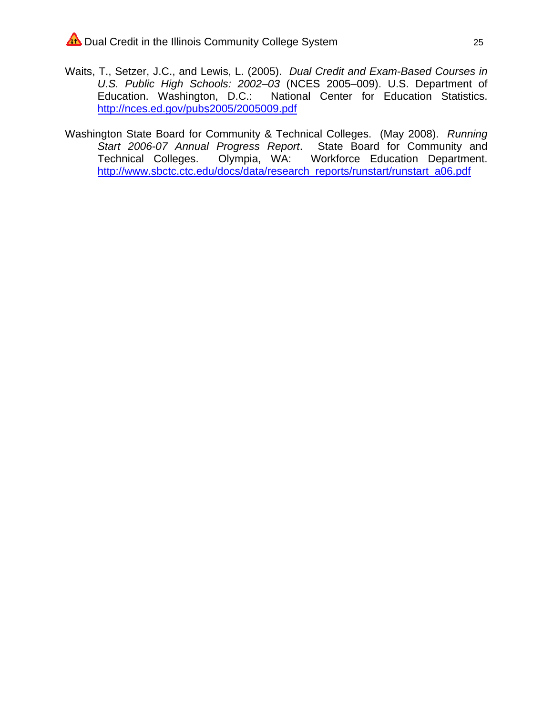- Waits, T., Setzer, J.C., and Lewis, L. (2005). Dual Credit and Exam-Based Courses in U.S. Public High Schools: 2002-03 (NCES 2005-009). U.S. Department of Education. Washington, D.C.: National Center for Education Statistics. http://nces.ed.gov/pubs2005/2005009.pdf
- Washington State Board for Community & Technical Colleges. (May 2008). Running Start 2006-07 Annual Progress Report. State Board for Community and Technical Colleges. Olympia, WA: Workforce Education Department. http://www.sbctc.ctc.edu/docs/data/research\_reports/runstart/runstart\_a06.pdf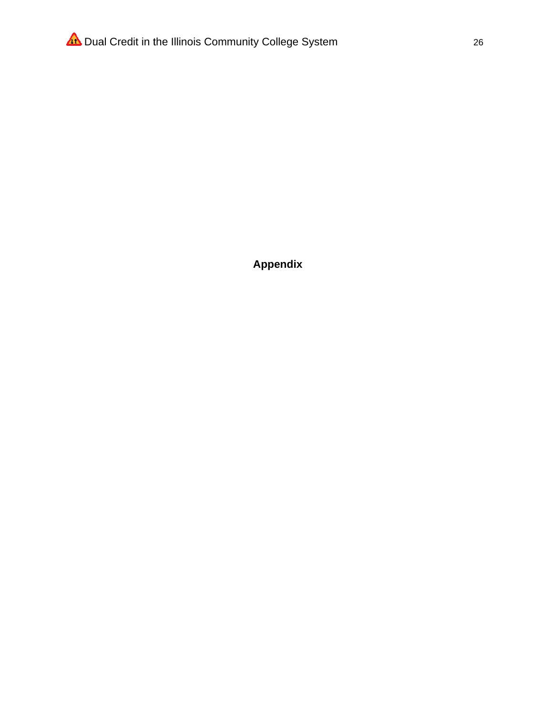Appendix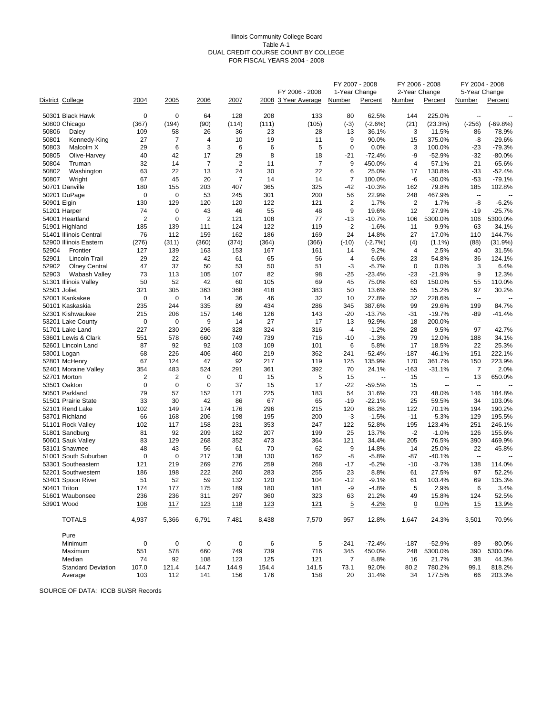#### Illinois Community College Board Table A-1 DUAL CREDIT COURSE COUNT BY COLLEGE FOR FISCAL YEARS 2004 - 2008

|              |                                   |                |                    |                |                |           |                     | FY 2007 - 2008 |                 | FY 2006 - 2008 |                 | FY 2004 - 2008                  |            |
|--------------|-----------------------------------|----------------|--------------------|----------------|----------------|-----------|---------------------|----------------|-----------------|----------------|-----------------|---------------------------------|------------|
|              |                                   |                |                    |                |                |           | FY 2006 - 2008      | 1-Year Change  |                 | 2-Year Change  |                 | 5-Year Change                   |            |
|              | District College                  | <u> 2004 </u>  | 2005               | 2006           | 2007           |           | 2008 3 Year Average | <b>Number</b>  | Percent         | <b>Number</b>  | Percent         | <b>Number</b>                   | Percent    |
|              | 50301 Black Hawk                  | 0              | 0                  | 64             | 128            | 208       | 133                 | 80             | 62.5%           | 144            | 225.0%          | $\overline{\phantom{a}}$        |            |
|              | 50800 Chicago                     | (367)          | (194)              | (90)           | (114)          | (111)     | (105)               | $(-3)$         | $(-2.6%)$       | (21)           | (23.3%)         | $(-256)$                        | $(-69.8%)$ |
| 50806        | Daley                             | 109            | 58                 | 26             | 36             | 23        | 28                  | $-13$          | $-36.1%$        | -3             | $-11.5%$        | -86                             | -78.9%     |
| 50801        | Kennedy-King                      | 27             | 7                  | $\overline{4}$ | 10             | 19        | 11                  | 9              | 90.0%           | 15             | 375.0%          | -8                              | $-29.6%$   |
| 50803        | Malcolm X                         | 29             | 6                  | 3              | 6              | 6         | 5                   | $\mathbf 0$    | 0.0%            | 3              | 100.0%          | -23                             | -79.3%     |
| 50805        | Olive-Harvey                      | 40             | 42                 | 17             | 29             | 8         | 18                  | $-21$          | $-72.4%$        | -9             | $-52.9%$        | $-32$                           | $-80.0%$   |
| 50804        | Truman                            | 32             | 14                 | $\overline{7}$ | $\overline{2}$ | 11        | $\overline{7}$      | 9              | 450.0%          | 4              | 57.1%           | $-21$                           | $-65.6%$   |
| 50802        | Washington                        | 63             | 22                 | 13             | 24             | 30        | 22                  | 6              | 25.0%           | 17             | 130.8%          | $-33$                           | $-52.4%$   |
| 50807        | Wright                            | 67             | 45                 | 20             | $\overline{7}$ | 14        | 14                  | 7              | 100.0%          | -6             | $-30.0%$        | -53                             | $-79.1%$   |
|              | 50701 Danville                    | 180            | 155                | 203            | 407            | 365       | 325                 | $-42$          | $-10.3%$        | 162            | 79.8%           | 185                             | 102.8%     |
|              | 50201 DuPage                      | $\mathbf 0$    | $\mathbf 0$        | 53             | 245            | 301       | 200                 | 56             | 22.9%           | 248            | 467.9%          | $\overline{\phantom{a}}$        |            |
| 50901 Elgin  |                                   | 130            | 129                | 120            | 120            | 122       | 121                 | $\overline{2}$ | 1.7%            | $\overline{2}$ | 1.7%            | -8                              | $-6.2%$    |
|              | 51201 Harper                      | 74             | $\mathbf 0$        | 43             | 46             | 55        | 48                  | 9              | 19.6%           | 12             | 27.9%           | $-19$                           | $-25.7%$   |
|              | 54001 Heartland                   | $\overline{2}$ | $\mathbf 0$        | $\overline{2}$ | 121            | 108       | 77                  | $-13$          | $-10.7%$        | 106            | 5300.0%         | 106                             | 5300.0%    |
|              | 51901 Highland                    | 185            | 139                | 111            | 124            | 122       | 119                 | -2             | $-1.6%$         | 11             | 9.9%            | -63                             | $-34.1%$   |
|              | 51401 Illinois Central            | 76             | 112                | 159            | 162            | 186       | 169                 | 24             | 14.8%           | 27             | 17.0%           | 110                             | 144.7%     |
|              | 52900 Illinois Eastern            | (276)          | (311)              | (360)          | (374)          | (364)     | (366)               | $(-10)$        | $(-2.7%)$       | (4)            | $(1.1\%)$       | (88)                            | (31.9%)    |
| 52904        | Frontier                          | 127            | 139                | 163            | 153            | 167       | 161                 | 14             | 9.2%            | 4              | 2.5%            | 40                              | 31.5%      |
| 52901        | Lincoln Trail                     | 29             | 22                 | 42             | 61             | 65        | 56                  | 4              | 6.6%            | 23             | 54.8%           | 36                              | 124.1%     |
| 52902        | Olney Central                     | 47             | 37                 | 50             | 53             | 50        | 51                  | -3             | $-5.7%$         | 0              | 0.0%            | 3                               | 6.4%       |
| 52903        | Wabash Valley                     | 73             | 113                | 105            | 107            | 82        | 98                  | -25            | $-23.4%$        | -23            | $-21.9%$        | 9                               | 12.3%      |
|              | 51301 Illinois Valley             | 50             | 52                 | 42             | 60             | 105       | 69                  | 45             | 75.0%           | 63             | 150.0%          | 55                              | 110.0%     |
| 52501 Joliet |                                   | 321            | 305<br>$\mathbf 0$ | 363            | 368            | 418       | 383                 | 50             | 13.6%           | 55             | 15.2%           | 97                              | 30.2%      |
|              | 52001 Kankakee<br>50101 Kaskaskia | 0<br>235       | 244                | 14<br>335      | 36<br>89       | 46<br>434 | 32<br>286           | 10<br>345      | 27.8%<br>387.6% | 32<br>99       | 228.6%<br>29.6% | $\overline{\phantom{a}}$<br>199 | 84.7%      |
|              | 52301 Kishwaukee                  | 215            | 206                | 157            | 146            | 126       | 143                 | $-20$          | $-13.7%$        | -31            | $-19.7%$        | -89                             | $-41.4%$   |
|              | 53201 Lake County                 | 0              | 0                  | 9              | 14             | 27        | 17                  | 13             | 92.9%           | 18             | 200.0%          | $\overline{\phantom{a}}$        |            |
|              | 51701 Lake Land                   | 227            | 230                | 296            | 328            | 324       | 316                 | -4             | $-1.2%$         | 28             | 9.5%            | 97                              | 42.7%      |
|              | 53601 Lewis & Clark               | 551            | 578                | 660            | 749            | 739       | 716                 | $-10$          | $-1.3%$         | 79             | 12.0%           | 188                             | 34.1%      |
|              | 52601 Lincoln Land                | 87             | 92                 | 92             | 103            | 109       | 101                 | 6              | 5.8%            | 17             | 18.5%           | 22                              | 25.3%      |
|              | 53001 Logan                       | 68             | 226                | 406            | 460            | 219       | 362                 | $-241$         | $-52.4%$        | $-187$         | $-46.1%$        | 151                             | 222.1%     |
|              | 52801 McHenry                     | 67             | 124                | 47             | 92             | 217       | 119                 | 125            | 135.9%          | 170            | 361.7%          | 150                             | 223.9%     |
|              | 52401 Moraine Valley              | 354            | 483                | 524            | 291            | 361       | 392                 | 70             | 24.1%           | $-163$         | $-31.1%$        | 7                               | 2.0%       |
|              | 52701 Morton                      | 2              | 2                  | 0              | 0              | 15        | 5                   | 15             | ÷.              | 15             | $\overline{a}$  | 13                              | 650.0%     |
|              | 53501 Oakton                      | 0              | 0                  | 0              | 37             | 15        | 17                  | $-22$          | -59.5%          | 15             | $\overline{a}$  | $\overline{\phantom{a}}$        |            |
|              | 50501 Parkland                    | 79             | 57                 | 152            | 171            | 225       | 183                 | 54             | 31.6%           | 73             | 48.0%           | 146                             | 184.8%     |
|              | 51501 Prairie State               | 33             | 30                 | 42             | 86             | 67        | 65                  | $-19$          | $-22.1%$        | 25             | 59.5%           | 34                              | 103.0%     |
|              | 52101 Rend Lake                   | 102            | 149                | 174            | 176            | 296       | 215                 | 120            | 68.2%           | 122            | 70.1%           | 194                             | 190.2%     |
|              | 53701 Richland                    | 66             | 168                | 206            | 198            | 195       | 200                 | -3             | $-1.5%$         | $-11$          | $-5.3%$         | 129                             | 195.5%     |
|              | 51101 Rock Valley                 | 102            | 117                | 158            | 231            | 353       | 247                 | 122            | 52.8%           | 195            | 123.4%          | 251                             | 246.1%     |
|              | 51801 Sandburg                    | 81             | 92                 | 209            | 182            | 207       | 199                 | 25             | 13.7%           | -2             | $-1.0%$         | 126                             | 155.6%     |
|              | 50601 Sauk Valley                 | 83             | 129                | 268            | 352            | 473       | 364                 | 121            | 34.4%           | 205            | 76.5%           | 390                             | 469.9%     |
|              | 53101 Shawnee                     | 48             | 43                 | 56             | 61             | 70        | 62                  | 9              | 14.8%           | 14             | 25.0%           | 22                              | 45.8%      |
|              | 51001 South Suburban              | $\mathbf 0$    | $\mathbf 0$        | 217            | 138            | 130       | 162                 | -8             | $-5.8%$         | -87            | $-40.1%$        | $\sim$                          |            |
|              | 53301 Southeastern                | 121            | 219                | 269            | 276            | 259       | 268                 | $-17$          | $-6.2%$         | $-10$          | $-3.7%$         | 138                             | 114.0%     |
|              | 52201 Southwestern                | 186            | 198                | 222            | 260            | 283       | 255                 | 23             | 8.8%            | 61             | 27.5%           | 97                              | 52.2%      |
|              | 53401 Spoon River                 | 51             | 52                 | 59             | 132            | 120       | 104                 | $-12$          | $-9.1%$         | 61             | 103.4%          | 69                              | 135.3%     |
| 50401 Triton |                                   | 174            | 177                | 175            | 189            | 180       | 181                 | -9             | -4.8%           | 5              | 2.9%            | 6                               | 3.4%       |
|              | 51601 Waubonsee                   | 236            | 236                | 311            | 297            | 360       | 323                 | 63             | 21.2%           | 49             | 15.8%           | 124                             | 52.5%      |
|              | 53901 Wood                        | <u>108</u>     | 117                | <u>123</u>     | 118            | 123       | 121                 | $\overline{5}$ | 4.2%            | $\overline{0}$ | 0.0%            | <u>15</u>                       | 13.9%      |
|              | <b>TOTALS</b>                     | 4,937          | 5,366              | 6,791          | 7,481          | 8,438     | 7,570               | 957            | 12.8%           | 1,647          | 24.3%           | 3,501                           | 70.9%      |
|              | Pure                              |                |                    |                |                |           |                     |                |                 |                |                 |                                 |            |
|              | Minimum                           | 0              | 0                  | 0              | 0              | 6         | 5                   | $-241$         | $-72.4%$        | $-187$         | $-52.9%$        | -89                             | $-80.0\%$  |
|              | Maximum                           | 551            | 578                | 660            | 749            | 739       | 716                 | 345            | 450.0%          | 248            | 5300.0%         | 390                             | 5300.0%    |
|              | Median                            | 74             | 92                 | 108            | 123            | 125       | 121                 | 7              | 8.8%            | 16             | 21.7%           | 38                              | 44.3%      |
|              | <b>Standard Deviation</b>         | 107.0          | 121.4              | 144.7          | 144.9          | 154.4     | 141.5               | 73.1           | 92.0%           | 80.2           | 780.2%          | 99.1                            | 818.2%     |
|              | Average                           | 103            | 112                | 141            | 156            | 176       | 158                 | 20             | 31.4%           | 34             | 177.5%          | 66                              | 203.3%     |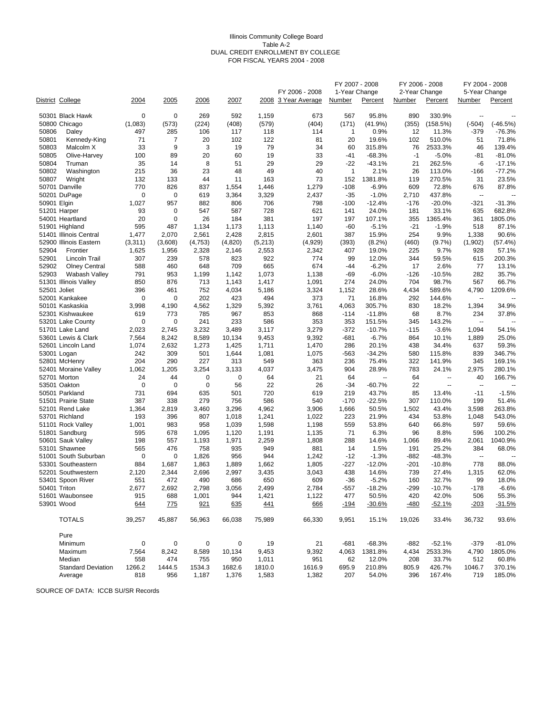#### Illinois Community College Board Table A-2 DUAL CREDIT ENROLLMENT BY COLLEGE FOR FISCAL YEARS 2004 - 2008

|                |                                       |             |                    |            |              |              |                     | FY 2007 - 2008      |                          | FY 2006 - 2008 |                  | FY 2004 - 2008           |                   |
|----------------|---------------------------------------|-------------|--------------------|------------|--------------|--------------|---------------------|---------------------|--------------------------|----------------|------------------|--------------------------|-------------------|
|                |                                       |             |                    |            |              |              | FY 2006 - 2008      | 1-Year Change       |                          | 2-Year Change  |                  | 5-Year Change            |                   |
|                | District College                      | 2004        | 2005               | 2006       | 2007         |              | 2008 3 Year Average | Number              | Percent                  | Number         | Percent          | Number                   | Percent           |
|                | 50301 Black Hawk                      | $\mathbf 0$ | $\mathbf 0$        | 269        | 592          | 1,159        | 673                 | 567                 | 95.8%                    | 890            | 330.9%           | $\overline{a}$           |                   |
|                | 50800 Chicago                         | (1,083)     | (573)              | (224)      | (408)        | (579)        | (404)               | (171)               | (41.9%)                  | (355)          | (158.5%)         | $(-504)$                 | $(-46.5%)$        |
| 50806          | Daley                                 | 497         | 285                | 106        | 117          | 118          | 114                 | $\mathbf{1}$        | 0.9%                     | 12             | 11.3%            | $-379$                   | $-76.3%$          |
| 50801          | Kennedy-King                          | 71          | 7                  | 20         | 102          | 122          | 81                  | 20                  | 19.6%                    | 102            | 510.0%           | 51                       | 71.8%             |
| 50803          | Malcolm X                             | 33          | 9                  | 3          | 19           | 79           | 34                  | 60                  | 315.8%                   | 76             | 2533.3%          | 46                       | 139.4%            |
| 50805          | Olive-Harvey                          | 100         | 89                 | 20         | 60           | 19           | 33                  | -41                 | $-68.3%$                 | -1             | $-5.0%$          | -81                      | $-81.0%$          |
| 50804          | Truman                                | 35          | 14                 | 8          | 51           | 29           | 29                  | -22                 | $-43.1%$                 | 21             | 262.5%           | -6                       | $-17.1%$          |
| 50802<br>50807 | Washington<br>Wright                  | 215<br>132  | 36<br>133          | 23<br>44   | 48<br>11     | 49<br>163    | 40<br>73            | $\mathbf{1}$<br>152 | 2.1%<br>1381.8%          | 26<br>119      | 113.0%<br>270.5% | $-166$<br>31             | $-77.2%$<br>23.5% |
|                | 50701 Danville                        | 770         | 826                | 837        | 1,554        | 1,446        | 1,279               | $-108$              | $-6.9%$                  | 609            | 72.8%            | 676                      | 87.8%             |
|                | 50201 DuPage                          | 0           | 0                  | 619        | 3,364        | 3,329        | 2,437               | $-35$               | $-1.0%$                  | 2,710          | 437.8%           | $\overline{\phantom{a}}$ |                   |
| 50901 Elgin    |                                       | 1,027       | 957                | 882        | 806          | 706          | 798                 | $-100$              | $-12.4%$                 | -176           | $-20.0%$         | $-321$                   | $-31.3%$          |
|                | 51201 Harper                          | 93          | $\mathbf 0$        | 547        | 587          | 728          | 621                 | 141                 | 24.0%                    | 181            | 33.1%            | 635                      | 682.8%            |
|                | 54001 Heartland                       | 20          | $\mathbf 0$        | 26         | 184          | 381          | 197                 | 197                 | 107.1%                   | 355            | 1365.4%          | 361                      | 1805.0%           |
|                | 51901 Highland                        | 595         | 487                | 1,134      | 1,173        | 1,113        | 1,140               | $-60$               | $-5.1%$                  | $-21$          | $-1.9%$          | 518                      | 87.1%             |
|                | 51401 Illinois Central                | 1,477       | 2,070              | 2,561      | 2,428        | 2,815        | 2,601               | 387                 | 15.9%                    | 254            | 9.9%             | 1,338                    | 90.6%             |
|                | 52900 Illinois Eastern                | (3,311)     | (3,608)            | (4,753)    | (4,820)      | (5,213)      | (4,929)             | (393)               | $(8.2\%)$                | (460)          | $(9.7\%)$        | (1,902)                  | (57.4%)           |
| 52904          | Frontier                              | 1,625       | 1,956              | 2,328      | 2,146        | 2,553        | 2,342               | 407                 | 19.0%                    | 225            | 9.7%             | 928                      | 57.1%             |
| 52901          | Lincoln Trail                         | 307         | 239                | 578        | 823          | 922          | 774                 | 99                  | 12.0%                    | 344            | 59.5%            | 615                      | 200.3%            |
| 52902          | <b>Olney Central</b>                  | 588         | 460                | 648        | 709          | 665          | 674                 | -44                 | $-6.2%$                  | 17             | 2.6%             | 77                       | 13.1%             |
| 52903          | Wabash Valley                         | 791         | 953                | 1,199      | 1,142        | 1,073        | 1,138               | -69                 | $-6.0%$                  | $-126$         | $-10.5%$         | 282                      | 35.7%             |
|                | 51301 Illinois Valley                 | 850         | 876                | 713        | 1,143        | 1,417        | 1,091               | 274                 | 24.0%                    | 704            | 98.7%            | 567                      | 66.7%             |
| 52501 Joliet   | 52001 Kankakee                        | 396<br>0    | 461<br>$\mathbf 0$ | 752<br>202 | 4,034<br>423 | 5,186<br>494 | 3,324<br>373        | 1,152<br>71         | 28.6%<br>16.8%           | 4,434<br>292   | 589.6%<br>144.6% | 4,790<br>$\overline{a}$  | 1209.6%           |
|                | 50101 Kaskaskia                       | 3,998       | 4,190              | 4,562      | 1,329        | 5,392        | 3,761               | 4,063               | 305.7%                   | 830            | 18.2%            | 1,394                    | 34.9%             |
|                | 52301 Kishwaukee                      | 619         | 773                | 785        | 967          | 853          | 868                 | $-114$              | $-11.8%$                 | 68             | 8.7%             | 234                      | 37.8%             |
|                | 53201 Lake County                     | 0           | $\mathbf 0$        | 241        | 233          | 586          | 353                 | 353                 | 151.5%                   | 345            | 143.2%           | $\overline{\phantom{a}}$ |                   |
|                | 51701 Lake Land                       | 2,023       | 2,745              | 3,232      | 3,489        | 3,117        | 3,279               | -372                | $-10.7%$                 | $-115$         | $-3.6%$          | 1,094                    | 54.1%             |
|                | 53601 Lewis & Clark                   | 7,564       | 8,242              | 8,589      | 10,134       | 9,453        | 9,392               | $-681$              | $-6.7%$                  | 864            | 10.1%            | 1,889                    | 25.0%             |
|                | 52601 Lincoln Land                    | 1,074       | 2,632              | 1,273      | 1,425        | 1,711        | 1,470               | 286                 | 20.1%                    | 438            | 34.4%            | 637                      | 59.3%             |
|                | 53001 Logan                           | 242         | 309                | 501        | 1,644        | 1,081        | 1,075               | -563                | $-34.2%$                 | 580            | 115.8%           | 839                      | 346.7%            |
|                | 52801 McHenry                         | 204         | 290                | 227        | 313          | 549          | 363                 | 236                 | 75.4%                    | 322            | 141.9%           | 345                      | 169.1%            |
|                | 52401 Moraine Valley                  | 1,062       | 1,205              | 3,254      | 3,133        | 4,037        | 3,475               | 904                 | 28.9%                    | 783            | 24.1%            | 2,975                    | 280.1%            |
|                | 52701 Morton                          | 24          | 44                 | 0          | 0            | 64           | 21                  | 64                  | $\overline{\phantom{a}}$ | 64             | --               | 40                       | 166.7%            |
|                | 53501 Oakton                          | 0           | $\mathbf 0$        | 0          | 56           | 22           | 26                  | -34                 | $-60.7%$                 | 22             | --               | $\overline{\phantom{a}}$ |                   |
|                | 50501 Parkland<br>51501 Prairie State | 731<br>387  | 694<br>338         | 635<br>279 | 501<br>756   | 720<br>586   | 619<br>540          | 219                 | 43.7%<br>$-22.5%$        | 85<br>307      | 13.4%<br>110.0%  | $-11$<br>199             | $-1.5%$           |
|                | 52101 Rend Lake                       | 1,364       | 2,819              | 3,460      | 3,296        | 4,962        | 3,906               | -170<br>1,666       | 50.5%                    | 1,502          | 43.4%            | 3,598                    | 51.4%<br>263.8%   |
|                | 53701 Richland                        | 193         | 396                | 807        | 1,018        | 1,241        | 1,022               | 223                 | 21.9%                    | 434            | 53.8%            | 1,048                    | 543.0%            |
|                | 51101 Rock Valley                     | 1,001       | 983                | 958        | 1,039        | 1,598        | 1,198               | 559                 | 53.8%                    | 640            | 66.8%            | 597                      | 59.6%             |
|                | 51801 Sandburg                        | 595         | 678                | 1,095      | 1,120        | 1,191        | 1,135               | 71                  | 6.3%                     | 96             | 8.8%             | 596                      | 100.2%            |
|                | 50601 Sauk Valley                     | 198         | 557                | 1,193      | 1,971        | 2,259        | 1,808               | 288                 | 14.6%                    | 1,066          | 89.4%            | 2,061                    | 1040.9%           |
|                | 53101 Shawnee                         | 565         | 476                | 758        | 935          | 949          | 881                 | 14                  | 1.5%                     | 191            | 25.2%            | 384                      | 68.0%             |
|                | 51001 South Suburban                  | 0           | $\mathbf 0$        | 1,826      | 956          | 944          | 1,242               | $-12$               | $-1.3%$                  | -882           | $-48.3%$         | $\overline{\phantom{a}}$ |                   |
|                | 53301 Southeastern                    | 884         | 1,687              | 1,863      | 1,889        | 1,662        | 1,805               | -227                | $-12.0%$                 | $-201$         | $-10.8%$         | 778                      | 88.0%             |
|                | 52201 Southwestern                    | 2,120       | 2,344              | 2,696      | 2,997        | 3,435        | 3,043               | 438                 | 14.6%                    | 739            | 27.4%            | 1,315                    | 62.0%             |
|                | 53401 Spoon River                     | 551         | 472                | 490        | 686          | 650          | 609                 | -36                 | $-5.2%$                  | 160            | 32.7%            | 99                       | 18.0%             |
| 50401 Triton   |                                       | 2,677       | 2,692              | 2,798      | 3,056        | 2,499        | 2,784               | -557                | $-18.2%$                 | -299           | -10.7%           | -178                     | $-6.6%$           |
|                | 51601 Waubonsee                       | 915         | 688                | 1,001      | 944          | 1,421        | 1,122               | 477                 | 50.5%                    | 420            | 42.0%            | 506                      | 55.3%             |
|                | 53901 Wood                            | 644         | 775                | 921        | 635          | 441          | 666                 | <u>-194</u>         | <u>-30.6%</u>            | <u>-480</u>    | $-52.1%$         | <u>-203</u>              | $-31.5%$          |
|                | <b>TOTALS</b>                         | 39,257      | 45,887             | 56,963     | 66,038       | 75,989       | 66,330              | 9,951               | 15.1%                    | 19,026         | 33.4%            | 36,732                   | 93.6%             |
|                | Pure                                  |             |                    |            |              |              |                     |                     |                          |                |                  |                          |                   |
|                | Minimum                               | 0           | 0                  | 0          | 0            | 19           | 21                  | $-681$              | $-68.3%$                 | $-882$         | $-52.1%$         | $-379$                   | $-81.0%$          |
|                | Maximum                               | 7,564       | 8,242              | 8,589      | 10,134       | 9,453        | 9,392               | 4,063               | 1381.8%                  | 4,434          | 2533.3%          | 4,790                    | 1805.0%           |
|                | Median                                | 558         | 474                | 755        | 950          | 1,011        | 951                 | 62                  | 12.0%                    | 208            | 33.7%            | 512                      | 60.8%             |
|                | <b>Standard Deviation</b>             | 1266.2      | 1444.5             | 1534.3     | 1682.6       | 1810.0       | 1616.9              | 695.9               | 210.8%                   | 805.9          | 426.7%           | 1046.7                   | 370.1%            |
|                | Average                               | 818         | 956                | 1,187      | 1,376        | 1,583        | 1,382               | 207                 | 54.0%                    | 396            | 167.4%           | 719                      | 185.0%            |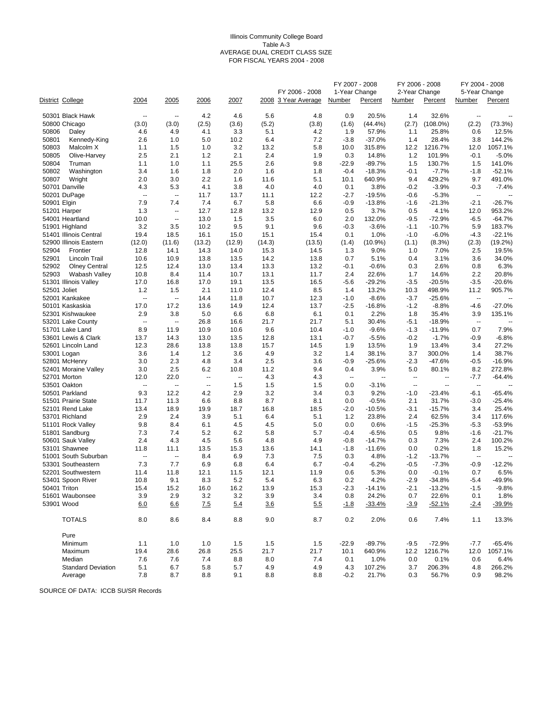#### Illinois Community College Board Table A-3 AVERAGE DUAL CREDIT CLASS SIZE FOR FISCAL YEARS 2004 - 2008

|                |                              |                          |                          |             |                |             |                                       | FY 2007 - 2008          |                 | FY 2006 - 2008          |                          | FY 2004 - 2008           |                   |
|----------------|------------------------------|--------------------------|--------------------------|-------------|----------------|-------------|---------------------------------------|-------------------------|-----------------|-------------------------|--------------------------|--------------------------|-------------------|
|                |                              | 2004                     | 2005                     | 2006        | 2007           |             | FY 2006 - 2008<br>2008 3 Year Average | 1-Year Change<br>Number | Percent         | 2-Year Change<br>Number | Percent                  | 5-Year Change<br>Number  | Percent           |
|                | District College             |                          |                          |             |                |             |                                       |                         |                 |                         |                          |                          |                   |
|                | 50301 Black Hawk             | $\sim$                   | $\overline{\phantom{a}}$ | 4.2         | 4.6            | 5.6         | 4.8                                   | 0.9                     | 20.5%           | 1.4                     | 32.6%                    | $\overline{\phantom{a}}$ |                   |
|                | 50800 Chicago                | (3.0)                    | (3.0)                    | (2.5)       | (3.6)          | (5.2)       | (3.8)                                 | (1.6)                   | (44.4%          | (2.7)                   | $(108.0\%)$              | (2.2)                    | (73.3%)           |
| 50806          | Daley                        | 4.6                      | 4.9                      | 4.1         | 3.3            | 5.1         | 4.2                                   | 1.9                     | 57.9%           | 1.1                     | 25.8%                    | 0.6                      | 12.5%             |
| 50801<br>50803 | Kennedy-King<br>Malcolm X    | 2.6                      | 1.0<br>1.5               | 5.0<br>1.0  | 10.2<br>3.2    | 6.4         | 7.2<br>5.8                            | $-3.8$<br>10.0          | $-37.0%$        | 1.4<br>12.2             | 28.4%<br>1216.7%         | 3.8                      | 144.2%<br>1057.1% |
| 50805          | Olive-Harvey                 | 1.1<br>2.5               | 2.1                      | 1.2         | 2.1            | 13.2<br>2.4 | 1.9                                   | 0.3                     | 315.8%<br>14.8% | 1.2                     | 101.9%                   | 12.0<br>$-0.1$           | $-5.0%$           |
| 50804          | Truman                       | 1.1                      | 1.0                      | 1.1         | 25.5           | 2.6         | 9.8                                   | $-22.9$                 | $-89.7%$        | 1.5                     | 130.7%                   | 1.5                      | 141.0%            |
| 50802          | Washington                   | 3.4                      | 1.6                      | 1.8         | 2.0            | 1.6         | 1.8                                   | $-0.4$                  | $-18.3%$        | $-0.1$                  | $-7.7%$                  | $-1.8$                   | $-52.1%$          |
| 50807          | Wright                       | 2.0                      | 3.0                      | 2.2         | 1.6            | 11.6        | 5.1                                   | 10.1                    | 640.9%          | 9.4                     | 429.2%                   | 9.7                      | 491.0%            |
|                | 50701 Danville               | 4.3                      | 5.3                      | 4.1         | 3.8            | 4.0         | 4.0                                   | 0.1                     | 3.8%            | $-0.2$                  | $-3.9%$                  | $-0.3$                   | $-7.4%$           |
|                | 50201 DuPage                 | $\overline{\phantom{a}}$ | $\overline{\phantom{a}}$ | 11.7        | 13.7           | 11.1        | 12.2                                  | $-2.7$                  | $-19.5%$        | $-0.6$                  | $-5.3%$                  | $\overline{\phantom{a}}$ |                   |
| 50901 Elgin    |                              | 7.9                      | 7.4                      | 7.4         | 6.7            | 5.8         | 6.6                                   | $-0.9$                  | $-13.8%$        | $-1.6$                  | $-21.3%$                 | $-2.1$                   | $-26.7%$          |
|                | 51201 Harper                 | 1.3                      | ä,                       | 12.7        | 12.8           | 13.2        | 12.9                                  | 0.5                     | 3.7%            | 0.5                     | 4.1%                     | 12.0                     | 953.2%            |
|                | 54001 Heartland              | 10.0                     | $\overline{\phantom{a}}$ | 13.0        | 1.5            | 3.5         | 6.0                                   | 2.0                     | 132.0%          | $-9.5$                  | $-72.9%$                 | $-6.5$                   | $-64.7%$          |
|                | 51901 Highland               | 3.2                      | 3.5                      | 10.2        | 9.5            | 9.1         | 9.6                                   | $-0.3$                  | $-3.6%$         | $-1.1$                  | $-10.7%$                 | 5.9                      | 183.7%            |
|                | 51401 Illinois Central       | 19.4                     | 18.5                     | 16.1        | 15.0           | 15.1        | 15.4                                  | 0.1                     | 1.0%            | $-1.0$                  | $-6.0%$                  | $-4.3$                   | $-22.1%$          |
|                | 52900 Illinois Eastern       | (12.0)                   | (11.6)                   | (13.2)      | (12.9)         | (14.3)      | (13.5)                                | (1.4)                   | $(10.9\%)$      | (1.1)                   | (8.3%)                   | (2.3)                    | (19.2%)           |
| 52904          | Frontier                     | 12.8                     | 14.1                     | 14.3        | 14.0           | 15.3        | 14.5                                  | 1.3                     | 9.0%            | 1.0                     | 7.0%                     | 2.5                      | 19.5%             |
| 52901          | Lincoln Trail                | 10.6                     | 10.9                     | 13.8        | 13.5           | 14.2        | 13.8                                  | 0.7                     | 5.1%            | 0.4                     | 3.1%                     | 3.6                      | 34.0%             |
| 52902          | <b>Olney Central</b>         | 12.5                     | 12.4                     | 13.0        | 13.4           | 13.3        | 13.2                                  | -0.1                    | $-0.6%$         | 0.3                     | 2.6%                     | 0.8                      | 6.3%              |
| 52903          | Wabash Valley                | 10.8                     | 8.4                      | 11.4        | 10.7           | 13.1        | 11.7                                  | 2.4                     | 22.6%           | 1.7                     | 14.6%                    | 2.2                      | 20.8%             |
|                | 51301 Illinois Valley        | 17.0                     | 16.8                     | 17.0        | 19.1           | 13.5        | 16.5                                  | $-5.6$                  | $-29.2%$        | $-3.5$                  | $-20.5%$                 | $-3.5$                   | $-20.6%$          |
| 52501 Joliet   |                              | 1.2                      | 1.5                      | 2.1         | 11.0           | 12.4        | 8.5                                   | 1.4                     | 13.2%           | 10.3                    | 498.9%                   | 11.2                     | 905.7%            |
|                | 52001 Kankakee               | ÷.                       | $\ddotsc$                | 14.4        | 11.8           | 10.7        | 12.3                                  | $-1.0$                  | $-8.6%$         | $-3.7$                  | $-25.6%$                 | $\overline{\phantom{a}}$ |                   |
|                | 50101 Kaskaskia              | 17.0                     | 17.2                     | 13.6        | 14.9           | 12.4        | 13.7                                  | $-2.5$                  | $-16.8%$        | $-1.2$                  | $-8.8%$                  | $-4.6$                   | $-27.0%$          |
|                | 52301 Kishwaukee             | 2.9                      | 3.8                      | 5.0         | 6.6            | 6.8         | 6.1                                   | 0.1                     | 2.2%            | 1.8                     | 35.4%                    | 3.9                      | 135.1%            |
|                | 53201 Lake County            | $\overline{\phantom{a}}$ | Ξ.                       | 26.8        | 16.6           | 21.7        | 21.7                                  | 5.1                     | 30.4%           | $-5.1$                  | $-18.9%$                 | $\overline{\phantom{a}}$ |                   |
|                | 51701 Lake Land              | 8.9                      | 11.9                     | 10.9        | 10.6           | 9.6         | 10.4                                  | $-1.0$                  | $-9.6%$         | $-1.3$                  | $-11.9%$                 | 0.7                      | 7.9%              |
|                | 53601 Lewis & Clark          | 13.7                     | 14.3                     | 13.0        | 13.5           | 12.8        | 13.1                                  | $-0.7$                  | $-5.5%$         | $-0.2$                  | $-1.7%$                  | -0.9                     | $-6.8%$           |
|                | 52601 Lincoln Land           | 12.3                     | 28.6<br>1.4              | 13.8<br>1.2 | 13.8<br>3.6    | 15.7<br>4.9 | 14.5<br>3.2                           | 1.9<br>1.4              | 13.5%<br>38.1%  | 1.9<br>3.7              | 13.4%<br>300.0%          | 3.4<br>1.4               | 27.2%<br>38.7%    |
|                | 53001 Logan<br>52801 McHenry | 3.6<br>3.0               | 2.3                      | 4.8         | 3.4            | 2.5         | 3.6                                   | $-0.9$                  | $-25.6%$        | $-2.3$                  | -47.6%                   | $-0.5$                   | -16.9%            |
|                | 52401 Moraine Valley         | 3.0                      | 2.5                      | 6.2         | 10.8           | 11.2        | 9.4                                   | 0.4                     | 3.9%            | 5.0                     | 80.1%                    | 8.2                      | 272.8%            |
|                | 52701 Morton                 | 12.0                     | 22.0                     | Ξ.          | $\mathbb{Z}^2$ | 4.3         | 4.3                                   | $\sim$                  | $\sim$          | $\sim$                  | $\overline{\phantom{a}}$ | $-7.7$                   | $-64.4%$          |
|                | 53501 Oakton                 | $\overline{\phantom{a}}$ | μ.                       | --          | 1.5            | 1.5         | 1.5                                   | 0.0                     | $-3.1%$         | $\sim$                  | $\overline{a}$           | $\sim$                   |                   |
|                | 50501 Parkland               | 9.3                      | 12.2                     | 4.2         | 2.9            | 3.2         | 3.4                                   | 0.3                     | 9.2%            | $-1.0$                  | $-23.4%$                 | $-6.1$                   | $-65.4%$          |
|                | 51501 Prairie State          | 11.7                     | 11.3                     | 6.6         | 8.8            | 8.7         | 8.1                                   | 0.0                     | $-0.5%$         | 2.1                     | 31.7%                    | $-3.0$                   | $-25.4%$          |
|                | 52101 Rend Lake              | 13.4                     | 18.9                     | 19.9        | 18.7           | 16.8        | 18.5                                  | $-2.0$                  | $-10.5%$        | $-3.1$                  | $-15.7%$                 | 3.4                      | 25.4%             |
|                | 53701 Richland               | 2.9                      | 2.4                      | 3.9         | 5.1            | 6.4         | 5.1                                   | 1.2                     | 23.8%           | 2.4                     | 62.5%                    | 3.4                      | 117.6%            |
|                | 51101 Rock Valley            | 9.8                      | 8.4                      | 6.1         | 4.5            | 4.5         | 5.0                                   | 0.0                     | 0.6%            | $-1.5$                  | $-25.3%$                 | $-5.3$                   | $-53.9%$          |
|                | 51801 Sandburg               | 7.3                      | 7.4                      | 5.2         | 6.2            | 5.8         | 5.7                                   | $-0.4$                  | $-6.5%$         | 0.5                     | 9.8%                     | $-1.6$                   | $-21.7%$          |
|                | 50601 Sauk Valley            | 2.4                      | 4.3                      | 4.5         | 5.6            | 4.8         | 4.9                                   | $-0.8$                  | $-14.7%$        | 0.3                     | 7.3%                     | 2.4                      | 100.2%            |
|                | 53101 Shawnee                | 11.8                     | 11.1                     | 13.5        | 15.3           | 13.6        | 14.1                                  | $-1.8$                  | $-11.6%$        | 0.0                     | 0.2%                     | 1.8                      | 15.2%             |
|                | 51001 South Suburban         | $\ddotsc$                | $\ddotsc$                | 8.4         | 6.9            | 7.3         | 7.5                                   | 0.3                     | 4.8%            | $-1.2$                  | $-13.7%$                 | $\overline{\phantom{a}}$ |                   |
|                | 53301 Southeastern           | 7.3                      | 7.7                      | 6.9         | 6.8            | 6.4         | 6.7                                   | $-0.4$                  | $-6.2%$         | $-0.5$                  | $-7.3%$                  | -0.9                     | $-12.2%$          |
|                | 52201 Southwestern           | 11.4                     | 11.8                     | 12.1        | 11.5           | 12.1        | 11.9                                  | 0.6                     | 5.3%            | 0.0                     | $-0.1%$                  | 0.7                      | 6.5%              |
|                | 53401 Spoon River            | 10.8                     | 9.1                      | 8.3         | 5.2            | 5.4         | 6.3                                   | 0.2                     | 4.2%            | $-2.9$                  | $-34.8%$                 | $-5.4$                   | -49.9%            |
| 50401 Triton   |                              | 15.4                     | 15.2                     | 16.0        | 16.2           | 13.9        | 15.3                                  | -2.3                    | $-14.1%$        | -2.1                    | $-13.2%$                 | $-1.5$                   | $-9.8%$           |
|                | 51601 Waubonsee              | 3.9                      | 2.9                      | 3.2         | 3.2            | 3.9         | 3.4                                   | 0.8                     | 24.2%           | 0.7                     | 22.6%                    | 0.1                      | 1.8%              |
| 53901 Wood     |                              | 6.0                      | 6.6                      | 7.5         | 5.4            | 3.6         | 5.5                                   | $-1.8$                  | $-33.4%$        | $-3.9$                  | $-52.1%$                 | $-2.4$                   | $-39.9%$          |
|                | <b>TOTALS</b>                | 8.0                      | 8.6                      | 8.4         | 8.8            | 9.0         | 8.7                                   | 0.2                     | 2.0%            | 0.6                     | 7.4%                     | 1.1                      | 13.3%             |
|                | Pure                         |                          |                          |             |                |             |                                       |                         |                 |                         |                          |                          |                   |
|                | Minimum                      | 1.1                      | 1.0                      | 1.0         | 1.5            | 1.5         | 1.5                                   | $-22.9$                 | $-89.7%$        | $-9.5$                  | $-72.9%$                 | $-7.7$                   | $-65.4%$          |
|                | Maximum                      | 19.4                     | 28.6                     | 26.8        | 25.5           | 21.7        | 21.7                                  | 10.1                    | 640.9%          | 12.2                    | 1216.7%                  | 12.0                     | 1057.1%           |
|                | Median                       | 7.6                      | 7.6                      | 7.4         | 8.8            | 8.0         | 7.4                                   | 0.1                     | 1.0%            | 0.0                     | 0.1%                     | 0.6                      | 6.4%              |
|                | <b>Standard Deviation</b>    | 5.1                      | 6.7                      | 5.8         | 5.7            | 4.9         | 4.9                                   | 4.3                     | 107.2%          | 3.7                     | 206.3%                   | 4.8                      | 266.2%            |
|                | Average                      | 7.8                      | 8.7                      | 8.8         | 9.1            | 8.8         | 8.8                                   | $-0.2$                  | 21.7%           | 0.3                     | 56.7%                    | 0.9                      | 98.2%             |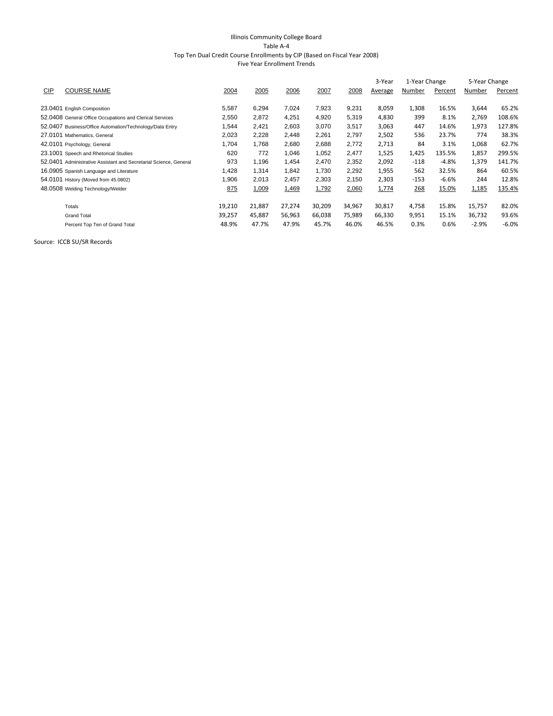#### Illinois Community College Board Table A‐4 Top Ten Dual Credit Course Enrollments by CIP (Based on Fiscal Year 2008)

|  | <b>Five Year Enrollment Trends</b> |  |
|--|------------------------------------|--|
|--|------------------------------------|--|

|     |                                                                   |        |        |        |        |        | 3-Year  | 1-Year Change |         | 5-Year Change |         |
|-----|-------------------------------------------------------------------|--------|--------|--------|--------|--------|---------|---------------|---------|---------------|---------|
| CIP | <b>COURSE NAME</b>                                                | 2004   | 2005   | 2006   | 2007   | 2008   | Average | Number        | Percent | Number        | Percent |
|     |                                                                   |        |        |        |        |        |         |               |         |               |         |
|     | 23.0401 English Composition                                       | 5,587  | 6,294  | 7,024  | 7,923  | 9,231  | 8,059   | 1,308         | 16.5%   | 3,644         | 65.2%   |
|     | 52.0408 General Office Occupations and Clerical Services          | 2,550  | 2,872  | 4,251  | 4,920  | 5,319  | 4,830   | 399           | 8.1%    | 2,769         | 108.6%  |
|     | 52.0407 Business/Office Automation/Technology/Data Entry          | 1,544  | 2,421  | 2,603  | 3,070  | 3,517  | 3,063   | 447           | 14.6%   | 1,973         | 127.8%  |
|     | 27.0101 Mathematics, General                                      | 2,023  | 2,228  | 2,448  | 2,261  | 2,797  | 2,502   | 536           | 23.7%   | 774           | 38.3%   |
|     | 42.0101 Psychology, General                                       | 1,704  | 1,768  | 2,680  | 2,688  | 2,772  | 2,713   | 84            | 3.1%    | 1,068         | 62.7%   |
|     | 23.1001 Speech and Rhetorical Studies                             | 620    | 772    | 1,046  | 1,052  | 2,477  | 1,525   | 1,425         | 135.5%  | 1,857         | 299.5%  |
|     | 52.0401 Administrative Assistant and Secretarial Science, General | 973    | 1,196  | 1,454  | 2,470  | 2,352  | 2,092   | $-118$        | $-4.8%$ | 1,379         | 141.7%  |
|     | 16.0905 Spanish Language and Literature                           | 1,428  | 1,314  | 1,842  | 1,730  | 2,292  | 1,955   | 562           | 32.5%   | 864           | 60.5%   |
|     | 54.0101 History (Moved from 45.0802)                              | 1,906  | 2,013  | 2,457  | 2,303  | 2,150  | 2,303   | $-153$        | $-6.6%$ | 244           | 12.8%   |
|     | 48.0508 Welding Technology/Welder                                 | 875    | 1,009  | 1,469  | 1,792  | 2,060  | 1,774   | 268           | 15.0%   | 1,185         | 135.4%  |
|     | Totals                                                            | 19,210 | 21,887 | 27,274 | 30,209 | 34,967 | 30,817  | 4,758         | 15.8%   | 15,757        | 82.0%   |
|     | <b>Grand Total</b>                                                | 39,257 | 45,887 | 56,963 | 66,038 | 75,989 | 66,330  | 9,951         | 15.1%   | 36,732        | 93.6%   |
|     | Percent Top Ten of Grand Total                                    | 48.9%  | 47.7%  | 47.9%  | 45.7%  | 46.0%  | 46.5%   | 0.3%          | 0.6%    | $-2.9%$       | $-6.0%$ |
|     |                                                                   |        |        |        |        |        |         |               |         |               |         |

Source: ICCB SU/SR Records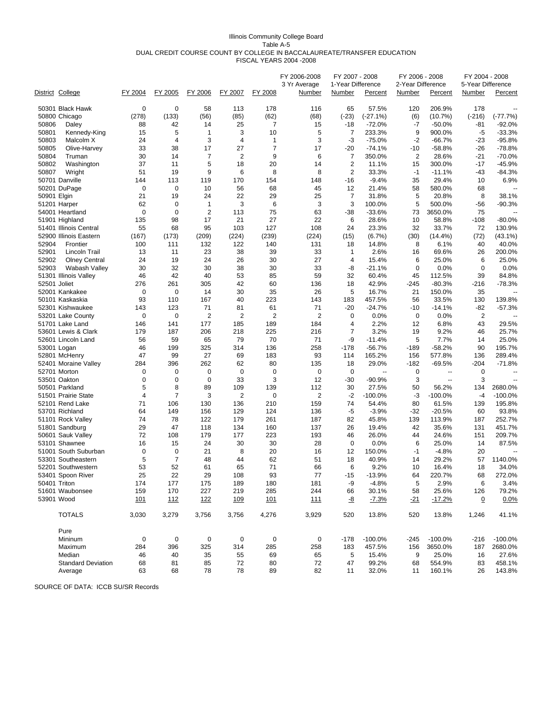#### Illinois Community College Board Table A-5 DUAL CREDIT COURSE COUNT BY COLLEGE IN BACCALAUREATE/TRANSFER EDUCATION FISCAL YEARS 2004 -2008

|             | District College                    | FY 2004     | FY 2005        | FY 2006        | FY 2007     | FY 2008        | FY 2006-2008<br>3 Yr Average<br>Number | FY 2007 - 2008<br>1-Year Difference<br>Number | Percent         | FY 2006 - 2008<br>2-Year Difference<br>Number | Percent           | FY 2004 - 2008<br>5-Year Difference<br>Number | Percent                  |
|-------------|-------------------------------------|-------------|----------------|----------------|-------------|----------------|----------------------------------------|-----------------------------------------------|-----------------|-----------------------------------------------|-------------------|-----------------------------------------------|--------------------------|
|             | 50301 Black Hawk                    | $\mathbf 0$ | $\mathbf 0$    | 58             | 113         | 178            | 116                                    | 65                                            | 57.5%           | 120                                           | 206.9%            | 178                                           |                          |
|             | 50800 Chicago                       | (278)       | (133)          | (56)           | (85)        | (62)           | (68)                                   | $(-23)$                                       | $(-27.1%)$      | (6)                                           | (10.7%)           | $(-216)$                                      | $(-77.7%)$               |
| 50806       | Daley                               | 88          | 42             | 14             | 25          | 7              | 15                                     | $-18$                                         | $-72.0%$        | $-7$                                          | $-50.0%$          | $-81$                                         | $-92.0%$                 |
| 50801       | Kennedy-King                        | 15          | 5              | $\mathbf{1}$   | 3           | 10             | 5                                      | 7                                             | 233.3%          | 9                                             | 900.0%            | -5                                            | $-33.3%$                 |
| 50803       | Malcolm X                           | 24          | 4              | 3              | 4           | 1              | 3                                      | -3                                            | $-75.0%$        | $-2$                                          | $-66.7%$          | $-23$                                         | -95.8%                   |
| 50805       | Olive-Harvey                        | 33          | 38             | 17             | 27          | 7              | 17                                     | -20                                           | $-74.1%$        | $-10$                                         | $-58.8%$          | -26                                           | $-78.8%$                 |
| 50804       | Truman                              | 30          | 14             | 7              | 2           | 9              | 6                                      | $\overline{7}$                                | 350.0%          | 2                                             | 28.6%             | $-21$                                         | -70.0%                   |
| 50802       | Washington                          | 37          | 11             | 5              | 18          | 20             | 14                                     | $\overline{2}$                                | 11.1%           | 15                                            | 300.0%            | $-17$                                         | -45.9%                   |
| 50807       | Wright                              | 51          | 19             | 9              | 6           | 8              | 8                                      | $\overline{2}$                                | 33.3%           | $-1$                                          | $-11.1%$          | -43                                           | -84.3%                   |
|             | 50701 Danville                      | 144         | 113            | 119            | 170         | 154            | 148                                    | $-16$                                         | $-9.4%$         | 35                                            | 29.4%             | 10                                            | 6.9%                     |
|             | 50201 DuPage                        | $\mathbf 0$ | $\mathbf 0$    | 10             | 56          | 68             | 45                                     | 12                                            | 21.4%           | 58                                            | 580.0%            | 68                                            | $\overline{\phantom{a}}$ |
| 50901 Elgin |                                     | 21          | 19             | 24             | 22          | 29             | 25                                     | 7                                             | 31.8%           | 5                                             | 20.8%             | 8                                             | 38.1%                    |
|             | 51201 Harper                        | 62          | $\mathbf 0$    | $\mathbf{1}$   | 3           | 6              | 3                                      | 3                                             | 100.0%          | 5                                             | 500.0%            | -56                                           | -90.3%                   |
|             | 54001 Heartland                     | 0           | $\mathbf 0$    | $\overline{2}$ | 113         | 75             | 63                                     | -38                                           | $-33.6%$        | 73                                            | 3650.0%           | 75                                            |                          |
|             | 51901 Highland                      | 135         | 98             | 17             | 21          | 27             | 22                                     | 6                                             | 28.6%           | 10                                            | 58.8%             | $-108$                                        | $-80.0\%$                |
|             | 51401 Illinois Central              | 55          | 68             | 95             | 103         | 127            | 108                                    | 24                                            | 23.3%           | 32                                            | 33.7%             | 72                                            | 130.9%                   |
|             | 52900 Illinois Eastern              | (167)       | (173)          | (209)          | (224)       | (239)          | (224)                                  | (15)                                          | $(6.7\%)$       | (30)                                          | $(14.4\%)$        | (72)                                          | (43.1%)                  |
| 52904       | Frontier                            | 100         | 111            | 132            | 122         | 140            | 131                                    | 18                                            | 14.8%           | 8                                             | 6.1%              | 40                                            | 40.0%                    |
| 52901       | Lincoln Trail                       | 13          | 11             | 23             | 38          | 39             | 33                                     | $\mathbf{1}$                                  | 2.6%            | 16                                            | 69.6%             | 26                                            | 200.0%                   |
| 52902       | <b>Olney Central</b>                | 24          | 19             | 24             | 26          | 30             | 27                                     | 4                                             | 15.4%           | 6                                             | 25.0%             | 6                                             | 25.0%                    |
| 52903       | Wabash Valley                       | 30          | 32             | 30             | 38          | 30             | 33                                     | -8                                            | $-21.1%$        | 0                                             | 0.0%              | 0                                             | 0.0%                     |
|             | 51301 Illinois Valley               | 46          | 42             | 40             | 53          | 85             | 59                                     | 32                                            | 60.4%           | 45                                            | 112.5%            | 39                                            | 84.8%                    |
|             | 52501 Joliet                        | 276         | 261            | 305            | 42          | 60             | 136                                    | 18                                            | 42.9%           | -245                                          | $-80.3%$          | -216                                          | -78.3%                   |
|             | 52001 Kankakee                      | 0<br>93     | 0<br>110       | 14<br>167      | 30<br>40    | 35<br>223      | 26<br>143                              | 5<br>183                                      | 16.7%<br>457.5% | 21<br>56                                      | 150.0%            | 35<br>130                                     |                          |
|             | 50101 Kaskaskia<br>52301 Kishwaukee | 143         | 123            | 71             | 81          | 61             | 71                                     | $-20$                                         | $-24.7%$        | $-10$                                         | 33.5%<br>$-14.1%$ |                                               | 139.8%                   |
|             | 53201 Lake County                   | $\mathbf 0$ | $\mathbf 0$    | $\overline{2}$ | 2           | $\overline{2}$ | $\overline{2}$                         | 0                                             | 0.0%            | 0                                             | 0.0%              | -82<br>2                                      | $-57.3%$                 |
|             | 51701 Lake Land                     | 146         | 141            | 177            | 185         | 189            | 184                                    | 4                                             | 2.2%            | 12                                            | 6.8%              | 43                                            | 29.5%                    |
|             | 53601 Lewis & Clark                 | 179         | 187            | 206            | 218         | 225            | 216                                    | 7                                             | 3.2%            | 19                                            | 9.2%              | 46                                            | 25.7%                    |
|             | 52601 Lincoln Land                  | 56          | 59             | 65             | 79          | 70             | 71                                     | -9                                            | $-11.4%$        | 5                                             | 7.7%              | 14                                            | 25.0%                    |
|             | 53001 Logan                         | 46          | 199            | 325            | 314         | 136            | 258                                    | $-178$                                        | $-56.7%$        | $-189$                                        | $-58.2%$          | 90                                            | 195.7%                   |
|             | 52801 McHenry                       | 47          | 99             | 27             | 69          | 183            | 93                                     | 114                                           | 165.2%          | 156                                           | 577.8%            | 136                                           | 289.4%                   |
|             | 52401 Moraine Valley                | 284         | 396            | 262            | 62          | 80             | 135                                    | 18                                            | 29.0%           | $-182$                                        | $-69.5%$          | $-204$                                        | $-71.8%$                 |
|             | 52701 Morton                        | 0           | 0              | 0              | $\mathbf 0$ | $\mathbf 0$    | $\mathbf 0$                            | $\mathbf 0$                                   | Ξ.              | $\mathbf 0$                                   | $\overline{a}$    | 0                                             |                          |
|             | 53501 Oakton                        | 0           | $\mathbf 0$    | $\mathbf 0$    | 33          | 3              | 12                                     | $-30$                                         | $-90.9%$        | 3                                             | $\overline{a}$    | 3                                             |                          |
|             | 50501 Parkland                      | 5           | 8              | 89             | 109         | 139            | 112                                    | 30                                            | 27.5%           | 50                                            | 56.2%             | 134                                           | 2680.0%                  |
|             | 51501 Prairie State                 | 4           | $\overline{7}$ | 3              | 2           | 0              | 2                                      | $-2$                                          | $-100.0%$       | -3                                            | $-100.0%$         | $-4$                                          | $-100.0%$                |
|             | 52101 Rend Lake                     | 71          | 106            | 130            | 136         | 210            | 159                                    | 74                                            | 54.4%           | 80                                            | 61.5%             | 139                                           | 195.8%                   |
|             | 53701 Richland                      | 64          | 149            | 156            | 129         | 124            | 136                                    | -5                                            | $-3.9%$         | $-32$                                         | $-20.5%$          | 60                                            | 93.8%                    |
|             | 51101 Rock Valley                   | 74          | 78             | 122            | 179         | 261            | 187                                    | 82                                            | 45.8%           | 139                                           | 113.9%            | 187                                           | 252.7%                   |
|             | 51801 Sandburg                      | 29          | 47             | 118            | 134         | 160            | 137                                    | 26                                            | 19.4%           | 42                                            | 35.6%             | 131                                           | 451.7%                   |
|             | 50601 Sauk Valley                   | 72          | 108            | 179            | 177         | 223            | 193                                    | 46                                            | 26.0%           | 44                                            | 24.6%             | 151                                           | 209.7%                   |
|             | 53101 Shawnee                       | 16          | 15             | 24             | 30          | 30             | 28                                     | 0                                             | 0.0%            | 6                                             | 25.0%             | 14                                            | 87.5%                    |
|             | 51001 South Suburban                | 0           | $\mathbf 0$    | 21             | 8           | 20             | 16                                     | 12                                            | 150.0%          | $-1$                                          | $-4.8%$           | 20                                            |                          |
|             | 53301 Southeastern                  | 5           | $\overline{7}$ | 48             | 44          | 62             | 51                                     | 18                                            | 40.9%           | 14                                            | 29.2%             | 57                                            | 1140.0%                  |
|             | 52201 Southwestern                  | 53          | 52             | 61             | 65          | 71             | 66                                     | 6                                             | 9.2%            | 10                                            | 16.4%             | 18                                            | 34.0%                    |
|             | 53401 Spoon River                   | 25          | 22             | 29             | 108         | 93             | 77                                     | $-15$                                         | $-13.9%$        | 64                                            | 220.7%            | 68                                            | 272.0%                   |
|             | 50401 Triton                        | 174         | 177            | 175            | 189         | 180            | 181                                    | -9                                            | $-4.8%$         | 5                                             | 2.9%              | 6                                             | 3.4%                     |
|             | 51601 Waubonsee                     | 159         | 170            | 227            | 219         | 285            | 244                                    | 66                                            | 30.1%           | 58                                            | 25.6%             | 126                                           | 79.2%                    |
|             | 53901 Wood                          | 101         | 112            | <u>122</u>     | <u>109</u>  | 101            | <u>111</u>                             | <u>-8</u>                                     | $-7.3%$         | <u>-21</u>                                    | $-17.2%$          | $\overline{0}$                                | 0.0%                     |
|             | <b>TOTALS</b>                       | 3,030       | 3,279          | 3,756          | 3,756       | 4,276          | 3,929                                  | 520                                           | 13.8%           | 520                                           | 13.8%             | 1,246                                         | 41.1%                    |
|             | Pure                                |             |                |                |             |                |                                        |                                               |                 |                                               |                   |                                               |                          |
|             | Mininum                             | 0           | 0              | 0              | 0           | 0              | 0                                      | $-178$                                        | $-100.0\%$      | $-245$                                        | $-100.0%$         | $-216$                                        | $-100.0%$                |
|             | Maximum                             | 284         | 396            | 325            | 314         | 285            | 258                                    | 183                                           | 457.5%          | 156                                           | 3650.0%           | 187                                           | 2680.0%                  |
|             | Median                              | 46          | 40             | 35             | 55          | 69             | 65                                     | 5                                             | 15.4%           | 9                                             | 25.0%             | 16                                            | 27.6%                    |
|             | <b>Standard Deviation</b>           | 68          | 81             | 85             | 72          | 80             | 72                                     | 47                                            | 99.2%           | 68                                            | 554.9%            | 83                                            | 458.1%                   |
|             | Average                             | 63          | 68             | 78             | 78          | 89             | 82                                     | 11                                            | 32.0%           | 11                                            | 160.1%            | 26                                            | 143.8%                   |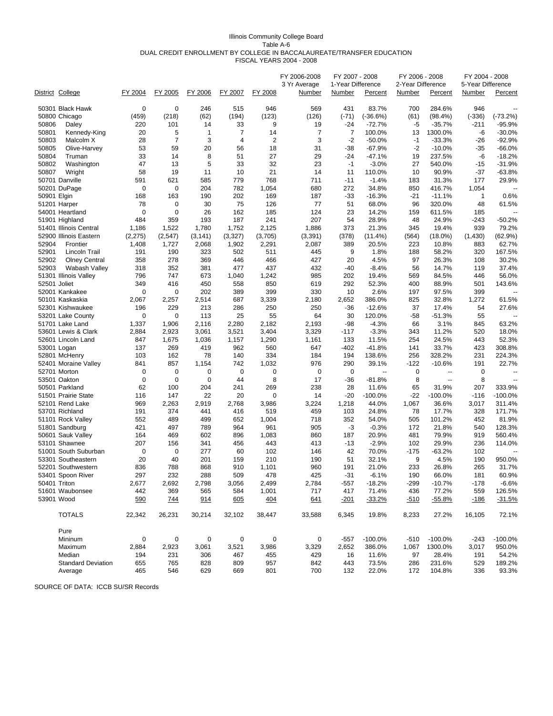#### Illinois Community College Board Table A-6 DUAL CREDIT ENROLLMENT BY COLLEGE IN BACCALAUREATE/TRANSFER EDUCATION FISCAL YEARS 2004 - 2008

|             | District College          | FY 2004  | FY 2005        | FY 2006      | FY 2007      | FY 2008        | FY 2006-2008<br>3 Yr Average<br>Number | FY 2007 - 2008<br>1-Year Difference<br><b>Number</b> | <b>Percent</b>           | FY 2006 - 2008<br>2-Year Difference<br><b>Number</b> | Percent              | FY 2004 - 2008<br>5-Year Difference<br><b>Number</b> | Percent       |
|-------------|---------------------------|----------|----------------|--------------|--------------|----------------|----------------------------------------|------------------------------------------------------|--------------------------|------------------------------------------------------|----------------------|------------------------------------------------------|---------------|
|             | 50301 Black Hawk          | 0        | $\mathbf 0$    | 246          | 515          | 946            | 569                                    | 431                                                  | 83.7%                    | 700                                                  | 284.6%               | 946                                                  |               |
|             | 50800 Chicago             | (459)    | (218)          | (62)         | (194)        | (123)          | (126)                                  | $(-71)$                                              | $(-36.6%)$               | (61)                                                 | $(98.4\%)$           | $(-336)$                                             | $(-73.2%)$    |
| 50806       | Daley                     | 220      | 101            | 14           | 33           | 9              | 19                                     | $-24$                                                | $-72.7%$                 | -5                                                   | $-35.7%$             | $-211$                                               | $-95.9%$      |
| 50801       | Kennedy-King              | 20       | 5              | 1            | 7            | 14             | 7                                      | 7                                                    | 100.0%                   | 13                                                   | 1300.0%              | -6                                                   | $-30.0%$      |
| 50803       | Malcolm X                 | 28       | $\overline{7}$ | 3            | 4            | $\overline{2}$ | 3                                      | -2                                                   | $-50.0%$                 | $-1$                                                 | $-33.3%$             | -26                                                  | -92.9%        |
| 50805       | Olive-Harvey              | 53       | 59             | 20           | 56           | 18             | 31                                     | -38                                                  | $-67.9%$                 | $-2$                                                 | $-10.0%$             | -35                                                  | $-66.0%$      |
| 50804       | Truman                    | 33       | 14             | 8            | 51           | 27             | 29                                     | -24                                                  | $-47.1%$                 | 19                                                   | 237.5%               | -6                                                   | $-18.2%$      |
| 50802       | Washington                | 47       | 13             | 5            | 33           | 32             | 23                                     | $-1$                                                 | $-3.0%$                  | 27                                                   | 540.0%               | $-15$                                                | $-31.9%$      |
| 50807       | Wright                    | 58       | 19             | 11           | 10           | 21             | 14                                     | 11                                                   | 110.0%                   | 10                                                   | 90.9%                | $-37$                                                | $-63.8%$      |
|             | 50701 Danville            | 591      | 621            | 585          | 779          | 768            | 711                                    | $-11$                                                | $-1.4%$                  | 183                                                  | 31.3%                | 177                                                  | 29.9%         |
|             | 50201 DuPage              | 0        | 0              | 204          | 782          | 1,054          | 680                                    | 272                                                  | 34.8%                    | 850                                                  | 416.7%               | 1,054                                                |               |
| 50901 Elgin |                           | 168      | 163            | 190          | 202          | 169            | 187                                    | $-33$                                                | $-16.3%$                 | $-21$                                                | $-11.1%$             | $\mathbf{1}$                                         | 0.6%          |
|             | 51201 Harper              | 78       | 0              | 30           | 75           | 126            | 77                                     | 51                                                   | 68.0%                    | 96                                                   | 320.0%               | 48                                                   | 61.5%         |
|             | 54001 Heartland           | 0        | $\mathbf 0$    | 26           | 162          | 185            | 124                                    | 23                                                   | 14.2%                    | 159                                                  | 611.5%               | 185                                                  |               |
|             | 51901 Highland            | 484      | 359            | 193          | 187          | 241            | 207                                    | 54                                                   | 28.9%                    | 48                                                   | 24.9%                | -243                                                 | $-50.2%$      |
|             | 51401 Illinois Central    | 1,186    | 1,522          | 1,780        | 1,752        | 2,125          | 1,886                                  | 373                                                  | 21.3%                    | 345                                                  | 19.4%                | 939                                                  | 79.2%         |
|             | 52900 Illinois Eastern    | (2, 275) | (2, 547)       | (3, 141)     | (3,327)      | (3,705)        | (3, 391)                               | (378)                                                | $(11.4\%)$               | (564)                                                | $(18.0\%)$           | (1,430)                                              | (62.9%)       |
| 52904       | Frontier                  | 1,408    | 1,727          | 2,068        | 1,902        | 2,291          | 2,087                                  | 389                                                  | 20.5%                    | 223                                                  | 10.8%                | 883                                                  | 62.7%         |
| 52901       | Lincoln Trail             | 191      | 190            | 323          | 502          | 511            | 445                                    | 9                                                    | 1.8%                     | 188                                                  | 58.2%                | 320                                                  | 167.5%        |
| 52902       | <b>Olney Central</b>      | 358      | 278            | 369          | 446          | 466            | 427                                    | 20                                                   | 4.5%                     | 97                                                   | 26.3%                | 108                                                  | 30.2%         |
| 52903       | <b>Wabash Valley</b>      | 318      | 352            | 381          | 477          | 437            | 432                                    | $-40$                                                | $-8.4%$                  | 56                                                   | 14.7%                | 119                                                  | 37.4%         |
|             | 51301 Illinois Valley     | 796      | 747            | 673          | 1,040        | 1,242          | 985                                    | 202                                                  | 19.4%                    | 569                                                  | 84.5%                | 446                                                  | 56.0%         |
|             | 52501 Joliet              | 349      | 416            | 450          | 558          | 850            | 619                                    | 292                                                  | 52.3%                    | 400                                                  | 88.9%                | 501                                                  | 143.6%        |
|             | 52001 Kankakee            | 0        | $\mathbf 0$    | 202          | 389          | 399            | 330                                    | 10                                                   | 2.6%                     | 197                                                  | 97.5%                | 399                                                  |               |
|             | 50101 Kaskaskia           | 2,067    | 2,257          | 2,514        | 687          | 3,339          | 2,180                                  | 2,652                                                | 386.0%                   | 825                                                  | 32.8%                | 1,272                                                | 61.5%         |
|             | 52301 Kishwaukee          | 196      | 229            | 213          | 286          | 250            | 250                                    | $-36$                                                | $-12.6%$                 | 37                                                   | 17.4%                | 54                                                   | 27.6%         |
|             | 53201 Lake County         | 0        | 0              | 113          | 25           | 55             | 64                                     | 30                                                   | 120.0%                   | $-58$                                                | $-51.3%$             | 55                                                   |               |
|             | 51701 Lake Land           | 1,337    | 1,906          | 2,116        | 2,280        | 2,182          | 2,193                                  | $-98$                                                | $-4.3%$                  | 66                                                   | 3.1%                 | 845                                                  | 63.2%         |
|             | 53601 Lewis & Clark       | 2,884    | 2,923          | 3,061        | 3,521        | 3,404          | 3,329                                  | -117                                                 | $-3.3%$                  | 343                                                  | 11.2%                | 520                                                  | 18.0%         |
|             | 52601 Lincoln Land        | 847      |                |              |              |                |                                        | 133                                                  |                          | 254                                                  |                      | 443                                                  | 52.3%         |
|             | 53001 Logan               |          | 1,675<br>269   | 1,036<br>419 | 1,157<br>962 | 1,290<br>560   | 1,161<br>647                           | -402                                                 | 11.5%<br>$-41.8%$        | 141                                                  | 24.5%<br>33.7%       | 423                                                  | 308.8%        |
|             |                           | 137      |                |              |              | 334            | 184                                    |                                                      |                          |                                                      |                      | 231                                                  | 224.3%        |
|             | 52801 McHenry             | 103      | 162<br>857     | 78           | 140<br>742   |                | 976                                    | 194<br>290                                           | 138.6%                   | 256                                                  | 328.2%               |                                                      | 22.7%         |
|             | 52401 Moraine Valley      | 841      |                | 1,154        | $\mathbf 0$  | 1,032          |                                        |                                                      | 39.1%                    | -122                                                 | $-10.6%$             | 191                                                  |               |
|             | 52701 Morton              | 0        | 0<br>0         | 0            | 44           | 0              | 0                                      | $\mathbf 0$                                          | $\overline{\phantom{a}}$ | 0                                                    | --<br>$\overline{a}$ | 0                                                    |               |
|             | 53501 Oakton              | 0        |                | 0            |              | 8              | 17                                     | -36                                                  | $-81.8%$                 | 8                                                    |                      | 8                                                    |               |
|             | 50501 Parkland            | 62       | 100            | 204          | 241          | 269            | 238                                    | 28                                                   | 11.6%                    | 65                                                   | 31.9%                | 207                                                  | 333.9%        |
|             | 51501 Prairie State       | 116      | 147            | 22           | 20           | 0              | 14                                     | $-20$                                                | $-100.0%$                | -22                                                  | $-100.0%$            | $-116$                                               | -100.0%       |
|             | 52101 Rend Lake           | 969      | 2,263          | 2,919        | 2,768        | 3,986          | 3,224                                  | 1,218                                                | 44.0%                    | 1,067                                                | 36.6%                | 3,017                                                | 311.4%        |
|             | 53701 Richland            | 191      | 374            | 441          | 416          | 519            | 459                                    | 103                                                  | 24.8%                    | 78                                                   | 17.7%                | 328                                                  | 171.7%        |
|             | 51101 Rock Valley         | 552      | 489            | 499          | 652          | 1,004          | 718                                    | 352                                                  | 54.0%                    | 505                                                  | 101.2%               | 452                                                  | 81.9%         |
|             | 51801 Sandburg            | 421      | 497            | 789          | 964          | 961            | 905                                    | -3                                                   | $-0.3%$                  | 172                                                  | 21.8%                | 540                                                  | 128.3%        |
|             | 50601 Sauk Valley         | 164      | 469            | 602          | 896          | 1,083          | 860                                    | 187                                                  | 20.9%                    | 481                                                  | 79.9%                | 919                                                  | 560.4%        |
|             | 53101 Shawnee             | 207      | 156            | 341          | 456          | 443            | 413                                    | $-13$                                                | $-2.9%$                  | 102                                                  | 29.9%                | 236                                                  | 114.0%        |
|             | 51001 South Suburban      | 0        | 0              | 277          | 60           | 102            | 146                                    | 42                                                   | 70.0%                    | -175                                                 | $-63.2%$             | 102                                                  |               |
|             | 53301 Southeastern        | 20       | 40             | 201          | 159          | 210            | 190                                    | 51                                                   | 32.1%                    | 9                                                    | 4.5%                 | 190                                                  | 950.0%        |
|             | 52201 Southwestern        | 836      | 788            | 868          | 910          | 1,101          | 960                                    | 191                                                  | 21.0%                    | 233                                                  | 26.8%                | 265                                                  | 31.7%         |
|             | 53401 Spoon River         | 297      | 232            | 288          | 509          | 478            | 425                                    | $-31$                                                | $-6.1%$                  | 190                                                  | 66.0%                | 181                                                  | 60.9%         |
|             | 50401 Triton              | 2,677    | 2,692          | 2,798        | 3,056        | 2,499          | 2,784                                  | $-557$                                               | $-18.2%$                 | $-299$                                               | $-10.7%$             | $-178$                                               | $-6.6%$       |
|             | 51601 Waubonsee           | 442      | 369            | 565          | 584          | 1,001          | 717                                    | 417                                                  | 71.4%                    | 436                                                  | 77.2%                | 559                                                  | 126.5%        |
|             | 53901 Wood                | 590      | <u>744</u>     | 914          | 605          | 404            | 641                                    | $-201$                                               | $-33.2%$                 | <u>-510</u>                                          | $-55.8%$             | <u>-186</u>                                          | <u>-31.5%</u> |
|             | <b>TOTALS</b>             | 22,342   | 26,231         | 30,214       | 32,102       | 38,447         | 33,588                                 | 6,345                                                | 19.8%                    | 8,233                                                | 27.2%                | 16,105                                               | 72.1%         |
|             | Pure                      |          |                |              |              |                |                                        |                                                      |                          |                                                      |                      |                                                      |               |
|             | Mininum                   | 0        | 0              | 0            | 0            | 0              | 0                                      | $-557$                                               | $-100.0%$                | $-510$                                               | $-100.0\%$           | $-243$                                               | $-100.0%$     |
|             | Maximum                   | 2,884    | 2,923          | 3,061        | 3,521        | 3,986          | 3,329                                  | 2,652                                                | 386.0%                   | 1,067                                                | 1300.0%              | 3,017                                                | 950.0%        |
|             | Median                    | 194      | 231            | 306          | 467          | 455            | 429                                    | 16                                                   | 11.6%                    | 97                                                   | 28.4%                | 191                                                  | 54.2%         |
|             | <b>Standard Deviation</b> | 655      | 765            | 828          | 809          | 957            | 842                                    | 443                                                  | 73.5%                    | 286                                                  | 231.6%               | 529                                                  | 189.2%        |
|             | Average                   | 465      | 546            | 629          | 669          | 801            | 700                                    | 132                                                  | 22.0%                    | 172                                                  | 104.8%               | 336                                                  | 93.3%         |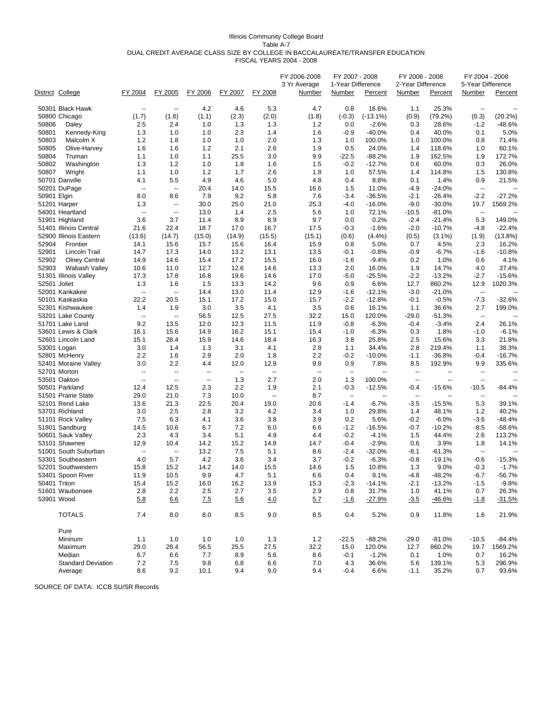#### Illinois Community College Board Table A-7 DUAL CREDIT AVERAGE CLASS SIZE BY COLLEGE IN BACCALAUREATE/TRANSFER EDUCATION FISCAL YEARS 2004 - 2008

|             | District College                                 | FY 2004                  | FY 2005                  | FY 2006                  | FY 2007                  | FY 2008                  | FY 2006-2008<br>3 Yr Average<br>Number | FY 2007 - 2008<br>1-Year Difference<br><b>Number</b> | Percent           | FY 2006 - 2008<br>2-Year Difference<br><b>Number</b> | Percent              | FY 2004 - 2008<br>5-Year Difference<br><b>Number</b> | Percent           |
|-------------|--------------------------------------------------|--------------------------|--------------------------|--------------------------|--------------------------|--------------------------|----------------------------------------|------------------------------------------------------|-------------------|------------------------------------------------------|----------------------|------------------------------------------------------|-------------------|
|             |                                                  |                          |                          |                          |                          |                          |                                        |                                                      |                   |                                                      |                      |                                                      |                   |
|             | 50301 Black Hawk                                 | --                       | $\overline{\phantom{a}}$ | 4.2                      | 4.6                      | 5.3                      | 4.7                                    | 0.8                                                  | 16.6%             | 1.1                                                  | 25.3%                | $\overline{\phantom{a}}$                             |                   |
|             | 50800 Chicago                                    | (1.7)                    | (1.6)                    | (1.1)                    | (2.3)                    | (2.0)                    | (1.8)                                  | $(-0.3)$                                             | $(-13.1\%)$       | (0.9)                                                | (79.2%)              | (0.3)                                                | (20.2%)           |
| 50806       | Daley                                            | 2.5                      | 2.4                      | 1.0                      | 1.3                      | 1.3                      | 1.2                                    | 0.0                                                  | $-2.6%$           | 0.3                                                  | 28.6%                | $-1.2$                                               | -48.6%            |
| 50801       | Kennedy-King                                     | 1.3                      | 1.0                      | 1.0                      | 2.3                      | 1.4                      | 1.6                                    | -0.9                                                 | $-40.0%$          | 0.4                                                  | 40.0%                | 0.1                                                  | 5.0%              |
| 50803       | Malcolm X                                        | $1.2$                    | 1.8                      | 1.0                      | 1.0                      | 2.0                      | 1.3                                    | 1.0                                                  | 100.0%            | 1.0                                                  | 100.0%               | 0.8                                                  | 71.4%             |
| 50805       | Olive-Harvey                                     | 1.6                      | 1.6                      | 1.2                      | 2.1                      | 2.6                      | 1.9                                    | 0.5                                                  | 24.0%             | 1.4                                                  | 118.6%               | 1.0                                                  | 60.1%             |
| 50804       | Truman                                           | 1.1                      | 1.0                      | 1.1                      | 25.5                     | 3.0                      | 9.9                                    | $-22.5$                                              | $-88.2%$          | 1.9                                                  | 162.5%               | 1.9                                                  | 172.7%            |
| 50802       | Washington                                       | 1.3                      | 1.2                      | 1.0                      | 1.8                      | 1.6                      | 1.5                                    | $-0.2$                                               | $-12.7%$          | 0.6                                                  | 60.0%                | 0.3                                                  | 26.0%             |
| 50807       | Wright                                           | 1.1                      | 1.0                      | 1.2                      | 1.7                      | 2.6                      | 1.8                                    | 1.0                                                  | 57.5%             | 1.4                                                  | 114.8%               | 1.5                                                  | 130.8%            |
|             | 50701 Danville                                   | 4.1                      | 5.5                      | 4.9                      | 4.6                      | 5.0                      | 4.8                                    | 0.4                                                  | 8.8%              | 0.1                                                  | 1.4%                 | 0.9                                                  | 21.5%             |
|             | 50201 DuPage                                     | $\overline{\phantom{a}}$ | $\overline{\phantom{a}}$ | 20.4<br>7.9              | 14.0                     | 15.5<br>5.8              | 16.6                                   | 1.5                                                  | 11.0%             | $-4.9$                                               | $-24.0%$             | $\overline{\phantom{a}}$                             |                   |
| 50901 Elgin |                                                  | 8.0                      | 8.6                      |                          | 9.2                      |                          | 7.6                                    | -3.4                                                 | $-36.5%$          | -2.1                                                 | $-26.4%$             | $-2.2$                                               | $-27.2%$          |
|             | 51201 Harper<br>54001 Heartland                  | 1.3<br>--                | --<br>--                 | 30.0<br>13.0             | 25.0<br>1.4              | 21.0<br>2.5              | 25.3<br>5.6                            | -4.0<br>1.0                                          | $-16.0%$<br>72.1% | $-9.0$<br>$-10.5$                                    | $-30.0%$<br>$-81.0%$ | 19.7<br>$\overline{\phantom{a}}$                     | 1569.2%           |
|             | 51901 Highland                                   | 3.6                      | 3.7                      | 11.4                     | 8.9                      | 8.9                      | 9.7                                    | 0.0                                                  | 0.2%              | $-2.4$                                               | $-21.4%$             | 5.3                                                  | 149.0%            |
|             |                                                  | 21.6                     | 22.4                     | 18.7                     | 17.0                     | 16.7                     | 17.5                                   |                                                      | $-1.6%$           | $-2.0$                                               | $-10.7%$             |                                                      | $-22.4%$          |
|             | 51401 Illinois Central<br>52900 Illinois Eastern |                          | (14.7)                   | (15.0)                   |                          |                          |                                        | $-0.3$                                               |                   |                                                      |                      | $-4.8$                                               |                   |
| 52904       | Frontier                                         | (13.6)<br>14.1           | 15.6                     | 15.7                     | (14.9)<br>15.6           | (15.5)<br>16.4           | (15.1)<br>15.9                         | (0.6)<br>0.8                                         | (4.4%)<br>5.0%    | (0.5)<br>0.7                                         | $(3.1\%)$<br>4.5%    | (1.9)<br>2.3                                         | (13.8%)           |
| 52901       | Lincoln Trail                                    |                          |                          |                          |                          |                          | 13.5                                   |                                                      | $-0.8%$           |                                                      | $-6.7%$              | $-1.6$                                               | 16.2%<br>$-10.8%$ |
| 52902       | <b>Olney Central</b>                             | 14.7<br>14.9             | 17.3<br>14.6             | 14.0<br>15.4             | 13.2<br>17.2             | 13.1<br>15.5             | 16.0                                   | -0.1<br>$-1.6$                                       | $-9.4%$           | $-0.9$<br>0.2                                        | 1.0%                 | 0.6                                                  | 4.1%              |
| 52903       | Wabash Valley                                    | 10.6                     | 11.0                     | 12.7                     | 12.6                     | 14.6                     | 13.3                                   | 2.0                                                  | 16.0%             | 1.9                                                  | 14.7%                | 4.0                                                  | 37.4%             |
|             | 51301 Illinois Valley                            | 17.3                     | 17.8                     | 16.8                     | 19.6                     | 14.6                     | 17.0                                   | $-5.0$                                               | $-25.5%$          | $-2.2$                                               | $-13.2%$             | $-2.7$                                               | -15.6%            |
|             | 52501 Joliet                                     | 1.3                      | 1.6                      | 1.5                      | 13.3                     | 14.2                     | 9.6                                    | 0.9                                                  | 6.6%              | 12.7                                                 | 860.2%               | 12.9                                                 | 1020.3%           |
|             | 52001 Kankakee                                   | --                       | $\overline{\phantom{a}}$ | 14.4                     | 13.0                     | 11.4                     | 12.9                                   | $-1.6$                                               | $-12.1%$          | $-3.0$                                               | $-21.0%$             | $\overline{\phantom{a}}$                             |                   |
|             | 50101 Kaskaskia                                  | 22.2                     | 20.5                     | 15.1                     | 17.2                     | 15.0                     | 15.7                                   | $-2.2$                                               | $-12.8%$          | $-0.1$                                               | $-0.5%$              | $-7.3$                                               | $-32.6%$          |
|             | 52301 Kishwaukee                                 | 1.4                      | 1.9                      | 3.0                      | 3.5                      | 4.1                      | 3.5                                    | 0.6                                                  | 16.1%             | 1.1                                                  | 36.6%                | 2.7                                                  | 199.0%            |
|             | 53201 Lake County                                | --                       | $\overline{\phantom{a}}$ | 56.5                     | 12.5                     | 27.5                     | 32.2                                   | 15.0                                                 | 120.0%            | -29.0                                                | $-51.3%$             | $\overline{\phantom{a}}$                             |                   |
|             | 51701 Lake Land                                  | 9.2                      | 13.5                     | 12.0                     | 12.3                     | 11.5                     | 11.9                                   | $-0.8$                                               | $-6.3%$           | $-0.4$                                               | $-3.4%$              | 2.4                                                  | 26.1%             |
|             | 53601 Lewis & Clark                              | 16.1                     | 15.6                     | 14.9                     | 16.2                     | 15.1                     | 15.4                                   | $-1.0$                                               | $-6.3%$           | 0.3                                                  | 1.8%                 | $-1.0$                                               | $-6.1%$           |
|             | 52601 Lincoln Land                               | 15.1                     | 28.4                     | 15.9                     | 14.6                     | 18.4                     | 16.3                                   | 3.8                                                  | 25.8%             | 2.5                                                  | 15.6%                | 3.3                                                  | 21.8%             |
|             | 53001 Logan                                      | 3.0                      | 1.4                      | 1.3                      | 3.1                      | 4.1                      | 2.8                                    | 1.1                                                  | 34.4%             | 2.8                                                  | 219.4%               | 1.1                                                  | 38.3%             |
|             | 52801 McHenry                                    | 2.2                      | 1.6                      | 2.9                      | 2.0                      | 1.8                      | 2.2                                    | $-0.2$                                               | $-10.0%$          | $-1.1$                                               | $-36.8%$             | $-0.4$                                               | $-16.7%$          |
|             | 52401 Moraine Valley                             | 3.0                      | 2.2                      | 4.4                      | 12.0                     | 12.9                     | 9.8                                    | 0.9                                                  | 7.8%              | 8.5                                                  | 192.9%               | 9.9                                                  | 335.6%            |
|             | 52701 Morton                                     | --                       | $\overline{a}$           | $\overline{\phantom{a}}$ | $\overline{\phantom{a}}$ | $\overline{\phantom{a}}$ | $\overline{\phantom{a}}$               | $\overline{\phantom{a}}$                             | --                | $\overline{\phantom{a}}$                             | ٠.                   | $\overline{\phantom{a}}$                             |                   |
|             | 53501 Oakton                                     | $\overline{\phantom{a}}$ | $\overline{\phantom{a}}$ | $\ddot{\phantom{a}}$     | 1.3                      | 2.7                      | 2.0                                    | 1.3                                                  | 100.0%            | $\overline{\phantom{a}}$                             | $\overline{a}$       | $\overline{\phantom{a}}$                             |                   |
|             | 50501 Parkland                                   | 12.4                     | 12.5                     | 2.3                      | 2.2                      | 1.9                      | 2.1                                    | $-0.3$                                               | $-12.5%$          | $-0.4$                                               | $-15.6%$             | $-10.5$                                              | $-84.4%$          |
|             | 51501 Prairie State                              | 29.0                     | 21.0                     | 7.3                      | 10.0                     | $\overline{\phantom{a}}$ | 8.7                                    | $\overline{\phantom{a}}$                             |                   | $\overline{\phantom{a}}$                             |                      | $\overline{\phantom{a}}$                             |                   |
|             | 52101 Rend Lake                                  | 13.6                     | 21.3                     | 22.5                     | 20.4                     | 19.0                     | 20.6                                   | $-1.4$                                               | $-6.7%$           | $-3.5$                                               | $-15.5%$             | 5.3                                                  | 39.1%             |
|             | 53701 Richland                                   | 3.0                      | 2.5                      | 2.8                      | 3.2                      | 4.2                      | 3.4                                    | 1.0                                                  | 29.8%             | 1.4                                                  | 48.1%                | 1.2                                                  | 40.2%             |
|             | 51101 Rock Valley                                | 7.5                      | 6.3                      | 4.1                      | 3.6                      | 3.8                      | 3.9                                    | 0.2                                                  | 5.6%              | $-0.2$                                               | $-6.0%$              | $-3.6$                                               | $-48.4%$          |
|             | 51801 Sandburg                                   | 14.5                     | 10.6                     | 6.7                      | 7.2                      | 6.0                      | 6.6                                    | $-1.2$                                               | $-16.5%$          | $-0.7$                                               | $-10.2%$             | $-8.5$                                               | $-58.6%$          |
|             | 50601 Sauk Valley                                | 2.3                      | 4.3                      | 3.4                      | 5.1                      | 4.9                      | 4.4                                    | $-0.2$                                               | $-4.1%$           | 1.5                                                  | 44.4%                | 2.6                                                  | 113.2%            |
|             | 53101 Shawnee                                    | 12.9                     | 10.4                     | 14.2                     | 15.2                     | 14.8                     | 14.7                                   | $-0.4$                                               | $-2.9%$           | 0.6                                                  | 3.9%                 | 1.8                                                  | 14.1%             |
|             | 51001 South Suburban                             | $\overline{\phantom{a}}$ | $\overline{a}$           | 13.2                     | 7.5                      | 5.1                      | 8.6                                    | $-2.4$                                               | $-32.0%$          | -8.1                                                 | $-61.3%$             | $\overline{\phantom{a}}$                             |                   |
|             | 53301 Southeastern                               | 4.0                      | 5.7                      | 4.2                      | 3.6                      | 3.4                      | 3.7                                    | $-0.2$                                               | $-6.3%$           | $-0.8$                                               | $-19.1%$             | $-0.6$                                               | $-15.3%$          |
|             | 52201 Southwestern                               | 15.8                     | 15.2                     | 14.2                     | 14.0                     | 15.5                     | 14.6                                   | 1.5                                                  | 10.8%             | 1.3                                                  | 9.0%                 | $-0.3$                                               | $-1.7%$           |
|             | 53401 Spoon River                                | 11.9                     | 10.5                     | 9.9                      | 4.7                      | 5.1                      | 6.6                                    | 0.4                                                  | 9.1%              | $-4.8$                                               | $-48.2%$             | -6.7                                                 | $-56.7%$          |
|             | 50401 Triton                                     | 15.4                     | 15.2                     | 16.0                     | 16.2                     | 13.9                     | 15.3                                   | $-2.3$                                               | $-14.1%$          | $-2.1$                                               | $-13.2%$             | $-1.5$                                               | $-9.8%$           |
|             | 51601 Waubonsee                                  | 2.8                      | 2.2                      | 2.5                      | 2.7                      | 3.5                      | 2.9                                    | 0.8                                                  | 31.7%             | 1.0                                                  | 41.1%                | 0.7                                                  | 26.3%             |
|             | 53901 Wood                                       | 5.8                      | 6.6                      | <u>7.5</u>               | <u>5.6</u>               | 4.0                      | <u>5.7</u>                             | <u>-1.6</u>                                          | $-27.9%$          | $-3.5$                                               | $-46.6%$             | <u>-1.8</u>                                          | $-31.5%$          |
|             | <b>TOTALS</b>                                    | 7.4                      | 8.0                      | 8.0                      | 8.5                      | 9.0                      | 8.5                                    | 0.4                                                  | 5.2%              | 0.9                                                  | 11.8%                | 1.6                                                  | 21.9%             |
|             | Pure                                             |                          |                          |                          |                          |                          |                                        |                                                      |                   |                                                      |                      |                                                      |                   |
|             | Mininum                                          | 1.1                      | 1.0                      | 1.0                      | 1.0                      | 1.3                      | 1.2                                    | $-22.5$                                              | $-88.2%$          | $-29.0$                                              | $-81.0%$             | $-10.5$                                              | -84.4%            |
|             | Maximum                                          | 29.0                     | 28.4                     | 56.5                     | 25.5                     | 27.5                     | 32.2                                   | 15.0                                                 | 120.0%            | 12.7                                                 | 860.2%               | 19.7                                                 | 1569.2%           |
|             | Median                                           | 6.7                      | 6.6                      | 7.7                      | 8.9                      | 5.6                      | 8.6                                    | $-0.1$                                               | $-1.2%$           | 0.1                                                  | 1.0%                 | 0.7                                                  | 16.2%             |
|             | <b>Standard Deviation</b>                        | 7.2                      | 7.5                      | 9.8                      | 6.8                      | 6.6                      | 7.0                                    | 4.3                                                  | 36.6%             | 5.6                                                  | 139.1%               | 5.3                                                  | 296.9%            |
|             | Average                                          | 8.6                      | 9.2                      | 10.1                     | 9.4                      | 9.0                      | 9.4                                    | $-0.4$                                               | 6.6%              | $-1.1$                                               | 35.2%                | 0.7                                                  | 93.6%             |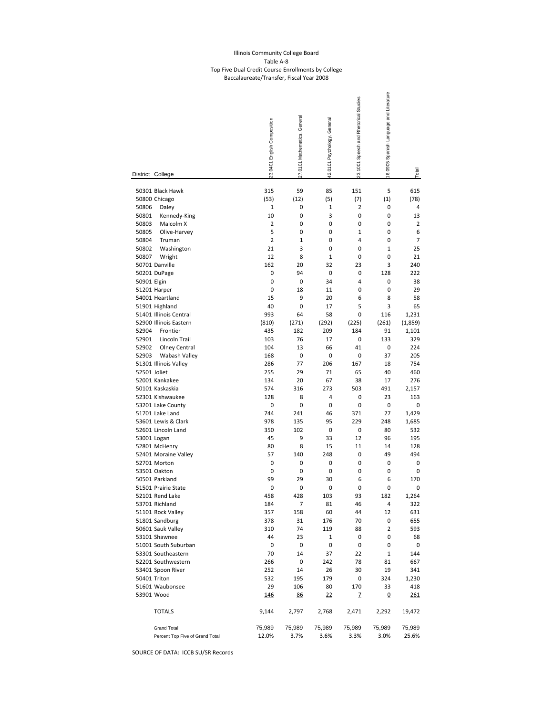#### Illinois Community College Board Table A‐8 Top Five Dual Credit Course Enrollments by College Baccalaureate/Transfer, Fiscal Year 2008

|                                  |                                                                                                | 23.0401 English Composition       | 27.0101 Mathematics, General   | 42.0101 Psychology, General       | 23.1001 Speech and Rhetorical Studies           | 16.0905 Spanish Language and Literature |                                          |
|----------------------------------|------------------------------------------------------------------------------------------------|-----------------------------------|--------------------------------|-----------------------------------|-------------------------------------------------|-----------------------------------------|------------------------------------------|
|                                  | District College                                                                               |                                   |                                |                                   |                                                 |                                         | Total                                    |
| 50806<br>50801<br>50803          | 50301 Black Hawk<br>50800 Chicago<br>Daley<br>Kennedy-King<br>Malcolm X                        | 315<br>(53)<br>1<br>10<br>2       | 59<br>(12)<br>0<br>0<br>0      | 85<br>(5)<br>1<br>3<br>0          | 151<br>(7)<br>$\overline{\mathbf{2}}$<br>0<br>0 | 5<br>(1)<br>0<br>0<br>0                 | 615<br>(78)<br>4<br>13<br>$\overline{2}$ |
| 50805<br>50804<br>50802<br>50807 | Olive-Harvey<br>Truman<br>Washington<br>Wright<br>50701 Danville                               | 5<br>2<br>21<br>12<br>162         | 0<br>1<br>3<br>8<br>20         | 0<br>0<br>0<br>$\mathbf{1}$<br>32 | $\mathbf{1}$<br>4<br>0<br>0<br>23               | 0<br>0<br>$\mathbf{1}$<br>0<br>3        | 6<br>7<br>25<br>21<br>240                |
| 50901 Elgin                      | 50201 DuPage<br>51201 Harper<br>54001 Heartland<br>51901 Highland                              | 0<br>0<br>0<br>15<br>40           | 94<br>0<br>18<br>9<br>0        | 0<br>34<br>11<br>20<br>17         | 0<br>4<br>0<br>6<br>5                           | 128<br>0<br>0<br>8<br>3                 | 222<br>38<br>29<br>58<br>65              |
| 52904<br>52901<br>52902          | 51401 Illinois Central<br>52900 Illinois Eastern<br>Frontier<br>Lincoln Trail<br>Olney Central | 993<br>(810)<br>435<br>103<br>104 | 64<br>(271)<br>182<br>76<br>13 | 58<br>(292)<br>209<br>17<br>66    | 0<br>(225)<br>184<br>0<br>41                    | 116<br>(261)<br>91<br>133<br>0          | 1,231<br>(1,859)<br>1,101<br>329<br>224  |
| 52903<br>52501 Joliet            | Wabash Valley<br>51301 Illinois Valley<br>52001 Kankakee<br>50101 Kaskaskia                    | 168<br>286<br>255<br>134<br>574   | 0<br>77<br>29<br>20<br>316     | 0<br>206<br>71<br>67<br>273       | 0<br>167<br>65<br>38<br>503                     | 37<br>18<br>40<br>17<br>491             | 205<br>754<br>460<br>276<br>2,157        |
|                                  | 52301 Kishwaukee                                                                               | 128                               | 8                              | 4                                 | 0                                               | 23                                      | 163                                      |
|                                  | 53201 Lake County                                                                              | 0                                 | 0                              | 0                                 | 0                                               | 0                                       | 0                                        |
|                                  | 51701 Lake Land                                                                                | 744                               | 241                            | 46                                | 371                                             | 27                                      | 1,429                                    |
|                                  | 53601 Lewis & Clark                                                                            | 978                               | 135                            | 95                                | 229                                             | 248                                     | 1,685                                    |
|                                  | 52601 Lincoln Land                                                                             | 350                               | 102                            | 0                                 | 0                                               | 80                                      | 532                                      |
|                                  | 53001 Logan                                                                                    | 45                                | 9                              | 33                                | 12                                              | 96                                      | 195                                      |
|                                  | 52801 McHenry                                                                                  | 80                                | 8                              | 15                                | 11                                              | 14                                      | 128                                      |
|                                  | 52401 Moraine Valley                                                                           | 57                                | 140                            | 248                               | 0                                               | 49                                      | 494                                      |
|                                  | 52701 Morton                                                                                   | 0                                 | 0                              | 0                                 | 0                                               | 0                                       | 0                                        |
|                                  | 53501 Oakton                                                                                   | 0                                 | 0                              | 0                                 | 0                                               | 0                                       | 0                                        |
|                                  | 50501 Parkland                                                                                 | 99                                | 29                             | 30                                | 6                                               | 6                                       | 170                                      |
|                                  | 51501 Prairie State                                                                            | 0                                 | 0                              | 0                                 | 0                                               | 0                                       | 0                                        |
|                                  | 52101 Rend Lake                                                                                | 458                               | 428                            | 103                               | 93                                              | 182                                     | 1,264                                    |
|                                  | 53701 Richland                                                                                 | 184                               | 7                              | 81                                | 46                                              | 4                                       | 322                                      |
|                                  | 51101 Rock Valley                                                                              | 357                               | 158                            | 60                                | 44                                              | 12                                      | 631                                      |
|                                  | 51801 Sandburg                                                                                 | 378                               | 31                             | 176                               | 70                                              | 0                                       | 655                                      |
|                                  | 50601 Sauk Valley                                                                              | 310                               | 74                             | 119                               | 88                                              | 2                                       | 593                                      |
|                                  | 53101 Shawnee                                                                                  | 44                                | 23                             | 1                                 | 0                                               | 0                                       | 68                                       |
|                                  | 51001 South Suburban                                                                           | 0                                 | 0                              | 0                                 | 0                                               | 0                                       | 0                                        |
|                                  | 53301 Southeastern                                                                             | 70                                | 14                             | 37                                | 22                                              | $1\,$                                   | 144                                      |
|                                  | 52201 Southwestern                                                                             | 266                               | 0                              | 242                               | 78                                              | 81                                      | 667                                      |
|                                  | 53401 Spoon River                                                                              | 252                               | 14                             | 26                                | 30                                              | 19                                      | 341                                      |
|                                  | 50401 Triton                                                                                   | 532                               | 195                            | 179                               | 0                                               | 324                                     | 1,230                                    |
|                                  | 51601 Waubonsee                                                                                | 29                                | 106                            | 80                                | 170                                             | 33                                      | 418                                      |
|                                  | 53901 Wood                                                                                     | <u>146</u>                        | 86                             | $^{22}$                           | Z                                               | <u>0</u>                                | <u> 261</u>                              |
|                                  | <b>TOTALS</b>                                                                                  | 9,144                             | 2,797                          | 2,768                             | 2,471                                           | 2,292                                   | 19,472                                   |
|                                  | <b>Grand Total</b>                                                                             | 75,989                            | 75,989                         | 75,989                            | 75,989                                          | 75,989                                  | 75,989                                   |
|                                  | Percent Top Five of Grand Total                                                                | 12.0%                             | 3.7%                           | 3.6%                              | 3.3%                                            | 3.0%                                    | 25.6%                                    |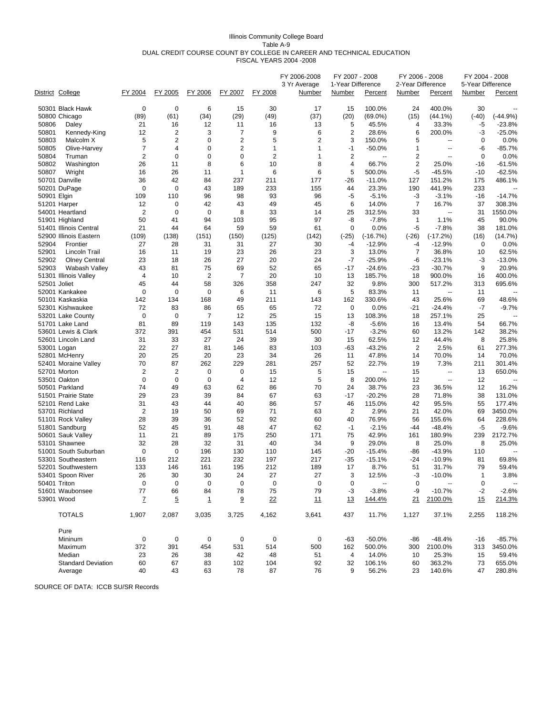#### Illinois Community College Board Table A-9 DUAL CREDIT COURSE COUNT BY COLLEGE IN CAREER AND TECHNICAL EDUCATION FISCAL YEARS 2004 -2008

|             |                                          |                         |                 |                |                |                | FY 2006-2008<br>3 Yr Average | FY 2007 - 2008<br>1-Year Difference |                  | FY 2006 - 2008<br>2-Year Difference |                          | FY 2004 - 2008<br>5-Year Difference |                          |
|-------------|------------------------------------------|-------------------------|-----------------|----------------|----------------|----------------|------------------------------|-------------------------------------|------------------|-------------------------------------|--------------------------|-------------------------------------|--------------------------|
|             | District College                         | FY 2004                 | FY 2005         | FY 2006        | FY 2007        | FY 2008        | Number                       | <b>Number</b>                       | Percent          | <b>Number</b>                       | Percent                  | <b>Number</b>                       | Percent                  |
|             | 50301 Black Hawk                         | 0                       | 0               | 6              | 15             | 30             | 17                           | 15                                  | 100.0%           | 24                                  | 400.0%                   | 30                                  |                          |
|             | 50800 Chicago                            | (89)                    | (61)            | (34)           | (29)           | (49)           | (37)                         | (20)                                | $(69.0\%)$       | (15)                                | $(44.1\%)$               | $(-40)$                             | $(-44.9%)$               |
| 50806       | Daley                                    | 21                      | 16              | 12             | 11             | 16             | 13                           | 5                                   | 45.5%            | 4                                   | 33.3%                    | -5                                  | $-23.8%$                 |
| 50801       | Kennedy-King                             | 12                      | 2               | 3              | 7              | 9              | 6                            | 2                                   | 28.6%            | 6                                   | 200.0%                   | -3                                  | $-25.0\%$                |
| 50803       | Malcolm X                                | 5                       | $\overline{c}$  | $\mathbf 0$    | $\overline{2}$ | 5              | $\overline{2}$               | 3                                   | 150.0%           | 5                                   | $\overline{a}$           | 0                                   | 0.0%                     |
| 50805       | Olive-Harvey                             | $\overline{7}$          | 4               | 0              | $\overline{2}$ | $\mathbf{1}$   | $\mathbf{1}$                 | $-1$                                | $-50.0%$         | $\mathbf{1}$                        | $\overline{a}$           | -6                                  | $-85.7%$                 |
| 50804       | Truman                                   | $\overline{2}$          | $\mathbf 0$     | 0              | $\mathbf 0$    | $\overline{2}$ | $\mathbf{1}$                 | $\overline{2}$                      | Ξ.               | $\overline{2}$                      | $\overline{a}$           | $\mathbf 0$                         | 0.0%                     |
| 50802       | Washington                               | 26                      | 11              | 8              | 6              | 10             | 8                            | 4                                   | 66.7%            | $\overline{2}$                      | 25.0%                    | $-16$                               | $-61.5%$                 |
| 50807       | Wright                                   | 16                      | 26              | 11             | 1              | 6              | 6                            | 5                                   | 500.0%           | $-5$                                | $-45.5%$                 | $-10$                               | $-62.5%$                 |
|             | 50701 Danville                           | 36                      | 42              | 84             | 237            | 211            | 177                          | -26                                 | $-11.0%$         | 127                                 | 151.2%                   | 175                                 | 486.1%                   |
|             | 50201 DuPage                             | 0                       | $\mathbf 0$     | 43             | 189            | 233            | 155                          | 44                                  | 23.3%            | 190                                 | 441.9%                   | 233                                 |                          |
| 50901 Elgin |                                          | 109                     | 110             | 96             | 98             | 93             | 96                           | -5                                  | $-5.1%$          | -3                                  | $-3.1%$                  | $-16$                               | $-14.7%$                 |
|             | 51201 Harper                             | 12                      | 0               | 42             | 43             | 49             | 45                           | 6                                   | 14.0%            | $\overline{7}$                      | 16.7%                    | 37                                  | 308.3%                   |
|             | 54001 Heartland                          | $\overline{2}$          | $\mathbf 0$     | $\mathbf 0$    | 8              | 33             | 14                           | 25                                  | 312.5%           | 33                                  | --                       | 31                                  | 1550.0%                  |
|             | 51901 Highland                           | 50                      | 41              | 94             | 103            | 95             | 97                           | -8                                  | $-7.8%$          | $\mathbf{1}$                        | 1.1%                     | 45                                  | 90.0%                    |
|             | 51401 Illinois Central                   | 21                      | 44              | 64             | 59             | 59             | 61                           | 0                                   | 0.0%             | $-5$                                | $-7.8%$                  | 38                                  | 181.0%                   |
|             | 52900 Illinois Eastern                   | (109)                   | (138)           | (151)          | (150)          | (125)          | (142)                        | $(-25)$                             | $(-16.7%)$       | $(-26)$                             | $(-17.2%)$               | (16)                                | (14.7%)                  |
| 52904       | Frontier                                 | 27                      | 28              | 31             | 31             | 27             | 30                           | -4                                  | $-12.9%$         | -4                                  | $-12.9%$                 | 0                                   | 0.0%                     |
| 52901       | Lincoln Trail                            | 16                      | 11              | 19             | 23             | 26             | 23                           | 3                                   | 13.0%            | 7                                   | 36.8%                    | 10                                  | 62.5%                    |
| 52902       | <b>Olney Central</b>                     | 23                      | 18              | 26             | 27             | 20             | 24                           | $-7$                                | $-25.9%$         | -6                                  | $-23.1%$                 | -3                                  | $-13.0\%$                |
| 52903       | Wabash Valley                            | 43                      | 81              | 75             | 69             | 52             | 65                           | -17                                 | $-24.6%$         | $-23$                               | $-30.7%$                 | 9                                   | 20.9%                    |
|             | 51301 Illinois Valley                    | 4                       | 10              | $\overline{2}$ | $\overline{7}$ | 20             | 10                           | 13                                  | 185.7%           | 18                                  | 900.0%                   | 16                                  | 400.0%                   |
|             | 52501 Joliet                             | 45                      | 44              | 58             | 326            | 358            | 247                          | 32                                  | 9.8%             | 300                                 | 517.2%                   | 313                                 | 695.6%                   |
|             | 52001 Kankakee                           | $\mathbf 0$             | $\mathbf 0$     | $\mathbf 0$    | 6              | 11             | 6                            | 5                                   | 83.3%            | 11                                  | $\overline{\phantom{a}}$ | 11                                  | $\sim$                   |
|             | 50101 Kaskaskia                          | 142                     | 134             | 168            | 49             | 211            | 143                          | 162                                 | 330.6%           | 43                                  | 25.6%                    | 69                                  | 48.6%                    |
|             | 52301 Kishwaukee                         | 72                      | 83              | 86             | 65             | 65             | 72                           | 0                                   | 0.0%             | $-21$                               | $-24.4%$                 | -7                                  | $-9.7%$                  |
|             | 53201 Lake County                        | 0                       | 0               | $\overline{7}$ | 12             | 25             | 15                           | 13                                  | 108.3%           | 18                                  | 257.1%                   | 25                                  |                          |
|             | 51701 Lake Land                          | 81                      | 89              | 119            | 143            | 135            | 132                          | -8                                  | $-5.6%$          | 16                                  | 13.4%                    | 54                                  | 66.7%                    |
|             | 53601 Lewis & Clark                      | 372                     | 391             | 454            | 531            | 514            | 500                          | $-17$                               | $-3.2%$          | 60                                  | 13.2%                    | 142                                 | 38.2%                    |
|             | 52601 Lincoln Land                       | 31                      | 33              | 27             | 24             | 39             | 30                           | 15                                  | 62.5%            | 12                                  | 44.4%                    | 8                                   | 25.8%                    |
|             | 53001 Logan                              | 22                      | 27              | 81             | 146            | 83             | 103                          | -63                                 | $-43.2%$         | $\overline{2}$                      | 2.5%                     | 61                                  | 277.3%                   |
|             | 52801 McHenry                            | 20                      | 25              | 20             | 23             | 34             | 26                           | 11                                  | 47.8%            | 14                                  | 70.0%                    | 14                                  | 70.0%                    |
|             | 52401 Moraine Valley                     | 70                      | 87              | 262            | 229            | 281            | 257                          | 52                                  | 22.7%            | 19                                  | 7.3%                     | 211                                 | 301.4%                   |
|             | 52701 Morton                             | 2                       | 2               | 0              | 0              | 15             | 5                            | 15                                  | --               | 15                                  | $\overline{\phantom{a}}$ | 13                                  | 650.0%                   |
|             | 53501 Oakton                             | 0                       | 0               | 0              | 4              | 12             | 5                            | 8                                   | 200.0%           | 12                                  | $\overline{a}$           | 12                                  |                          |
|             | 50501 Parkland                           | 74                      | 49              | 63             | 62             | 86             | 70                           | 24                                  | 38.7%            | 23                                  | 36.5%                    | 12                                  | 16.2%                    |
|             | 51501 Prairie State                      | 29                      | 23              | 39             | 84             | 67             | 63                           | $-17$                               | $-20.2%$         | 28                                  | 71.8%                    | 38                                  | 131.0%                   |
|             | 52101 Rend Lake                          | 31                      | 43              | 44             | 40             | 86             | 57                           | 46                                  | 115.0%           | 42                                  | 95.5%                    | 55                                  | 177.4%                   |
|             | 53701 Richland                           | $\overline{\mathbf{c}}$ | 19              | 50             | 69             | 71             | 63                           | 2                                   | 2.9%             | 21                                  | 42.0%                    | 69                                  | 3450.0%                  |
|             | 51101 Rock Valley                        | 28                      | 39              | 36             | 52             | 92             | 60                           | 40                                  | 76.9%            | 56                                  | 155.6%<br>$-48.4%$       | 64                                  | 228.6%                   |
|             | 51801 Sandburg                           | 52                      | 45              | 91<br>89       | 48             | 47             | 62                           | $-1$                                | $-2.1%$<br>42.9% | $-44$                               | 180.9%                   | -5<br>239                           | $-9.6%$<br>2172.7%       |
|             | 50601 Sauk Valley<br>53101 Shawnee       | 11                      | 21              |                | 175            | 250            | 171                          | 75                                  |                  | 161                                 |                          |                                     |                          |
|             |                                          | 32                      | 28              | 32             | 31             | 40             | 34                           | 9                                   | 29.0%            | 8                                   | 25.0%                    | 8                                   | 25.0%                    |
|             | 51001 South Suburban                     | 0                       | 0               | 196            | 130            | 110            | 145                          | -20                                 | $-15.4%$         | -86                                 | $-43.9%$                 | 110                                 |                          |
|             | 53301 Southeastern<br>52201 Southwestern | 116<br>133              | 212<br>146      | 221<br>161     | 232<br>195     | 197<br>212     | 217<br>189                   | $-35$<br>17                         | $-15.1%$<br>8.7% | $-24$<br>51                         | $-10.9%$<br>31.7%        | 81<br>79                            | 69.8%<br>59.4%           |
|             |                                          | 26                      |                 |                |                |                | 27                           | 3                                   | 12.5%            | -3                                  |                          |                                     | 3.8%                     |
|             | 53401 Spoon River<br>50401 Triton        | 0                       | 30<br>$\pmb{0}$ | 30<br>0        | 24<br>0        | 27<br>0        | $\pmb{0}$                    | 0                                   | --               | $\pmb{0}$                           | $-10.0%$                 | 1<br>$\pmb{0}$                      | $\overline{\phantom{a}}$ |
|             | 51601 Waubonsee                          | 77                      | 66              | 84             | 78             | 75             | 79                           | $-3$                                | $-3.8%$          | -9                                  | $-10.7%$                 | $-2$                                | $-2.6%$                  |
|             | 53901 Wood                               |                         |                 |                |                |                |                              |                                     |                  |                                     |                          |                                     |                          |
|             |                                          | $\overline{I}$          | $\overline{5}$  | $\mathbf{1}$   | 9              | 22             | 11                           | <u>13</u>                           | 144.4%           | 21                                  | 2100.0%                  | 15                                  | 214.3%                   |
|             | <b>TOTALS</b>                            | 1,907                   | 2,087           | 3,035          | 3,725          | 4,162          | 3,641                        | 437                                 | 11.7%            | 1,127                               | 37.1%                    | 2,255                               | 118.2%                   |
|             | Pure                                     |                         |                 |                |                |                |                              |                                     |                  |                                     |                          |                                     |                          |
|             | Mininum                                  | $\mathbf 0$             | 0               | 0              | $\mathbf 0$    | 0              | 0                            | $-63$                               | $-50.0\%$        | -86                                 | $-48.4%$                 | $-16$                               | $-85.7%$                 |
|             | Maximum                                  | 372                     | 391             | 454            | 531            | 514            | 500                          | 162                                 | 500.0%           | 300                                 | 2100.0%                  | 313                                 | 3450.0%                  |
|             | Median                                   | 23                      | 26              | 38             | 42             | 48             | 51                           | 4                                   | 14.0%            | 10                                  | 25.3%                    | 15                                  | 59.4%                    |
|             | <b>Standard Deviation</b>                | 60                      | 67              | 83             | 102            | 104            | 92                           | 32                                  | 106.1%           | 60                                  | 363.2%                   | 73                                  | 655.0%                   |
|             | Average                                  | 40                      | 43              | 63             | 78             | 87             | 76                           | 9                                   | 56.2%            | 23                                  | 140.6%                   | 47                                  | 280.8%                   |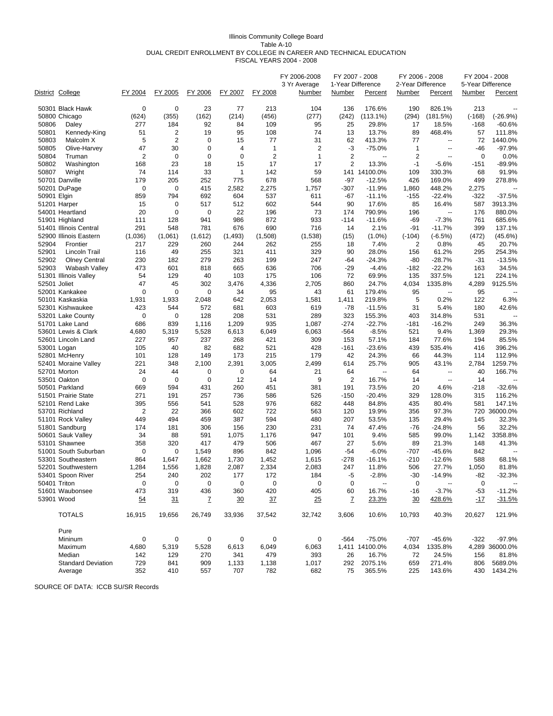#### Illinois Community College Board Table A-10 DUAL CREDIT ENROLLMENT BY COLLEGE IN CAREER AND TECHNICAL EDUCATION FISCAL YEARS 2004 - 2008

|                | District College                  | FY 2004        | FY 2005        | FY 2006     | FY 2007      | FY 2008        | FY 2006-2008<br>3 Yr Average<br><u>Number</u> | FY 2007 - 2008<br>1-Year Difference<br><b>Number</b> | Percent                  | FY 2006 - 2008<br>2-Year Difference<br><b>Number</b> | Percent                  | <b>Number</b>   | FY 2004 - 2008<br>5-Year Difference<br>Percent |
|----------------|-----------------------------------|----------------|----------------|-------------|--------------|----------------|-----------------------------------------------|------------------------------------------------------|--------------------------|------------------------------------------------------|--------------------------|-----------------|------------------------------------------------|
|                |                                   | $\mathbf 0$    |                | 23          |              |                |                                               |                                                      |                          |                                                      |                          |                 |                                                |
|                | 50301 Black Hawk<br>50800 Chicago | (624)          | 0<br>(355)     | (162)       | 77<br>(214)  | 213<br>(456)   | 104<br>(277)                                  | 136<br>(242)                                         | 176.6%<br>(113.1%)       | 190<br>(294)                                         | 826.1%<br>(181.5%)       | 213<br>$(-168)$ | $(-26.9%)$                                     |
| 50806          |                                   | 277            | 184            | 92          | 84           | 109            | 95                                            | 25                                                   | 29.8%                    | 17                                                   | 18.5%                    | $-168$          | $-60.6%$                                       |
|                | Daley<br>Kennedy-King             | 51             | 2              | 19          | 95           |                | 74                                            | 13                                                   | 13.7%                    |                                                      | 468.4%                   |                 |                                                |
| 50801          |                                   | 5              | $\overline{2}$ | $\mathbf 0$ | 15           | 108<br>77      | 31                                            | 62                                                   | 413.3%                   | 89<br>77                                             | $\overline{\phantom{a}}$ | 57<br>72        | 111.8%<br>1440.0%                              |
| 50803<br>50805 | Malcolm X                         | 47             | 30             | $\mathbf 0$ | 4            | $\mathbf{1}$   | $\overline{2}$                                | $-3$                                                 | $-75.0%$                 | $\mathbf{1}$                                         | --                       | $-46$           | $-97.9%$                                       |
|                | Olive-Harvey                      | $\overline{2}$ | $\mathbf 0$    | $\mathbf 0$ | $\mathbf 0$  | $\overline{2}$ | $\mathbf{1}$                                  | $\overline{2}$                                       | $\overline{\phantom{a}}$ | $\overline{2}$                                       | $\overline{\phantom{a}}$ | $\mathbf 0$     | 0.0%                                           |
| 50804          | Truman                            |                | 23             | 18          |              | 17             | 17                                            | $\overline{2}$                                       |                          |                                                      |                          |                 |                                                |
| 50802          | Washington                        | 168            |                |             | 15           |                |                                               |                                                      | 13.3%                    | $-1$                                                 | $-5.6%$<br>330.3%        | $-151$          | -89.9%                                         |
| 50807          | Wright                            | 74             | 114            | 33          | $\mathbf{1}$ | 142            | 59                                            |                                                      | 141 14100.0%             | 109                                                  |                          | 68              | 91.9%<br>278.8%                                |
|                | 50701 Danville                    | 179            | 205            | 252         | 775          | 678            | 568                                           | $-97$                                                | $-12.5%$                 | 426                                                  | 169.0%                   | 499             |                                                |
|                | 50201 DuPage                      | $\mathbf 0$    | 0              | 415         | 2,582        | 2,275          | 1,757                                         | $-307$                                               | $-11.9%$                 | 1,860                                                | 448.2%                   | 2,275           |                                                |
| 50901 Elgin    |                                   | 859            | 794            | 692         | 604          | 537            | 611                                           | $-67$                                                | $-11.1%$                 | -155                                                 | $-22.4%$                 | $-322$          | $-37.5%$                                       |
|                | 51201 Harper                      | 15             | $\mathbf 0$    | 517         | 512          | 602            | 544                                           | 90                                                   | 17.6%                    | 85                                                   | 16.4%                    | 587             | 3913.3%                                        |
|                | 54001 Heartland                   | 20             | $\mathbf 0$    | $\mathbf 0$ | 22           | 196            | 73                                            | 174                                                  | 790.9%                   | 196                                                  | --                       | 176             | 880.0%                                         |
|                | 51901 Highland                    | 111            | 128            | 941         | 986          | 872            | 933                                           | $-114$                                               | $-11.6%$                 | -69                                                  | $-7.3%$                  | 761             | 685.6%                                         |
|                | 51401 Illinois Central            | 291            | 548            | 781         | 676          | 690            | 716                                           | 14                                                   | 2.1%                     | $-91$                                                | $-11.7%$                 | 399             | 137.1%                                         |
|                | 52900 Illinois Eastern            | (1,036)        | (1,061)        | (1,612)     | (1, 493)     | (1,508)        | (1,538)                                       | (15)                                                 | $(1.0\%)$                | $(-104)$                                             | $(-6.5%)$                | (472)           | (45.6%)                                        |
| 52904          | Frontier                          | 217            | 229            | 260         | 244          | 262            | 255                                           | 18                                                   | 7.4%                     | 2                                                    | 0.8%                     | 45              | 20.7%                                          |
| 52901          | Lincoln Trail                     | 116            | 49             | 255         | 321          | 411            | 329                                           | 90                                                   | 28.0%                    | 156                                                  | 61.2%                    | 295             | 254.3%                                         |
| 52902          | <b>Olney Central</b>              | 230            | 182            | 279         | 263          | 199            | 247                                           | -64                                                  | $-24.3%$                 | -80                                                  | $-28.7%$                 | $-31$           | $-13.5%$                                       |
| 52903          | Wabash Valley                     | 473            | 601            | 818         | 665          | 636            | 706                                           | -29                                                  | $-4.4%$                  | $-182$                                               | $-22.2%$                 | 163             | 34.5%                                          |
|                | 51301 Illinois Valley             | 54             | 129            | 40          | 103          | 175            | 106                                           | 72                                                   | 69.9%                    | 135                                                  | 337.5%                   | 121             | 224.1%                                         |
|                | 52501 Joliet                      | 47             | 45             | 302         | 3,476        | 4,336          | 2,705                                         | 860                                                  | 24.7%                    | 4,034                                                | 1335.8%                  | 4,289           | 9125.5%                                        |
|                | 52001 Kankakee                    | $\Omega$       | 0              | $\mathbf 0$ | 34           | 95             | 43                                            | 61                                                   | 179.4%                   | 95                                                   | $\sim$                   | 95              |                                                |
|                | 50101 Kaskaskia                   | 1,931          | 1,933          | 2,048       | 642          | 2,053          | 1,581                                         | 1,411                                                | 219.8%                   | 5                                                    | 0.2%                     | 122             | 6.3%                                           |
|                | 52301 Kishwaukee                  | 423            | 544            | 572         | 681          | 603            | 619                                           | $-78$                                                | $-11.5%$                 | 31                                                   | 5.4%                     | 180             | 42.6%                                          |
|                | 53201 Lake County                 | 0              | 0              | 128         | 208          | 531            | 289                                           | 323                                                  | 155.3%                   | 403                                                  | 314.8%                   | 531             |                                                |
|                | 51701 Lake Land                   | 686            | 839            | 1,116       | 1,209        | 935            | 1,087                                         | $-274$                                               | $-22.7%$                 | $-181$                                               | $-16.2%$                 | 249             | 36.3%                                          |
|                | 53601 Lewis & Clark               | 4,680          | 5,319          | 5,528       | 6,613        | 6,049          | 6,063                                         | $-564$                                               | $-8.5%$                  | 521                                                  | 9.4%                     | 1,369           | 29.3%                                          |
|                | 52601 Lincoln Land                | 227            | 957            | 237         | 268          | 421            | 309                                           | 153                                                  | 57.1%                    | 184                                                  | 77.6%                    | 194             | 85.5%                                          |
|                | 53001 Logan                       | 105            | 40             | 82          | 682          | 521            | 428                                           | $-161$                                               | $-23.6%$                 | 439                                                  | 535.4%                   | 416             | 396.2%                                         |
|                | 52801 McHenry                     | 101            | 128            | 149         | 173          | 215            | 179                                           | 42                                                   | 24.3%                    | 66                                                   | 44.3%                    | 114             | 112.9%                                         |
|                | 52401 Moraine Valley              | 221            | 348            | 2,100       | 2,391        | 3,005          | 2,499                                         | 614                                                  | 25.7%                    | 905                                                  | 43.1%                    | 2,784           | 1259.7%                                        |
|                | 52701 Morton                      | 24             | 44             | 0           | 0            | 64             | 21                                            | 64                                                   | Ξ.                       | 64                                                   | $\overline{a}$           | 40              | 166.7%                                         |
|                | 53501 Oakton                      | $\mathbf 0$    | 0              | 0           | 12           | 14             | 9                                             | 2                                                    | 16.7%                    | 14                                                   | $\overline{a}$           | 14              |                                                |
|                | 50501 Parkland                    | 669            | 594            | 431         | 260          | 451            | 381                                           | 191                                                  | 73.5%                    | 20                                                   | 4.6%                     | $-218$          | $-32.6%$                                       |
|                | 51501 Prairie State               | 271            | 191            | 257         | 736          | 586            | 526                                           | $-150$                                               | $-20.4%$                 | 329                                                  | 128.0%                   | 315             | 116.2%                                         |
|                | 52101 Rend Lake                   | 395            | 556            | 541         | 528          | 976            | 682                                           | 448                                                  | 84.8%                    | 435                                                  | 80.4%                    | 581             | 147.1%                                         |
|                | 53701 Richland                    | $\overline{2}$ | 22             | 366         | 602          | 722            | 563                                           | 120                                                  | 19.9%                    | 356                                                  | 97.3%                    | 720             | 36000.0%                                       |
|                | 51101 Rock Valley                 | 449            | 494            | 459         | 387          | 594            | 480                                           | 207                                                  | 53.5%                    | 135                                                  | 29.4%                    | 145             | 32.3%                                          |
|                | 51801 Sandburg                    | 174            | 181            | 306         | 156          | 230            | 231                                           | 74                                                   | 47.4%                    | $-76$                                                | $-24.8%$                 | 56              | 32.2%                                          |
|                | 50601 Sauk Valley                 | 34             | 88             | 591         | 1,075        | 1,176          | 947                                           | 101                                                  | 9.4%                     | 585                                                  | 99.0%                    | 1,142           | 3358.8%                                        |
|                | 53101 Shawnee                     | 358            | 320            | 417         | 479          | 506            | 467                                           | 27                                                   | 5.6%                     | 89                                                   | 21.3%                    | 148             | 41.3%                                          |
|                | 51001 South Suburban              | 0              | 0              | 1,549       | 896          | 842            | 1,096                                         | $-54$                                                | $-6.0%$                  | -707                                                 | $-45.6%$                 | 842             |                                                |
|                | 53301 Southeastern                | 864            | 1,647          | 1,662       | 1,730        | 1,452          | 1,615                                         | $-278$                                               | $-16.1%$                 | $-210$                                               | $-12.6%$                 | 588             | 68.1%                                          |
|                | 52201 Southwestern                | 1,284          | 1,556          | 1,828       | 2,087        | 2,334          | 2,083                                         | 247                                                  | 11.8%                    | 506                                                  | 27.7%                    | 1,050           | 81.8%                                          |
|                | 53401 Spoon River                 | 254            | 240            | 202         | 177          | 172            | 184                                           | -5                                                   | $-2.8%$                  | $-30$                                                | $-14.9%$                 | -82             | $-32.3%$                                       |
|                | 50401 Triton                      | 0              | $\pmb{0}$      | $\pmb{0}$   | $\pmb{0}$    | 0              | $\pmb{0}$                                     | 0                                                    | --                       | $\pmb{0}$                                            |                          | $\mathbf 0$     | $\overline{\phantom{a}}$                       |
|                | 51601 Waubonsee                   | 473            | 319            | 436         | 360          | 420            | 405                                           | 60                                                   | 16.7%                    | $-16$                                                | $-3.7%$                  | $-53$           | $-11.2%$                                       |
|                | 53901 Wood                        | 54             | 31             | Z           | 30           | 37             | 25                                            | Z                                                    | 23.3%                    | 30                                                   | 428.6%                   | <u>-17</u>      | $-31.5%$                                       |
|                | <b>TOTALS</b>                     | 16,915         | 19,656         | 26,749      | 33,936       | 37,542         | 32,742                                        | 3,606                                                | 10.6%                    | 10,793                                               | 40.3%                    | 20,627          | 121.9%                                         |
|                | Pure                              |                |                |             |              |                |                                               |                                                      |                          |                                                      |                          |                 |                                                |
|                | Mininum                           | 0              | 0              | 0           | 0            | 0              | 0                                             | $-564$                                               | $-75.0%$                 | $-707$                                               | $-45.6%$                 | $-322$          | $-97.9%$                                       |
|                | Maximum                           | 4,680          | 5,319          | 5,528       | 6,613        | 6,049          | 6,063                                         |                                                      | 1,411 14100.0%           | 4,034                                                | 1335.8%                  |                 | 4,289 36000.0%                                 |
|                | Median                            | 142            | 129            | 270         | 341          | 479            | 393                                           | 26                                                   | 16.7%                    | 72                                                   | 24.5%                    | 156             | 81.8%                                          |
|                | <b>Standard Deviation</b>         | 729            | 841            | 909         | 1,133        | 1,138          | 1,017                                         | 292                                                  | 2075.1%                  | 659                                                  | 271.4%                   | 806             | 5689.0%                                        |
|                | Average                           | 352            | 410            | 557         | 707          | 782            | 682                                           | 75                                                   | 365.5%                   | 225                                                  | 143.6%                   | 430             | 1434.2%                                        |
|                |                                   |                |                |             |              |                |                                               |                                                      |                          |                                                      |                          |                 |                                                |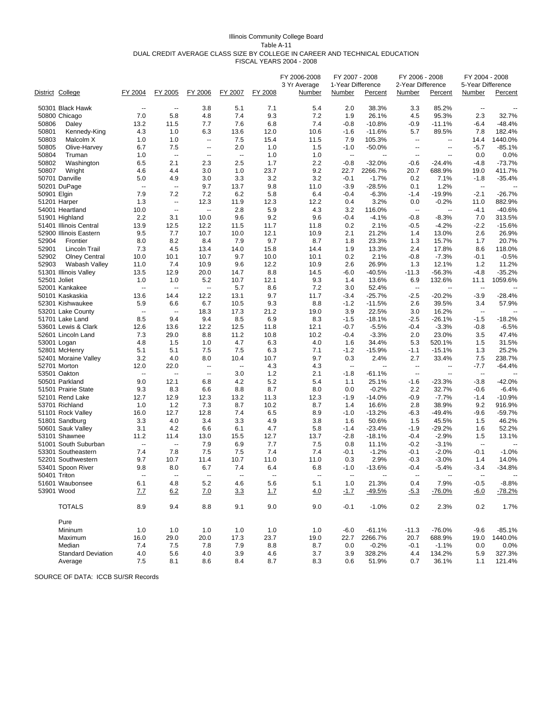#### Illinois Community College Board Table A‐11 DUAL CREDIT AVERAGE CLASS SIZE BY COLLEGE IN CAREER AND TECHNICAL EDUCATION FISCAL YEARS 2004 - 2008

|             | District College          | FY 2004                  | FY 2005                  | FY 2006                  | FY 2007                  | FY 2008 | FY 2006-2008<br>3 Yr Average<br>Number | FY 2007 - 2008<br>1-Year Difference<br>Number | Percent        | FY 2006 - 2008<br>2-Year Difference<br>Number | Percent                  | FY 2004 - 2008<br>5-Year Difference<br>Number | Percent  |
|-------------|---------------------------|--------------------------|--------------------------|--------------------------|--------------------------|---------|----------------------------------------|-----------------------------------------------|----------------|-----------------------------------------------|--------------------------|-----------------------------------------------|----------|
|             | 50301 Black Hawk          | $\overline{a}$           | $\overline{\phantom{a}}$ | 3.8                      | 5.1                      | 7.1     | 5.4                                    | 2.0                                           | 38.3%          | 3.3                                           | 85.2%                    | $\overline{\phantom{a}}$                      |          |
|             | 50800 Chicago             | 7.0                      | 5.8                      | 4.8                      | 7.4                      | 9.3     | 7.2                                    | 1.9                                           | 26.1%          | 4.5                                           | 95.3%                    | 2.3                                           | 32.7%    |
| 50806       | Daley                     | 13.2                     | 11.5                     | 7.7                      | 7.6                      | 6.8     | 7.4                                    | $-0.8$                                        | $-10.8%$       | $-0.9$                                        | $-11.1%$                 | $-6.4$                                        | $-48.4%$ |
| 50801       | Kennedy-King              | 4.3                      | 1.0                      | 6.3                      | 13.6                     | 12.0    | 10.6                                   | $-1.6$                                        | $-11.6%$       | 5.7                                           | 89.5%                    | 7.8                                           | 182.4%   |
| 50803       | Malcolm X                 | 1.0                      | 1.0                      | $\overline{\phantom{a}}$ | 7.5                      | 15.4    | 11.5                                   | 7.9                                           | 105.3%         | $\overline{\phantom{a}}$                      | $\overline{\phantom{a}}$ | 14.4                                          | 1440.0%  |
| 50805       | Olive-Harvey              | 6.7                      | 7.5                      | $\overline{\phantom{a}}$ | 2.0                      | 1.0     | 1.5                                    | $-1.0$                                        | $-50.0%$       | --                                            | $\overline{a}$           | $-5.7$                                        | $-85.1%$ |
| 50804       | Truman                    | 1.0                      | $\overline{\phantom{a}}$ | $\overline{\phantom{a}}$ | $\overline{\phantom{a}}$ | 1.0     | 1.0                                    | $\overline{\phantom{a}}$                      | $\overline{a}$ | $\overline{\phantom{a}}$                      | --                       | 0.0                                           | 0.0%     |
| 50802       | Washington                | 6.5                      | 2.1                      | 2.3                      | 2.5                      | 1.7     | 2.2                                    | $-0.8$                                        | $-32.0%$       | $-0.6$                                        | $-24.4%$                 | $-4.8$                                        | $-73.7%$ |
| 50807       | Wright                    | 4.6                      | 4.4                      | 3.0                      | 1.0                      | 23.7    | 9.2                                    | 22.7                                          | 2266.7%        | 20.7                                          | 688.9%                   | 19.0                                          | 411.7%   |
|             | 50701 Danville            | 5.0                      | 4.9                      | 3.0                      | 3.3                      | 3.2     | 3.2                                    | $-0.1$                                        | $-1.7%$        | 0.2                                           | 7.1%                     | $-1.8$                                        | $-35.4%$ |
|             | 50201 DuPage              | $\overline{\phantom{a}}$ | $\overline{\phantom{a}}$ | 9.7                      | 13.7                     | 9.8     | 11.0                                   | $-3.9$                                        | $-28.5%$       | 0.1                                           | 1.2%                     | $\overline{\phantom{a}}$                      |          |
| 50901 Elgin |                           | 7.9                      | 7.2                      | 7.2                      | 6.2                      | 5.8     | 6.4                                    | $-0.4$                                        | $-6.3%$        | $-1.4$                                        | $-19.9%$                 | $-2.1$                                        | $-26.7%$ |
|             | 51201 Harper              | 1.3                      | $\overline{\phantom{a}}$ | 12.3                     | 11.9                     | 12.3    | 12.2                                   | 0.4                                           | 3.2%           | 0.0                                           | $-0.2%$                  | 11.0                                          | 882.9%   |
|             | 54001 Heartland           | 10.0                     | $\overline{\phantom{a}}$ | $\overline{\phantom{a}}$ | 2.8                      | 5.9     | 4.3                                    | 3.2                                           | 116.0%         | $\overline{\phantom{a}}$                      | $\overline{a}$           | $-4.1$                                        | $-40.6%$ |
|             | 51901 Highland            | 2.2                      | 3.1                      | 10.0                     | 9.6                      | 9.2     | 9.6                                    | -0.4                                          | $-4.1%$        | $-0.8$                                        | $-8.3%$                  | 7.0                                           | 313.5%   |
|             | 51401 Illinois Central    | 13.9                     | 12.5                     | 12.2                     | 11.5                     | 11.7    | 11.8                                   | 0.2                                           | 2.1%           | $-0.5$                                        | $-4.2%$                  | $-2.2$                                        | $-15.6%$ |
|             | 52900 Illinois Eastern    | 9.5                      | 7.7                      | 10.7                     | 10.0                     | 12.1    | 10.9                                   | 2.1                                           | 21.2%          | 1.4                                           | 13.0%                    | 2.6                                           | 26.9%    |
| 52904       | Frontier                  | 8.0                      | 8.2                      | 8.4                      | 7.9                      | 9.7     | 8.7                                    | 1.8                                           | 23.3%          | 1.3                                           | 15.7%                    | 1.7                                           | 20.7%    |
| 52901       | Lincoln Trail             | 7.3                      | 4.5                      | 13.4                     | 14.0                     | 15.8    | 14.4                                   | 1.9                                           | 13.3%          | 2.4                                           | 17.8%                    | 8.6                                           | 118.0%   |
| 52902       | <b>Olney Central</b>      | 10.0                     | 10.1                     | 10.7                     | 9.7                      | 10.0    | 10.1                                   | 0.2                                           | 2.1%           | $-0.8$                                        | $-7.3%$                  | $-0.1$                                        | $-0.5%$  |
| 52903       | Wabash Valley             | 11.0                     | 7.4                      | 10.9                     | 9.6                      | 12.2    | 10.9                                   | 2.6                                           | 26.9%          | 1.3                                           | 12.1%                    | 1.2                                           | 11.2%    |
|             | 51301 Illinois Valley     | 13.5                     | 12.9                     | 20.0                     | 14.7                     | 8.8     | 14.5                                   | $-6.0$                                        | $-40.5%$       | $-11.3$                                       | $-56.3%$                 | $-4.8$                                        | $-35.2%$ |
|             | 52501 Joliet              | 1.0                      | 1.0                      | 5.2                      | 10.7                     | 12.1    | 9.3                                    | 1.4                                           | 13.6%          | 6.9                                           | 132.6%                   | 11.1                                          | 1059.6%  |
|             | 52001 Kankakee            | --                       | $\overline{\phantom{a}}$ | --                       | 5.7                      | 8.6     | 7.2                                    | 3.0                                           | 52.4%          | --                                            | $\overline{a}$           | $\overline{\phantom{a}}$                      |          |
|             | 50101 Kaskaskia           | 13.6                     | 14.4                     | 12.2                     | 13.1                     | 9.7     | 11.7                                   | -3.4                                          | $-25.7%$       | $-2.5$                                        | $-20.2%$                 | $-3.9$                                        | $-28.4%$ |
|             | 52301 Kishwaukee          | 5.9                      | 6.6                      | 6.7                      | 10.5                     | 9.3     | 8.8                                    | $-1.2$                                        | $-11.5%$       | 2.6                                           | 39.5%                    | 3.4                                           | 57.9%    |
|             | 53201 Lake County         | $\overline{\phantom{a}}$ | Ξ.                       | 18.3                     | 17.3                     | 21.2    | 19.0                                   | 3.9                                           | 22.5%          | 3.0                                           | 16.2%                    | $\overline{\phantom{a}}$                      |          |
|             | 51701 Lake Land           | 8.5                      | 9.4                      | 9.4                      | 8.5                      | 6.9     | 8.3                                    | $-1.5$                                        | $-18.1%$       | $-2.5$                                        | $-26.1%$                 | $-1.5$                                        | $-18.2%$ |
|             | 53601 Lewis & Clark       | 12.6                     | 13.6                     | 12.2                     | 12.5                     | 11.8    | 12.1                                   | -0.7                                          | $-5.5%$        | $-0.4$                                        | $-3.3%$                  | $-0.8$                                        | $-6.5%$  |
|             | 52601 Lincoln Land        | 7.3                      | 29.0                     | 8.8                      | 11.2                     | 10.8    | 10.2                                   | $-0.4$                                        | $-3.3%$        | 2.0                                           | 23.0%                    | 3.5                                           | 47.4%    |
|             | 53001 Logan               | 4.8                      | 1.5                      | 1.0                      | 4.7                      | 6.3     | 4.0                                    | 1.6                                           | 34.4%          | 5.3                                           | 520.1%                   | 1.5                                           | 31.5%    |
|             | 52801 McHenry             | 5.1                      | 5.1                      | 7.5                      | 7.5                      | 6.3     | 7.1                                    | $-1.2$                                        | $-15.9%$       | $-1.1$                                        | $-15.1%$                 | 1.3                                           | 25.2%    |
|             | 52401 Moraine Valley      | 3.2                      | 4.0                      | 8.0                      | 10.4                     | 10.7    | 9.7                                    | 0.3                                           | 2.4%           | 2.7                                           | 33.4%                    | 7.5                                           | 238.7%   |
|             | 52701 Morton              | 12.0                     | 22.0                     | $\overline{\phantom{a}}$ | $\ddotsc$                | 4.3     | 4.3                                    | $\overline{\phantom{a}}$                      | μ.             | $\overline{\phantom{a}}$                      | $\overline{a}$           | $-7.7$                                        | $-64.4%$ |
|             | 53501 Oakton              | Ξ.                       | Ξ.                       | $\overline{\phantom{a}}$ | 3.0                      | 1.2     | 2.1                                    | $-1.8$                                        | $-61.1%$       | $\overline{\phantom{a}}$                      | $\overline{a}$           | $\overline{\phantom{a}}$                      |          |
|             | 50501 Parkland            | 9.0                      | 12.1                     | 6.8                      | 4.2                      | 5.2     | 5.4                                    | 1.1                                           | 25.1%          | $-1.6$                                        | $-23.3%$                 | $-3.8$                                        | $-42.0%$ |
|             | 51501 Prairie State       | 9.3                      | 8.3                      | 6.6                      | 8.8                      | 8.7     | 8.0                                    | 0.0                                           | $-0.2%$        | 2.2                                           | 32.7%                    | $-0.6$                                        | $-6.4%$  |
|             | 52101 Rend Lake           | 12.7                     | 12.9                     | 12.3                     | 13.2                     | 11.3    | 12.3                                   | $-1.9$                                        | $-14.0%$       | $-0.9$                                        | $-7.7%$                  | $-1.4$                                        | $-10.9%$ |
|             | 53701 Richland            | 1.0                      | 1.2                      | 7.3                      | 8.7                      | 10.2    | 8.7                                    | 1.4                                           | 16.6%          | 2.8                                           | 38.9%                    | 9.2                                           | 916.9%   |
|             | 51101 Rock Valley         | 16.0                     | 12.7                     | 12.8                     | 7.4                      | 6.5     | 8.9                                    | $-1.0$                                        | $-13.2%$       | $-6.3$                                        | -49.4%                   | $-9.6$                                        | $-59.7%$ |
|             | 51801 Sandburg            | 3.3                      | 4.0                      | 3.4                      | 3.3                      | 4.9     | 3.8                                    | 1.6                                           | 50.6%          | 1.5                                           | 45.5%                    | 1.5                                           | 46.2%    |
|             | 50601 Sauk Valley         | 3.1                      | 4.2                      | 6.6                      | 6.1                      | 4.7     | 5.8                                    | $-1.4$                                        | $-23.4%$       | $-1.9$                                        | $-29.2%$                 | 1.6                                           | 52.2%    |
|             | 53101 Shawnee             | 11.2                     | 11.4                     | 13.0                     | 15.5                     | 12.7    | 13.7                                   | $-2.8$                                        | $-18.1%$       | -0.4                                          | $-2.9%$                  | 1.5                                           | 13.1%    |
|             | 51001 South Suburban      | $\overline{\phantom{a}}$ | $\overline{\phantom{a}}$ | 7.9                      | 6.9                      | 7.7     | 7.5                                    | 0.8                                           | 11.1%          | $-0.2$                                        | $-3.1%$                  | $\overline{\phantom{a}}$                      |          |
|             | 53301 Southeastern        | 7.4                      | 7.8                      | 7.5                      | 7.5                      | 7.4     | 7.4                                    | -0.1                                          | $-1.2%$        | $-0.1$                                        | $-2.0%$                  | $-0.1$                                        | $-1.0%$  |
|             | 52201 Southwestern        | 9.7                      | 10.7                     | 11.4                     | 10.7                     | 11.0    | 11.0                                   | 0.3                                           | 2.9%           | $-0.3$                                        | $-3.0%$                  | 1.4                                           | 14.0%    |
|             | 53401 Spoon River         | 9.8                      | 8.0                      | 6.7                      | 7.4                      | 6.4     | 6.8                                    | $-1.0$                                        | $-13.6%$       | -0.4                                          | $-5.4%$                  | $-3.4$                                        | $-34.8%$ |
|             | 50401 Triton              | $\overline{\phantom{a}}$ | --                       | --                       | --                       | --      | ٠.                                     | $\overline{\phantom{a}}$                      |                | $\overline{\phantom{a}}$                      |                          | $\overline{\phantom{a}}$                      |          |
|             | 51601 Waubonsee           | 6.1                      | 4.8                      | 5.2                      | 4.6                      | 5.6     | 5.1                                    | 1.0                                           | 21.3%          | 0.4                                           | 7.9%                     | $-0.5$                                        | $-8.8%$  |
|             | 53901 Wood                | 7.7                      | 6.2                      | 7.0                      | 3.3                      | 1.7     | 4.0                                    | $-1.7$                                        | $-49.5%$       | $-5.3$                                        | $-76.0%$                 | $-6.0$                                        | $-78.2%$ |
|             | <b>TOTALS</b>             | 8.9                      | 9.4                      | 8.8                      | 9.1                      | 9.0     | 9.0                                    | $-0.1$                                        | $-1.0%$        | 0.2                                           | 2.3%                     | 0.2                                           | 1.7%     |
|             | Pure                      |                          |                          |                          |                          |         |                                        |                                               |                |                                               |                          |                                               |          |
|             | Mininum                   | 1.0                      | 1.0                      | 1.0                      | 1.0                      | 1.0     | 1.0                                    | $-6.0$                                        | $-61.1%$       | $-11.3$                                       | $-76.0%$                 | $-9.6$                                        | $-85.1%$ |
|             | Maximum                   | 16.0                     | 29.0                     | 20.0                     | 17.3                     | 23.7    | 19.0                                   | 22.7                                          | 2266.7%        | 20.7                                          | 688.9%                   | 19.0                                          | 1440.0%  |
|             | Median                    | 7.4                      | 7.5                      | 7.8                      | 7.9                      | 8.8     | 8.7                                    | 0.0                                           | $-0.2%$        | $-0.1$                                        | $-1.1%$                  | 0.0                                           | 0.0%     |
|             | <b>Standard Deviation</b> | 4.0                      | 5.6                      | 4.0                      | 3.9                      | 4.6     | 3.7                                    | 3.9                                           | 328.2%         | 4.4                                           | 134.2%                   | 5.9                                           | 327.3%   |
|             | Average                   | 7.5                      | 8.1                      | 8.6                      | 8.4                      | 8.7     | 8.3                                    | 0.6                                           | 51.9%          | 0.7                                           | 36.1%                    | 1.1                                           | 121.4%   |